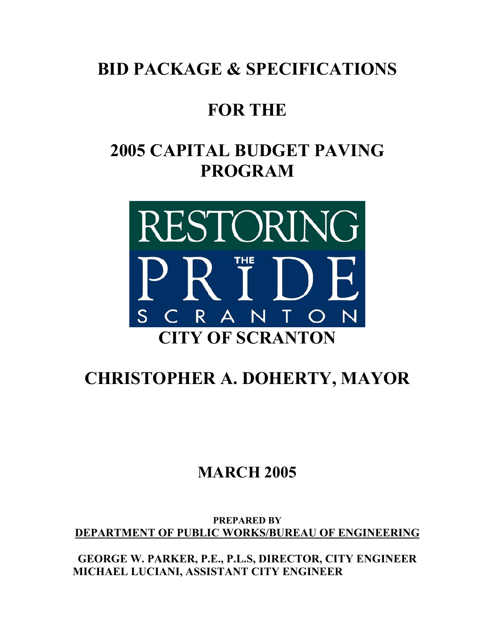# **BID PACKAGE & SPECIFICATIONS**

## **FOR THE**

# **2005 CAPITAL BUDGET PAVING PROGRAM**



# **CHRISTOPHER A. DOHERTY, MAYOR**

### **MARCH 2005**

**PREPARED BY DEPARTMENT OF PUBLIC WORKS/BUREAU OF ENGINEERING**

**GEORGE W. PARKER, P.E., P.L.S, DIRECTOR, CITY ENGINEER MICHAEL LUCIANI, ASSISTANT CITY ENGINEER**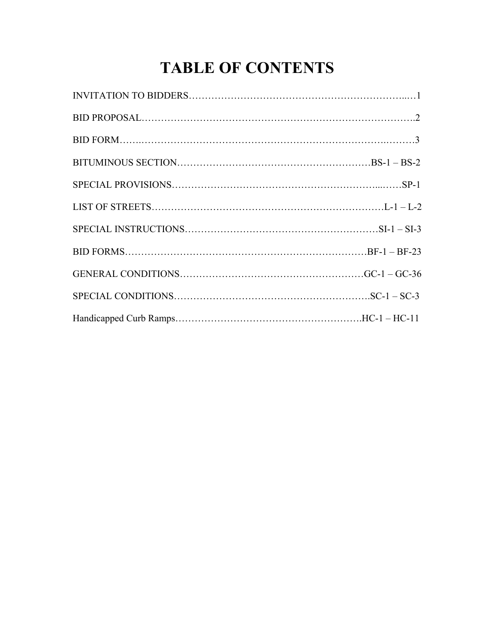# **TABLE OF CONTENTS**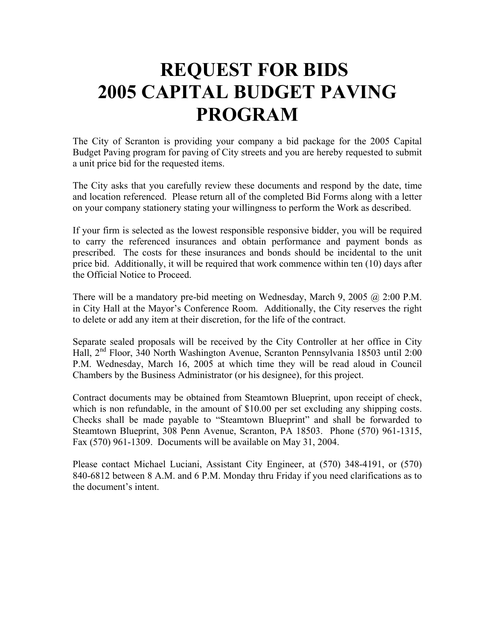# **REQUEST FOR BIDS 2005 CAPITAL BUDGET PAVING PROGRAM**

The City of Scranton is providing your company a bid package for the 2005 Capital Budget Paving program for paving of City streets and you are hereby requested to submit a unit price bid for the requested items.

The City asks that you carefully review these documents and respond by the date, time and location referenced. Please return all of the completed Bid Forms along with a letter on your company stationery stating your willingness to perform the Work as described.

If your firm is selected as the lowest responsible responsive bidder, you will be required to carry the referenced insurances and obtain performance and payment bonds as prescribed. The costs for these insurances and bonds should be incidental to the unit price bid. Additionally, it will be required that work commence within ten (10) days after the Official Notice to Proceed.

There will be a mandatory pre-bid meeting on Wednesday, March 9, 2005 @ 2:00 P.M. in City Hall at the Mayor's Conference Room. Additionally, the City reserves the right to delete or add any item at their discretion, for the life of the contract.

Separate sealed proposals will be received by the City Controller at her office in City Hall, 2nd Floor, 340 North Washington Avenue, Scranton Pennsylvania 18503 until 2:00 P.M. Wednesday, March 16, 2005 at which time they will be read aloud in Council Chambers by the Business Administrator (or his designee), for this project.

Contract documents may be obtained from Steamtown Blueprint, upon receipt of check, which is non refundable, in the amount of \$10.00 per set excluding any shipping costs. Checks shall be made payable to "Steamtown Blueprint" and shall be forwarded to Steamtown Blueprint, 308 Penn Avenue, Scranton, PA 18503. Phone (570) 961-1315, Fax (570) 961-1309. Documents will be available on May 31, 2004.

Please contact Michael Luciani, Assistant City Engineer, at (570) 348-4191, or (570) 840-6812 between 8 A.M. and 6 P.M. Monday thru Friday if you need clarifications as to the document's intent.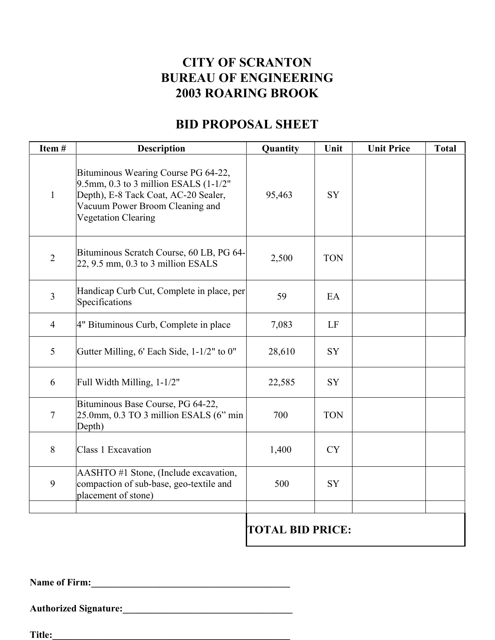### **CITY OF SCRANTON BUREAU OF ENGINEERING 2003 ROARING BROOK**

### **BID PROPOSAL SHEET**

| Item#          | <b>Description</b>                                                                                                                                                                    | Quantity | Unit       | <b>Unit Price</b> | <b>Total</b> |
|----------------|---------------------------------------------------------------------------------------------------------------------------------------------------------------------------------------|----------|------------|-------------------|--------------|
| $\mathbf{1}$   | Bituminous Wearing Course PG 64-22,<br>9.5mm, 0.3 to 3 million ESALS (1-1/2"<br>Depth), E-8 Tack Coat, AC-20 Sealer,<br>Vacuum Power Broom Cleaning and<br><b>Vegetation Clearing</b> | 95,463   | SY         |                   |              |
| $\overline{2}$ | Bituminous Scratch Course, 60 LB, PG 64-<br>22, 9.5 mm, 0.3 to 3 million ESALS                                                                                                        | 2,500    | <b>TON</b> |                   |              |
| $\overline{3}$ | Handicap Curb Cut, Complete in place, per<br>Specifications                                                                                                                           | 59       | EA         |                   |              |
| $\overline{4}$ | 4" Bituminous Curb, Complete in place                                                                                                                                                 | 7,083    | LF         |                   |              |
| 5              | Gutter Milling, 6' Each Side, 1-1/2" to 0"                                                                                                                                            | 28,610   | <b>SY</b>  |                   |              |
| 6              | Full Width Milling, 1-1/2"                                                                                                                                                            | 22,585   | SY         |                   |              |
| $\overline{7}$ | Bituminous Base Course, PG 64-22,<br>25.0mm, 0.3 TO 3 million ESALS (6" min<br>Depth)                                                                                                 | 700      | <b>TON</b> |                   |              |
| 8              | Class 1 Excavation                                                                                                                                                                    | 1,400    | <b>CY</b>  |                   |              |
| 9              | AASHTO #1 Stone, (Include excavation,<br>compaction of sub-base, geo-textile and<br>placement of stone)                                                                               | 500      | <b>SY</b>  |                   |              |
|                |                                                                                                                                                                                       |          |            |                   |              |

**TOTAL BID PRICE:** 

**Name of Firm:\_\_\_\_\_\_\_\_\_\_\_\_\_\_\_\_\_\_\_\_\_\_\_\_\_\_\_\_\_\_\_\_\_\_\_\_\_\_\_\_\_** 

**Authorized Signature:\_\_\_\_\_\_\_\_\_\_\_\_\_\_\_\_\_\_\_\_\_\_\_\_\_\_\_\_\_\_\_\_\_\_\_** 

**Title:\_\_\_\_\_\_\_\_\_\_\_\_\_\_\_\_\_\_\_\_\_\_\_\_\_\_\_\_\_\_\_\_\_\_\_\_\_\_\_\_\_\_\_\_\_\_\_\_\_**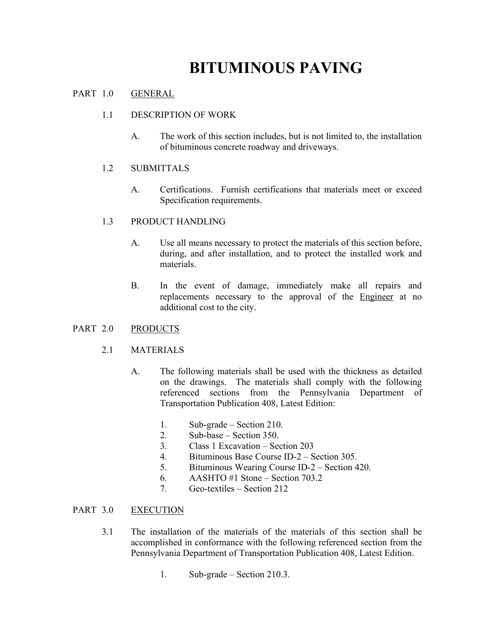## **BITUMINOUS PAVING**

#### PART 1.0 GENERAL

#### 1.1 DESCRIPTION OF WORK

A. The work of this section includes, but is not limited to, the installation of bituminous concrete roadway and driveways.

#### 1.2 SUBMITTALS

A. Certifications. Furnish certifications that materials meet or exceed Specification requirements.

#### 1.3 PRODUCT HANDLING

- A. Use all means necessary to protect the materials of this section before, during, and after installation, and to protect the installed work and materials.
- B. In the event of damage, immediately make all repairs and replacements necessary to the approval of the Engineer at no additional cost to the city.

#### PART 2.0 PRODUCTS

#### 2.1 MATERIALS

- A. The following materials shall be used with the thickness as detailed on the drawings. The materials shall comply with the following referenced sections from the Pennsylvania Department of Transportation Publication 408, Latest Edition:
	- 1. Sub-grade Section 210.
	- 2. Sub-base Section 350.
	- 3. Class 1 Excavation Section 203
	- 4. Bituminous Base Course ID-2 Section 305.
	- 5. Bituminous Wearing Course ID-2 Section 420.
	- 6. AASHTO #1 Stone Section 703.2
	- 7. Geo-textiles Section 212

#### PART 3.0 EXECUTION

- 3.1 The installation of the materials of the materials of this section shall be accomplished in conformance with the following referenced section from the Pennsylvania Department of Transportation Publication 408, Latest Edition.
	- 1. Sub-grade Section 210.3.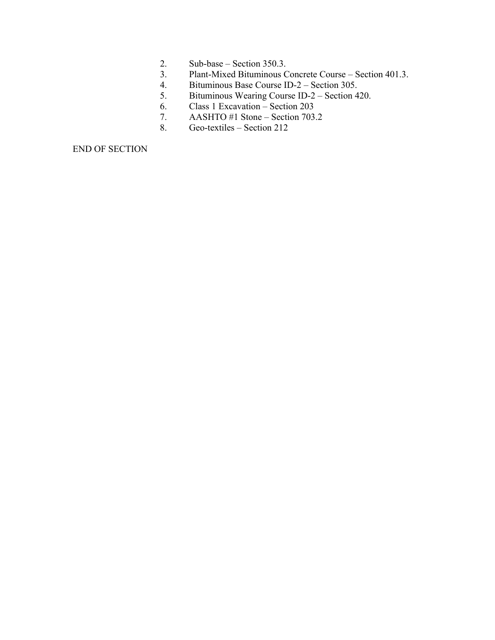- 2. Sub-base Section 350.3.
- 3. Plant-Mixed Bituminous Concrete Course Section 401.3.
- 4. Bituminous Base Course ID-2 Section 305.
- 5. Bituminous Wearing Course ID-2 Section 420.
- 6. Class 1 Excavation Section 203
- 7. AASHTO #1 Stone Section 703.2
- 8. Geo-textiles Section 212

END OF SECTION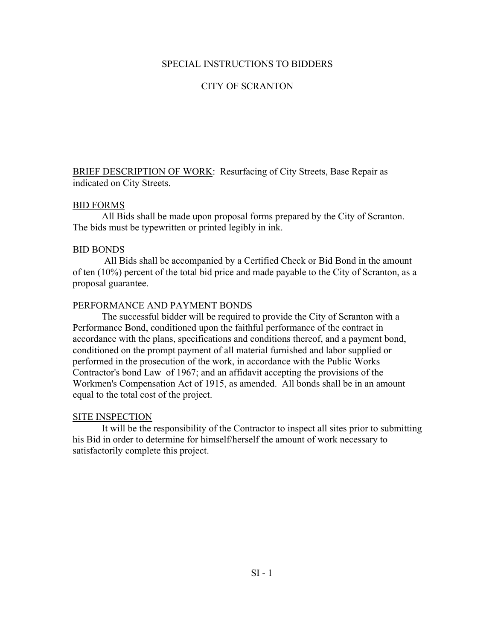#### SPECIAL INSTRUCTIONS TO BIDDERS

#### CITY OF SCRANTON

BRIEF DESCRIPTION OF WORK: Resurfacing of City Streets, Base Repair as indicated on City Streets.

#### BID FORMS

All Bids shall be made upon proposal forms prepared by the City of Scranton. The bids must be typewritten or printed legibly in ink.

#### BID BONDS

 All Bids shall be accompanied by a Certified Check or Bid Bond in the amount of ten (10%) percent of the total bid price and made payable to the City of Scranton, as a proposal guarantee.

#### PERFORMANCE AND PAYMENT BONDS

The successful bidder will be required to provide the City of Scranton with a Performance Bond, conditioned upon the faithful performance of the contract in accordance with the plans, specifications and conditions thereof, and a payment bond, conditioned on the prompt payment of all material furnished and labor supplied or performed in the prosecution of the work, in accordance with the Public Works Contractor's bond Law of 1967; and an affidavit accepting the provisions of the Workmen's Compensation Act of 1915, as amended. All bonds shall be in an amount equal to the total cost of the project.

#### SITE INSPECTION

It will be the responsibility of the Contractor to inspect all sites prior to submitting his Bid in order to determine for himself/herself the amount of work necessary to satisfactorily complete this project.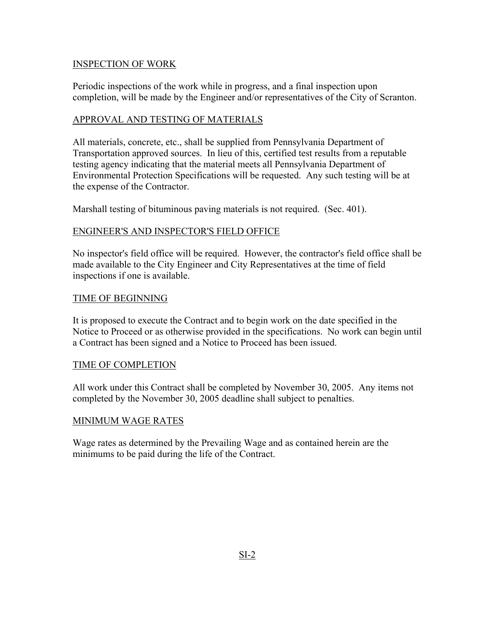#### INSPECTION OF WORK

Periodic inspections of the work while in progress, and a final inspection upon completion, will be made by the Engineer and/or representatives of the City of Scranton.

#### APPROVAL AND TESTING OF MATERIALS

All materials, concrete, etc., shall be supplied from Pennsylvania Department of Transportation approved sources. In lieu of this, certified test results from a reputable testing agency indicating that the material meets all Pennsylvania Department of Environmental Protection Specifications will be requested. Any such testing will be at the expense of the Contractor.

Marshall testing of bituminous paving materials is not required. (Sec. 401).

#### ENGINEER'S AND INSPECTOR'S FIELD OFFICE

No inspector's field office will be required. However, the contractor's field office shall be made available to the City Engineer and City Representatives at the time of field inspections if one is available.

#### TIME OF BEGINNING

It is proposed to execute the Contract and to begin work on the date specified in the Notice to Proceed or as otherwise provided in the specifications. No work can begin until a Contract has been signed and a Notice to Proceed has been issued.

#### TIME OF COMPLETION

All work under this Contract shall be completed by November 30, 2005. Any items not completed by the November 30, 2005 deadline shall subject to penalties.

#### MINIMUM WAGE RATES

Wage rates as determined by the Prevailing Wage and as contained herein are the minimums to be paid during the life of the Contract.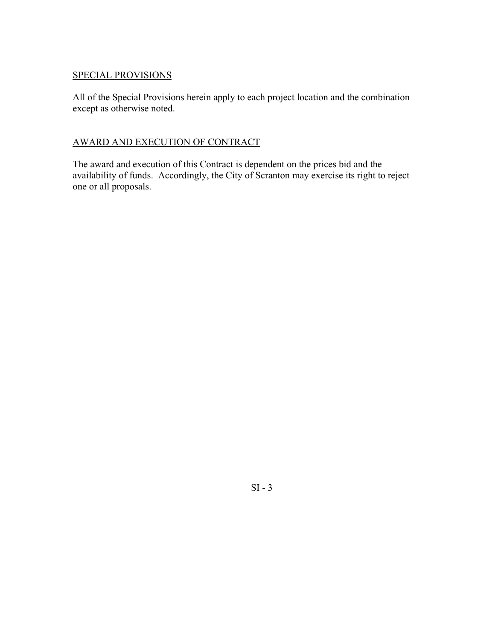#### SPECIAL PROVISIONS

All of the Special Provisions herein apply to each project location and the combination except as otherwise noted.

#### AWARD AND EXECUTION OF CONTRACT

The award and execution of this Contract is dependent on the prices bid and the availability of funds. Accordingly, the City of Scranton may exercise its right to reject one or all proposals.

SI - 3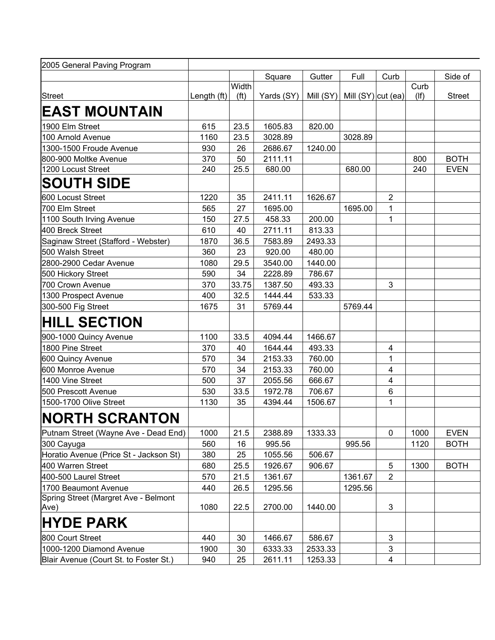| 2005 General Paving Program                  |             |                            |            |         |                                  |                         |                    |               |
|----------------------------------------------|-------------|----------------------------|------------|---------|----------------------------------|-------------------------|--------------------|---------------|
|                                              |             |                            | Square     | Gutter  | Full                             | Curb                    |                    | Side of       |
| <b>Street</b>                                | Length (ft) | Width<br>(f <sup>t</sup> ) | Yards (SY) |         | Mill $(SY)$ Mill $(SY)$ cut (ea) |                         | Curb<br>$($ lf $)$ | <b>Street</b> |
| <b>EAST MOUNTAIN</b>                         |             |                            |            |         |                                  |                         |                    |               |
| 1900 Elm Street                              | 615         | 23.5                       | 1605.83    | 820.00  |                                  |                         |                    |               |
| 100 Arnold Avenue                            | 1160        | 23.5                       | 3028.89    |         | 3028.89                          |                         |                    |               |
| 1300-1500 Froude Avenue                      | 930         | 26                         | 2686.67    | 1240.00 |                                  |                         |                    |               |
| 800-900 Moltke Avenue                        | 370         | 50                         | 2111.11    |         |                                  |                         | 800                | <b>BOTH</b>   |
| 1200 Locust Street                           | 240         | 25.5                       | 680.00     |         | 680.00                           |                         | 240                | <b>EVEN</b>   |
| <b>SOUTH SIDE</b>                            |             |                            |            |         |                                  |                         |                    |               |
| 600 Locust Street                            | 1220        | 35                         | 2411.11    | 1626.67 |                                  | $\boldsymbol{2}$        |                    |               |
| 700 Elm Street                               | 565         | 27                         | 1695.00    |         | 1695.00                          | 1                       |                    |               |
| 1100 South Irving Avenue                     | 150         | 27.5                       | 458.33     | 200.00  |                                  | 1                       |                    |               |
| 400 Breck Street                             | 610         | 40                         | 2711.11    | 813.33  |                                  |                         |                    |               |
| Saginaw Street (Stafford - Webster)          | 1870        | 36.5                       | 7583.89    | 2493.33 |                                  |                         |                    |               |
| 500 Walsh Street                             | 360         | 23                         | 920.00     | 480.00  |                                  |                         |                    |               |
| 2800-2900 Cedar Avenue                       | 1080        | 29.5                       | 3540.00    | 1440.00 |                                  |                         |                    |               |
| 500 Hickory Street                           | 590         | 34                         | 2228.89    | 786.67  |                                  |                         |                    |               |
| 700 Crown Avenue                             | 370         | 33.75                      | 1387.50    | 493.33  |                                  | 3                       |                    |               |
| 1300 Prospect Avenue                         | 400         | 32.5                       | 1444.44    | 533.33  |                                  |                         |                    |               |
| 300-500 Fig Street                           | 1675        | 31                         | 5769.44    |         | 5769.44                          |                         |                    |               |
| <b>HILL SECTION</b>                          |             |                            |            |         |                                  |                         |                    |               |
| 900-1000 Quincy Avenue                       | 1100        | 33.5                       | 4094.44    | 1466.67 |                                  |                         |                    |               |
| 1800 Pine Street                             | 370         | 40                         | 1644.44    | 493.33  |                                  | $\overline{\mathbf{4}}$ |                    |               |
| 600 Quincy Avenue                            | 570         | 34                         | 2153.33    | 760.00  |                                  | 1                       |                    |               |
| 600 Monroe Avenue                            | 570         | 34                         | 2153.33    | 760.00  |                                  | $\overline{\mathbf{4}}$ |                    |               |
| 1400 Vine Street                             | 500         | 37                         | 2055.56    | 666.67  |                                  | 4                       |                    |               |
| 500 Prescott Avenue                          | 530         | 33.5                       | 1972.78    | 706.67  |                                  | 6                       |                    |               |
| 1500-1700 Olive Street                       | 1130        | 35                         | 4394.44    | 1506.67 |                                  | 1                       |                    |               |
| <b>NORTH SCRANTON</b>                        |             |                            |            |         |                                  |                         |                    |               |
| Putnam Street (Wayne Ave - Dead End)         | 1000        | 21.5                       | 2388.89    | 1333.33 |                                  | 0                       | 1000               | <b>EVEN</b>   |
| 300 Cayuga                                   | 560         | 16                         | 995.56     |         | 995.56                           |                         | 1120               | <b>BOTH</b>   |
| Horatio Avenue (Price St - Jackson St)       | 380         | 25                         | 1055.56    | 506.67  |                                  |                         |                    |               |
| 400 Warren Street                            | 680         | 25.5                       | 1926.67    | 906.67  |                                  | 5                       | 1300               | <b>BOTH</b>   |
| 400-500 Laurel Street                        | 570         | 21.5                       | 1361.67    |         | 1361.67                          | $\overline{2}$          |                    |               |
| 1700 Beaumont Avenue                         | 440         | 26.5                       | 1295.56    |         | 1295.56                          |                         |                    |               |
| Spring Street (Margret Ave - Belmont<br>Ave) | 1080        | 22.5                       | 2700.00    | 1440.00 |                                  | 3                       |                    |               |
| <b>HYDE PARK</b>                             |             |                            |            |         |                                  |                         |                    |               |
| 800 Court Street                             | 440         | 30                         | 1466.67    | 586.67  |                                  | 3                       |                    |               |
| 1000-1200 Diamond Avenue                     | 1900        | 30                         | 6333.33    | 2533.33 |                                  | 3                       |                    |               |
| Blair Avenue (Court St. to Foster St.)       | 940         | 25                         | 2611.11    | 1253.33 |                                  | 4                       |                    |               |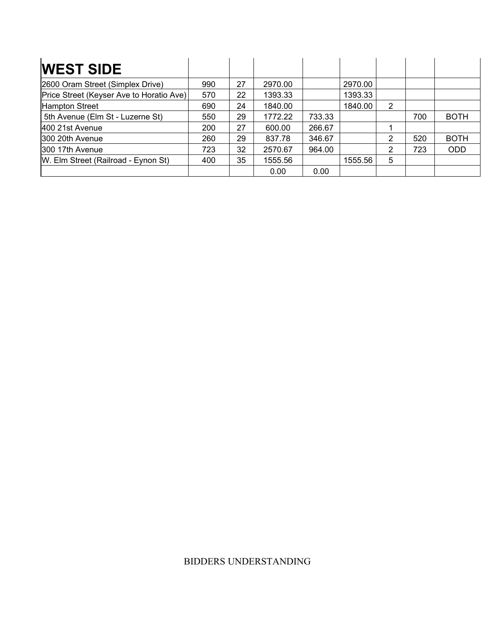| <b>WEST SIDE</b>                         |     |    |         |        |         |   |     |             |
|------------------------------------------|-----|----|---------|--------|---------|---|-----|-------------|
| 2600 Oram Street (Simplex Drive)         | 990 | 27 | 2970.00 |        | 2970.00 |   |     |             |
| Price Street (Keyser Ave to Horatio Ave) | 570 | 22 | 1393.33 |        | 1393.33 |   |     |             |
| <b>Hampton Street</b>                    | 690 | 24 | 1840.00 |        | 1840.00 | 2 |     |             |
| 5th Avenue (Elm St - Luzerne St)         | 550 | 29 | 1772.22 | 733.33 |         |   | 700 | <b>BOTH</b> |
| 400 21st Avenue                          | 200 | 27 | 600.00  | 266.67 |         |   |     |             |
| 300 20th Avenue                          | 260 | 29 | 837.78  | 346.67 |         | 2 | 520 | <b>BOTH</b> |
| 300 17th Avenue                          | 723 | 32 | 2570.67 | 964.00 |         | 2 | 723 | <b>ODD</b>  |
| W. Elm Street (Railroad - Eynon St)      | 400 | 35 | 1555.56 |        | 1555.56 | 5 |     |             |
|                                          |     |    | 0.00    | 0.00   |         |   |     |             |

#### BIDDERS UNDERSTANDING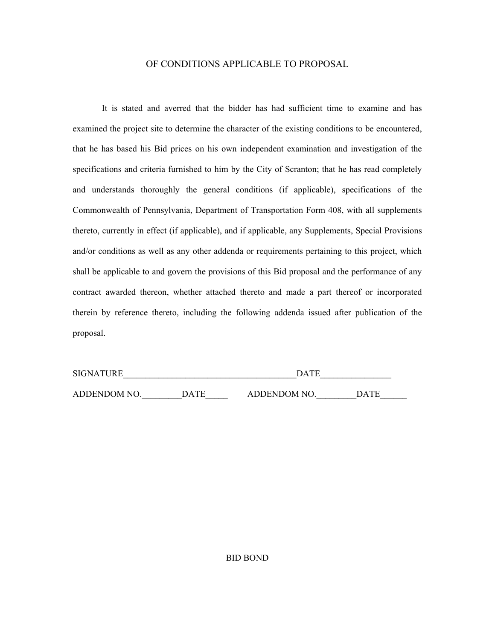#### OF CONDITIONS APPLICABLE TO PROPOSAL

It is stated and averred that the bidder has had sufficient time to examine and has examined the project site to determine the character of the existing conditions to be encountered, that he has based his Bid prices on his own independent examination and investigation of the specifications and criteria furnished to him by the City of Scranton; that he has read completely and understands thoroughly the general conditions (if applicable), specifications of the Commonwealth of Pennsylvania, Department of Transportation Form 408, with all supplements thereto, currently in effect (if applicable), and if applicable, any Supplements, Special Provisions and/or conditions as well as any other addenda or requirements pertaining to this project, which shall be applicable to and govern the provisions of this Bid proposal and the performance of any contract awarded thereon, whether attached thereto and made a part thereof or incorporated therein by reference thereto, including the following addenda issued after publication of the proposal.

| <b>SIGNATURE</b> |             | <b>DATE</b>        |      |
|------------------|-------------|--------------------|------|
| ADDENDOM NO.     | <b>DATE</b> | <b>ADDENDOM NO</b> | DATE |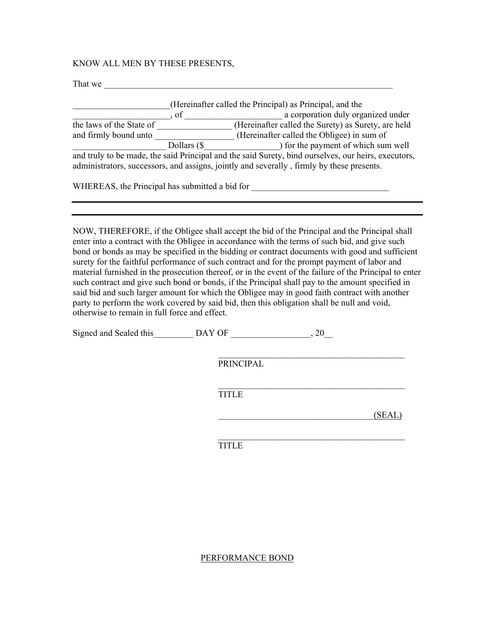#### KNOW ALL MEN BY THESE PRESENTS,

| That we                                        |                                                                                                     |
|------------------------------------------------|-----------------------------------------------------------------------------------------------------|
|                                                |                                                                                                     |
|                                                | (Hereinafter called the Principal) as Principal, and the                                            |
| $\cdot$ of                                     | a corporation duly organized under                                                                  |
| the laws of the State of                       | (Hereinafter called the Surety) as Surety, are held                                                 |
| and firmly bound unto                          | (Hereinafter called the Obligee) in sum of                                                          |
| Dollars (\$                                    | ) for the payment of which sum well                                                                 |
|                                                | and truly to be made, the said Principal and the said Surety, bind ourselves, our heirs, executors, |
|                                                | administrators, successors, and assigns, jointly and severally, firmly by these presents.           |
|                                                |                                                                                                     |
| WHEREAS, the Principal has submitted a bid for |                                                                                                     |

NOW, THEREFORE, if the Obligee shall accept the bid of the Principal and the Principal shall enter into a contract with the Obligee in accordance with the terms of such bid, and give such bond or bonds as may be specified in the bidding or contract documents with good and sufficient surety for the faithful performance of such contract and for the prompt payment of labor and material furnished in the prosecution thereof, or in the event of the failure of the Principal to enter such contract and give such bond or bonds, if the Principal shall pay to the amount specified in said bid and such larger amount for which the Obligee may in good faith contract with another party to perform the work covered by said bid, then this obligation shall be null and void, otherwise to remain in full force and effect.

Signed and Sealed this  $DAY$  OF  $, 20$ 

 $\mathcal{L}_\text{max}$  and the contract of the contract of the contract of the contract of the contract of the contract of the contract of the contract of the contract of the contract of the contract of the contract of the contrac PRINCIPAL

 $\mathcal{L}_\text{max}$  and the contract of the contract of the contract of the contract of the contract of the contract of the contract of the contract of the contract of the contract of the contract of the contract of the contrac

TITLE

 $\overline{\text{SEAL}}$ 

 $\mathcal{L}_\text{max}$  and the contract of the contract of the contract of the contract of the contract of the contract of the contract of the contract of the contract of the contract of the contract of the contract of the contrac TITLE

#### PERFORMANCE BOND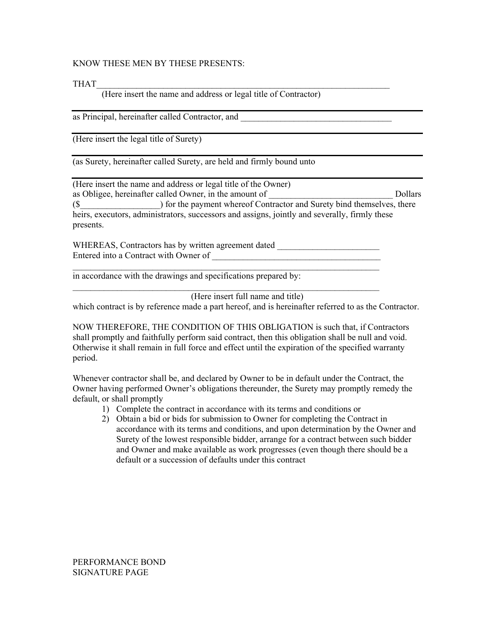#### KNOW THESE MEN BY THESE PRESENTS:

 $THAT$ 

(Here insert the name and address or legal title of Contractor)

as Principal, hereinafter called Contractor, and

(Here insert the legal title of Surety)

(as Surety, hereinafter called Surety, are held and firmly bound unto

(Here insert the name and address or legal title of the Owner) as Obligee, hereinafter called Owner, in the amount of \_\_\_\_\_\_\_\_\_\_\_\_\_\_\_\_\_\_\_\_\_\_\_\_\_\_\_\_ Dollars (\$) for the payment whereof Contractor and Surety bind themselves, there heirs, executors, administrators, successors and assigns, jointly and severally, firmly these presents.

WHEREAS, Contractors has by written agreement dated \_\_\_\_\_\_\_\_\_\_\_\_\_\_\_\_\_\_\_\_\_\_\_\_\_\_\_\_ Entered into a Contract with Owner of \_\_\_\_\_\_\_\_\_\_\_\_\_\_\_\_\_\_\_\_\_\_\_\_\_\_\_\_\_\_\_\_\_\_\_\_\_\_

in accordance with the drawings and specifications prepared by:

(Here insert full name and title)

 $\mathcal{L}_\text{max} = \frac{1}{2} \sum_{i=1}^n \mathcal{L}_\text{max}(\mathbf{x}_i - \mathbf{y}_i)$ 

 $\mathcal{L}_\text{max} = \frac{1}{2} \sum_{i=1}^n \mathcal{L}_\text{max}(\mathbf{x}_i - \mathbf{y}_i)$ 

which contract is by reference made a part hereof, and is hereinafter referred to as the Contractor.

NOW THEREFORE, THE CONDITION OF THIS OBLIGATION is such that, if Contractors shall promptly and faithfully perform said contract, then this obligation shall be null and void. Otherwise it shall remain in full force and effect until the expiration of the specified warranty period.

Whenever contractor shall be, and declared by Owner to be in default under the Contract, the Owner having performed Owner's obligations thereunder, the Surety may promptly remedy the default, or shall promptly

- 1) Complete the contract in accordance with its terms and conditions or
- 2) Obtain a bid or bids for submission to Owner for completing the Contract in accordance with its terms and conditions, and upon determination by the Owner and Surety of the lowest responsible bidder, arrange for a contract between such bidder and Owner and make available as work progresses (even though there should be a default or a succession of defaults under this contract

PERFORMANCE BOND SIGNATURE PAGE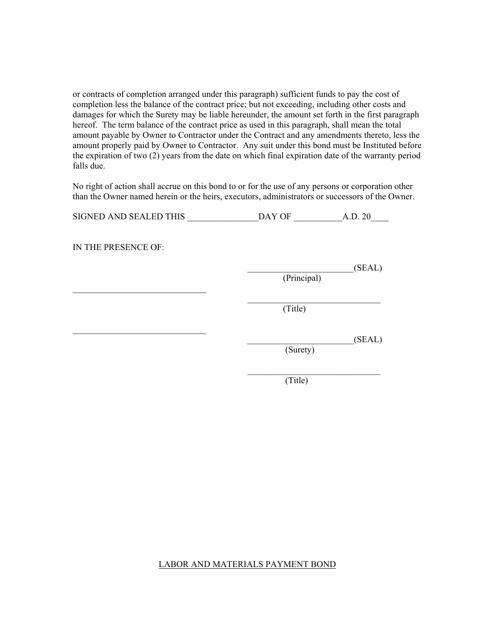or contracts of completion arranged under this paragraph) sufficient funds to pay the cost of completion less the balance of the contract price; but not exceeding, including other costs and damages for which the Surety may be liable hereunder, the amount set forth in the first paragraph hereof. The term balance of the contract price as used in this paragraph, shall mean the total amount payable by Owner to Contractor under the Contract and any amendments thereto, less the amount properly paid by Owner to Contractor. Any suit under this bond must be Instituted before the expiration of two (2) years from the date on which final expiration date of the warranty period falls due.

No right of action shall accrue on this bond to or for the use of any persons or corporation other than the Owner named herein or the heirs, executors, administrators or successors of the Owner.

| SIGNED AND SEALED THIS | DAY OF      | A.D. 20 |
|------------------------|-------------|---------|
| IN THE PRESENCE OF:    |             |         |
|                        | (Principal) | (SEAL)  |
|                        | (Title)     |         |
|                        | (Surety)    | (SEAL)  |
|                        | (Title)     |         |

#### LABOR AND MATERIALS PAYMENT BOND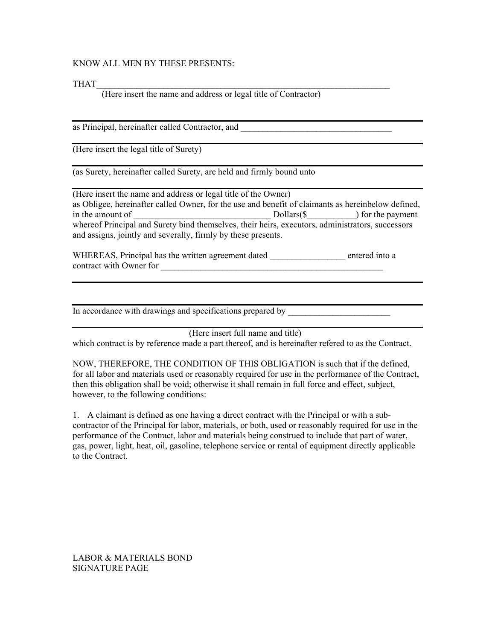#### KNOW ALL MEN BY THESE PRESENTS:

 $THAT$ 

(Here insert the name and address or legal title of Contractor)

as Principal, hereinafter called Contractor, and

(Here insert the legal title of Surety)

(as Surety, hereinafter called Surety, are held and firmly bound unto

(Here insert the name and address or legal title of the Owner) as Obligee, hereinafter called Owner, for the use and benefit of claimants as hereinbelow defined, in the amount of Theorem 2011 Dollars(\$ and Dollars(\$) for the payment whereof Principal and Surety bind themselves, their heirs, executors, administrators, successors and assigns, jointly and severally, firmly by these presents.

WHEREAS, Principal has the written agreement dated entered into a contract with Owner for

In accordance with drawings and specifications prepared by

(Here insert full name and title)

which contract is by reference made a part thereof, and is hereinafter refered to as the Contract.

NOW, THEREFORE, THE CONDITION OF THIS OBLIGATION is such that if the defined, for all labor and materials used or reasonably required for use in the performance of the Contract, then this obligation shall be void; otherwise it shall remain in full force and effect, subject, however, to the following conditions:

1. A claimant is defined as one having a direct contract with the Principal or with a subcontractor of the Principal for labor, materials, or both, used or reasonably required for use in the performance of the Contract, labor and materials being construed to include that part of water, gas, power, light, heat, oil, gasoline, telephone service or rental of equipment directly applicable to the Contract.

LABOR & MATERIALS BOND SIGNATURE PAGE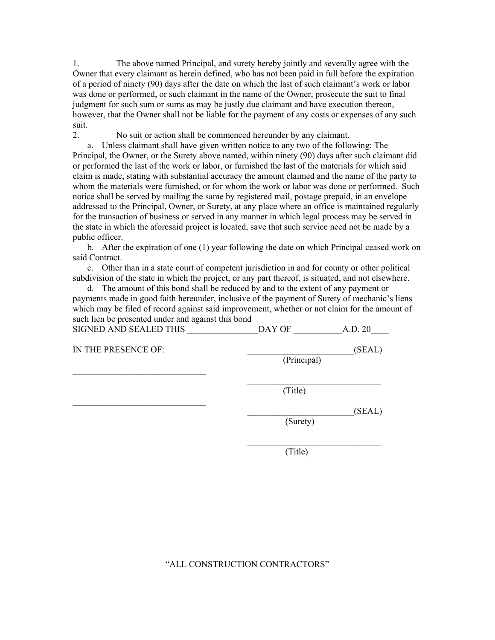1. The above named Principal, and surety hereby jointly and severally agree with the Owner that every claimant as herein defined, who has not been paid in full before the expiration of a period of ninety (90) days after the date on which the last of such claimant's work or labor was done or performed, or such claimant in the name of the Owner, prosecute the suit to final judgment for such sum or sums as may be justly due claimant and have execution thereon, however, that the Owner shall not be liable for the payment of any costs or expenses of any such suit.

2. No suit or action shall be commenced hereunder by any claimant.

a. Unless claimant shall have given written notice to any two of the following: The Principal, the Owner, or the Surety above named, within ninety (90) days after such claimant did or performed the last of the work or labor, or furnished the last of the materials for which said claim is made, stating with substantial accuracy the amount claimed and the name of the party to whom the materials were furnished, or for whom the work or labor was done or performed. Such notice shall be served by mailing the same by registered mail, postage prepaid, in an envelope addressed to the Principal, Owner, or Surety, at any place where an office is maintained regularly for the transaction of business or served in any manner in which legal process may be served in the state in which the aforesaid project is located, save that such service need not be made by a public officer.

b. After the expiration of one (1) year following the date on which Principal ceased work on said Contract.

c. Other than in a state court of competent jurisdiction in and for county or other political subdivision of the state in which the project, or any part thereof, is situated, and not elsewhere.

d. The amount of this bond shall be reduced by and to the extent of any payment or payments made in good faith hereunder, inclusive of the payment of Surety of mechanic's liens which may be filed of record against said improvement, whether or not claim for the amount of such lien be presented under and against this bond SIGNED AND SEALED THIS  $\overline{X}$  DAY OF  $\overline{X}$  A.D. 20

| protect that better thing | DILL VI     | 11.1   |
|---------------------------|-------------|--------|
| IN THE PRESENCE OF:       | (Principal) | (SEAL) |
|                           | (Title)     |        |
|                           |             | (SEAL) |
|                           | (Surety)    |        |

(Title)

#### "ALL CONSTRUCTION CONTRACTORS"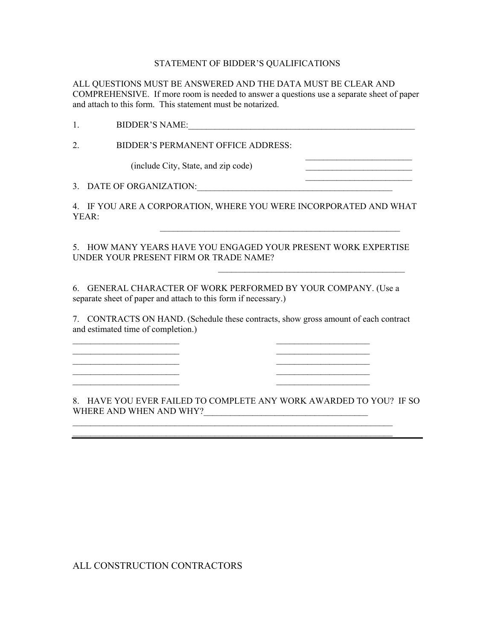#### STATEMENT OF BIDDER'S QUALIFICATIONS

ALL QUESTIONS MUST BE ANSWERED AND THE DATA MUST BE CLEAR AND COMPREHENSIVE. If more room is needed to answer a questions use a separate sheet of paper and attach to this form. This statement must be notarized.

1. BIDDER'S NAME:\_\_\_\_\_\_\_\_\_\_\_\_\_\_\_\_\_\_\_\_\_\_\_\_\_\_\_\_\_\_\_\_\_\_\_\_\_\_\_\_\_\_\_\_\_\_\_\_\_\_\_

2. BIDDER'S PERMANENT OFFICE ADDRESS:

(include City, State, and zip code) \_\_\_\_\_\_\_\_\_\_\_\_\_\_\_\_\_\_\_\_\_\_\_\_

 $\mathcal{L}_\text{max}$  and  $\mathcal{L}_\text{max}$  and  $\mathcal{L}_\text{max}$  and  $\mathcal{L}_\text{max}$  and  $\mathcal{L}_\text{max}$ 3. DATE OF ORGANIZATION:

 $\mathcal{L}_\text{max}$  and the contract of the contract of the contract of the contract of the contract of the contract of

 $\mathcal{L}_\text{max}$  and  $\mathcal{L}_\text{max}$  and  $\mathcal{L}_\text{max}$  and  $\mathcal{L}_\text{max}$  and  $\mathcal{L}_\text{max}$ 

4. IF YOU ARE A CORPORATION, WHERE YOU WERE INCORPORATED AND WHAT YEAR:

5. HOW MANY YEARS HAVE YOU ENGAGED YOUR PRESENT WORK EXPERTISE UNDER YOUR PRESENT FIRM OR TRADE NAME?

 $\mathcal{L}_\text{max}$  and the contract of the contract of the contract of the contract of the contract of the contract of the contract of the contract of the contract of the contract of the contract of the contract of the contrac

6. GENERAL CHARACTER OF WORK PERFORMED BY YOUR COMPANY. (Use a separate sheet of paper and attach to this form if necessary.)

7. CONTRACTS ON HAND. (Schedule these contracts, show gross amount of each contract and estimated time of completion.)

 $\mathcal{L}_\text{max}$  and the contract of the contract of the contract of the contract of the contract of the contract of the contract of the contract of the contract of the contract of the contract of the contract of the contrac \_\_\_\_\_\_\_\_\_\_\_\_\_\_\_\_\_\_\_\_\_\_\_\_ \_\_\_\_\_\_\_\_\_\_\_\_\_\_\_\_\_\_\_\_\_ \_\_\_\_\_\_\_\_\_\_\_\_\_\_\_\_\_\_\_\_\_\_\_\_ \_\_\_\_\_\_\_\_\_\_\_\_\_\_\_\_\_\_\_\_\_  $\mathcal{L}_\text{max}$  and the contract of the contract of the contract of the contract of the contract of the contract of the contract of the contract of the contract of the contract of the contract of the contract of the contrac  $\mathcal{L}_\text{max}$  and the contract of the contract of the contract of the contract of the contract of the contract of the contract of the contract of the contract of the contract of the contract of the contract of the contrac

8. HAVE YOU EVER FAILED TO COMPLETE ANY WORK AWARDED TO YOU? IF SO WHERE AND WHEN AND WHY?\_\_\_\_\_\_\_\_\_\_\_\_\_\_\_\_\_\_\_\_\_\_\_\_\_\_\_\_\_\_\_\_\_\_\_\_\_

 $\mathcal{L}_\text{max} = \frac{1}{2} \sum_{i=1}^n \mathcal{L}_\text{max}(\mathbf{x}_i - \mathbf{y}_i)$ \_\_\_\_\_\_\_\_\_\_\_\_\_\_\_\_\_\_\_\_\_\_\_\_\_\_\_\_\_\_\_\_\_\_\_\_\_\_\_\_\_\_\_\_\_\_\_\_\_\_\_\_\_\_\_\_\_\_\_\_\_\_\_\_\_\_\_\_\_\_\_\_

ALL CONSTRUCTION CONTRACTORS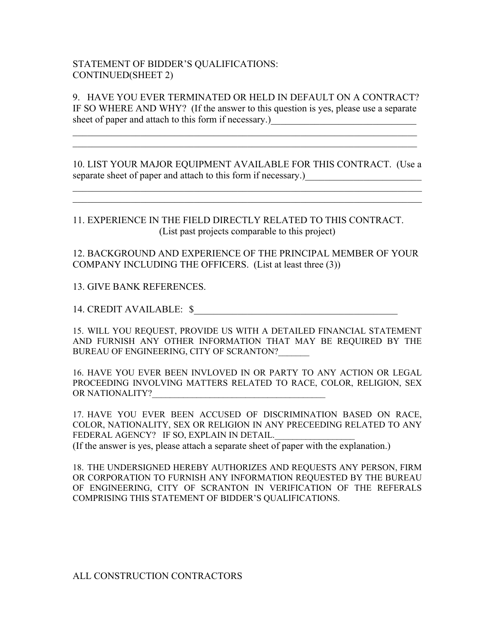#### STATEMENT OF BIDDER'S QUALIFICATIONS: CONTINUED(SHEET 2)

9. HAVE YOU EVER TERMINATED OR HELD IN DEFAULT ON A CONTRACT? IF SO WHERE AND WHY? (If the answer to this question is yes, please use a separate sheet of paper and attach to this form if necessary.)

 $\mathcal{L}_\text{max}$  , and the contribution of the contribution of the contribution of the contribution of the contribution of the contribution of the contribution of the contribution of the contribution of the contribution of t  $\mathcal{L}_\text{max}$  , and the contribution of the contribution of the contribution of the contribution of the contribution of the contribution of the contribution of the contribution of the contribution of the contribution of t

10. LIST YOUR MAJOR EQUIPMENT AVAILABLE FOR THIS CONTRACT. (Use a separate sheet of paper and attach to this form if necessary.)

 $\mathcal{L}_\text{max}$  , and the contribution of the contribution of the contribution of the contribution of the contribution of the contribution of the contribution of the contribution of the contribution of the contribution of t  $\mathcal{L}_\text{max}$  , and the contribution of the contribution of the contribution of the contribution of the contribution of the contribution of the contribution of the contribution of the contribution of the contribution of t

11. EXPERIENCE IN THE FIELD DIRECTLY RELATED TO THIS CONTRACT. (List past projects comparable to this project)

12. BACKGROUND AND EXPERIENCE OF THE PRINCIPAL MEMBER OF YOUR COMPANY INCLUDING THE OFFICERS. (List at least three (3))

#### 13. GIVE BANK REFERENCES.

14. CREDIT AVAILABLE:  $\$ 

15. WILL YOU REQUEST, PROVIDE US WITH A DETAILED FINANCIAL STATEMENT AND FURNISH ANY OTHER INFORMATION THAT MAY BE REQUIRED BY THE BUREAU OF ENGINEERING, CITY OF SCRANTON?

16. HAVE YOU EVER BEEN INVLOVED IN OR PARTY TO ANY ACTION OR LEGAL PROCEEDING INVOLVING MATTERS RELATED TO RACE, COLOR, RELIGION, SEX OR NATIONALITY?

17. HAVE YOU EVER BEEN ACCUSED OF DISCRIMINATION BASED ON RACE, COLOR, NATIONALITY, SEX OR RELIGION IN ANY PRECEEDING RELATED TO ANY FEDERAL AGENCY? IF SO, EXPLAIN IN DETAIL. (If the answer is yes, please attach a separate sheet of paper with the explanation.)

18. THE UNDERSIGNED HEREBY AUTHORIZES AND REQUESTS ANY PERSON, FIRM OR CORPORATION TO FURNISH ANY INFORMATION REQUESTED BY THE BUREAU OF ENGINEERING, CITY OF SCRANTON IN VERIFICATION OF THE REFERALS COMPRISING THIS STATEMENT OF BIDDER'S QUALIFICATIONS.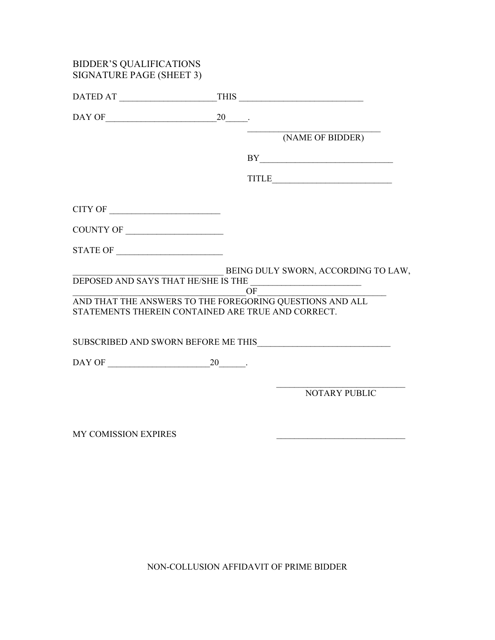| <b>BIDDER'S QUALIFICATIONS</b><br>SIGNATURE PAGE (SHEET 3)                                                                                                                                                                                                                                                                                                                                                                                                                                                                     |                                                                                                                                                                                                                                                                                                                                                                                                   |
|--------------------------------------------------------------------------------------------------------------------------------------------------------------------------------------------------------------------------------------------------------------------------------------------------------------------------------------------------------------------------------------------------------------------------------------------------------------------------------------------------------------------------------|---------------------------------------------------------------------------------------------------------------------------------------------------------------------------------------------------------------------------------------------------------------------------------------------------------------------------------------------------------------------------------------------------|
| DATED AT                                                                                                                                                                                                                                                                                                                                                                                                                                                                                                                       |                                                                                                                                                                                                                                                                                                                                                                                                   |
|                                                                                                                                                                                                                                                                                                                                                                                                                                                                                                                                |                                                                                                                                                                                                                                                                                                                                                                                                   |
|                                                                                                                                                                                                                                                                                                                                                                                                                                                                                                                                | (NAME OF BIDDER)                                                                                                                                                                                                                                                                                                                                                                                  |
|                                                                                                                                                                                                                                                                                                                                                                                                                                                                                                                                |                                                                                                                                                                                                                                                                                                                                                                                                   |
|                                                                                                                                                                                                                                                                                                                                                                                                                                                                                                                                | $\begin{tabular}{c}l@{\hspace{-0.2em}}l@{\hspace{-0.2em}}l@{\hspace{-0.2em}}l@{\hspace{-0.2em}}l@{\hspace{-0.2em}}l@{\hspace{-0.2em}}l@{\hspace{-0.2em}}l@{\hspace{-0.2em}}l@{\hspace{-0.2em}}l@{\hspace{-0.2em}}l@{\hspace{-0.2em}}l@{\hspace{-0.2em}}l@{\hspace{-0.2em}}l@{\hspace{-0.2em}}l@{\hspace{-0.2em}}l@{\hspace{-0.2em}}l@{\hspace{-0.2em}}l@{\hspace{-0.2em}}l@{\hspace{-0.2em}}l@{\$ |
|                                                                                                                                                                                                                                                                                                                                                                                                                                                                                                                                |                                                                                                                                                                                                                                                                                                                                                                                                   |
| COUNTY OF                                                                                                                                                                                                                                                                                                                                                                                                                                                                                                                      |                                                                                                                                                                                                                                                                                                                                                                                                   |
| $\begin{tabular}{c} \bf STATE OF \end{tabular} \begin{tabular}{c} \textbf{ \textcolor{red}{\bf{}} \textcolor{red}{\bf{}} \textcolor{red}{\bf{}} \textcolor{red}{\bf{}} \textcolor{red}{\bf{}} \textcolor{red}{\bf{}} \textcolor{red}{\bf{}} \textcolor{red}{\bf{}} \textcolor{red}{\bf{}} \textcolor{red}{\bf{}} \textcolor{red}{\bf{}} \textcolor{red}{\bf{}} \textcolor{red}{\bf{}} \textcolor{red}{\bf{}} \textcolor{red}{\bf{}} \textcolor{red}{\bf{}} \textcolor{red}{\bf{}} \textcolor{red}{\bf{}} \textcolor{red}{\bf{$ |                                                                                                                                                                                                                                                                                                                                                                                                   |
| DEPOSED AND SAYS THAT HE/SHE IS THE OF                                                                                                                                                                                                                                                                                                                                                                                                                                                                                         | BEING DULY SWORN, ACCORDING TO LAW,                                                                                                                                                                                                                                                                                                                                                               |
| OF OF ONE THAT THE ANSWERS TO THE FOREGORING QUESTIONS AND ALL<br>STATEMENTS THEREIN CONTAINED ARE TRUE AND CORRECT.                                                                                                                                                                                                                                                                                                                                                                                                           |                                                                                                                                                                                                                                                                                                                                                                                                   |
|                                                                                                                                                                                                                                                                                                                                                                                                                                                                                                                                |                                                                                                                                                                                                                                                                                                                                                                                                   |
|                                                                                                                                                                                                                                                                                                                                                                                                                                                                                                                                |                                                                                                                                                                                                                                                                                                                                                                                                   |
|                                                                                                                                                                                                                                                                                                                                                                                                                                                                                                                                | <b>NOTARY PUBLIC</b>                                                                                                                                                                                                                                                                                                                                                                              |
| <b>MY COMISSION EXPIRES</b>                                                                                                                                                                                                                                                                                                                                                                                                                                                                                                    |                                                                                                                                                                                                                                                                                                                                                                                                   |

NON-COLLUSION AFFIDAVIT OF PRIME BIDDER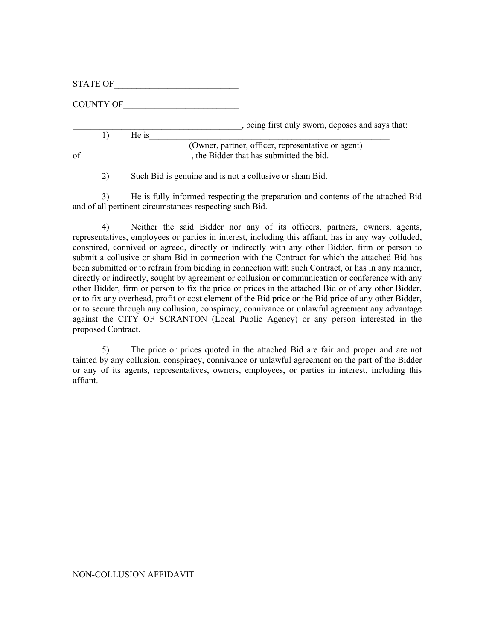STATE OF

COUNTY OF

\_\_\_\_\_\_\_\_\_\_\_\_\_\_\_\_\_\_\_\_\_\_\_\_\_\_\_\_\_\_\_\_\_\_\_\_\_\_, being first duly sworn, deposes and says that:

|    |       | , being first duly sworn, deposes and              |
|----|-------|----------------------------------------------------|
|    | He is |                                                    |
|    |       | (Owner, partner, officer, representative or agent) |
| of |       | the Bidder that has submitted the bid.             |

2) Such Bid is genuine and is not a collusive or sham Bid.

 3) He is fully informed respecting the preparation and contents of the attached Bid and of all pertinent circumstances respecting such Bid.

 4) Neither the said Bidder nor any of its officers, partners, owners, agents, representatives, employees or parties in interest, including this affiant, has in any way colluded, conspired, connived or agreed, directly or indirectly with any other Bidder, firm or person to submit a collusive or sham Bid in connection with the Contract for which the attached Bid has been submitted or to refrain from bidding in connection with such Contract, or has in any manner, directly or indirectly, sought by agreement or collusion or communication or conference with any other Bidder, firm or person to fix the price or prices in the attached Bid or of any other Bidder, or to fix any overhead, profit or cost element of the Bid price or the Bid price of any other Bidder, or to secure through any collusion, conspiracy, connivance or unlawful agreement any advantage against the CITY OF SCRANTON (Local Public Agency) or any person interested in the proposed Contract.

 5) The price or prices quoted in the attached Bid are fair and proper and are not tainted by any collusion, conspiracy, connivance or unlawful agreement on the part of the Bidder or any of its agents, representatives, owners, employees, or parties in interest, including this affiant.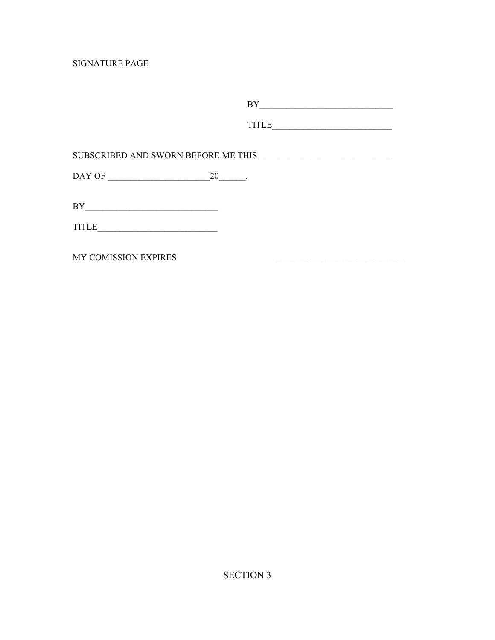SIGNATURE PAGE

|                                                           | BY           |
|-----------------------------------------------------------|--------------|
|                                                           | <b>TITLE</b> |
| SUBSCRIBED AND SWORN BEFORE ME THIS                       |              |
| DAY OF                                                    | 20           |
| ΒY<br><u> 1980 - Andrea Andrews, amerikansk politik (</u> |              |
| TITLE                                                     |              |
| MY COMISSION EXPIRES                                      |              |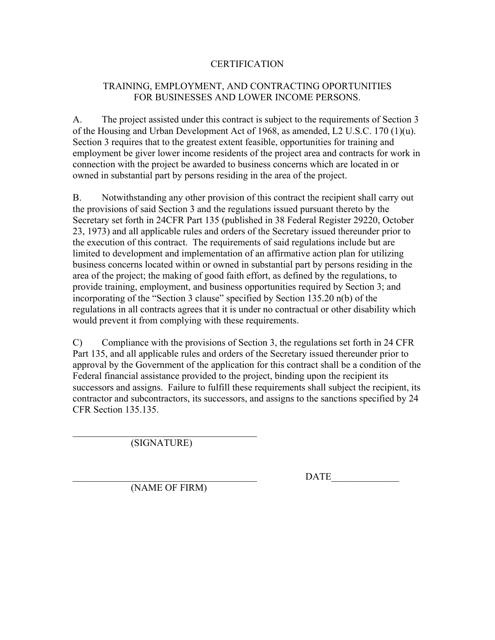#### **CERTIFICATION**

#### TRAINING, EMPLOYMENT, AND CONTRACTING OPORTUNITIES FOR BUSINESSES AND LOWER INCOME PERSONS.

A. The project assisted under this contract is subject to the requirements of Section 3 of the Housing and Urban Development Act of 1968, as amended, L2 U.S.C. 170 (1)(u). Section 3 requires that to the greatest extent feasible, opportunities for training and employment be giver lower income residents of the project area and contracts for work in connection with the project be awarded to business concerns which are located in or owned in substantial part by persons residing in the area of the project.

B. Notwithstanding any other provision of this contract the recipient shall carry out the provisions of said Section 3 and the regulations issued pursuant thereto by the Secretary set forth in 24CFR Part 135 (published in 38 Federal Register 29220, October 23, 1973) and all applicable rules and orders of the Secretary issued thereunder prior to the execution of this contract. The requirements of said regulations include but are limited to development and implementation of an affirmative action plan for utilizing business concerns located within or owned in substantial part by persons residing in the area of the project; the making of good faith effort, as defined by the regulations, to provide training, employment, and business opportunities required by Section 3; and incorporating of the "Section 3 clause" specified by Section 135.20 n(b) of the regulations in all contracts agrees that it is under no contractual or other disability which would prevent it from complying with these requirements.

C) Compliance with the provisions of Section 3, the regulations set forth in 24 CFR Part 135, and all applicable rules and orders of the Secretary issued thereunder prior to approval by the Government of the application for this contract shall be a condition of the Federal financial assistance provided to the project, binding upon the recipient its successors and assigns. Failure to fulfill these requirements shall subject the recipient, its contractor and subcontractors, its successors, and assigns to the sanctions specified by 24 CFR Section 135.135.

 $\mathcal{L}_\text{max}$ (SIGNATURE)

DATE

(NAME OF FIRM)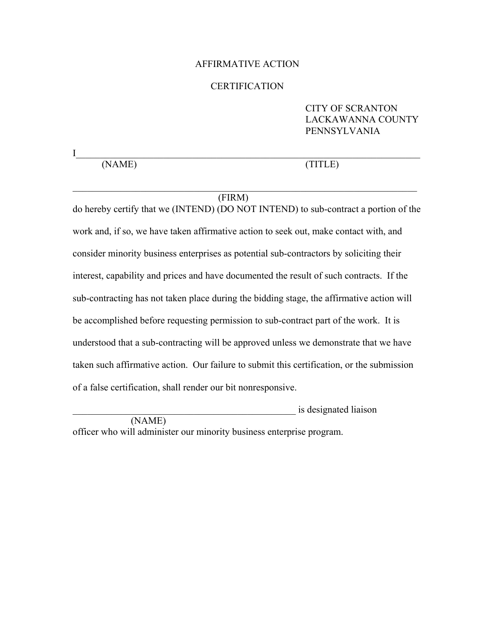#### AFFIRMATIVE ACTION

#### **CERTIFICATION**

 $\prod$  , and the set of the set of the set of the set of the set of the set of the set of the set of the set of the set of the set of the set of the set of the set of the set of the set of the set of the set of the set of t

 $\mathcal{L}_\text{max}$  , and the contribution of the contribution of the contribution of the contribution of the contribution of the contribution of the contribution of the contribution of the contribution of the contribution of t

#### CITY OF SCRANTON LACKAWANNA COUNTY PENNSYLVANIA

(NAME) (TITLE)

#### (FIRM)

do hereby certify that we (INTEND) (DO NOT INTEND) to sub-contract a portion of the work and, if so, we have taken affirmative action to seek out, make contact with, and consider minority business enterprises as potential sub-contractors by soliciting their interest, capability and prices and have documented the result of such contracts. If the sub-contracting has not taken place during the bidding stage, the affirmative action will be accomplished before requesting permission to sub-contract part of the work. It is understood that a sub-contracting will be approved unless we demonstrate that we have taken such affirmative action. Our failure to submit this certification, or the submission of a false certification, shall render our bit nonresponsive.

\_\_\_\_\_\_\_\_\_\_\_\_\_\_\_\_\_\_\_\_\_\_\_\_\_\_\_\_\_\_\_\_\_\_\_\_\_\_\_\_\_\_\_\_\_\_ is designated liaison (NAME) officer who will administer our minority business enterprise program.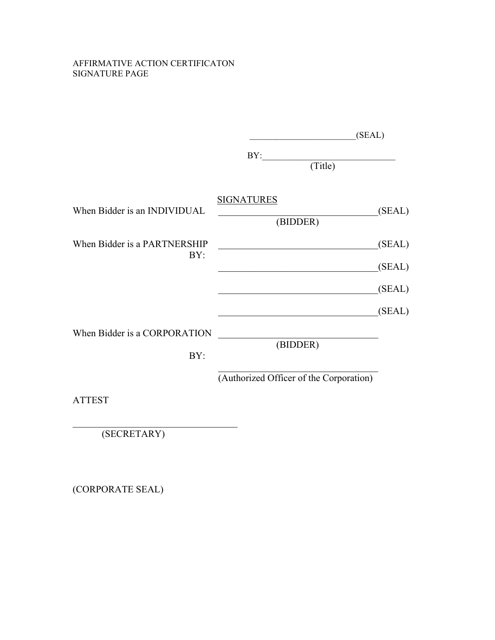#### AFFIRMATIVE ACTION CERTIFICATON SIGNATURE PAGE

|                                     | (SEAL)                                  |                  |
|-------------------------------------|-----------------------------------------|------------------|
|                                     | BY:<br>(Title)                          |                  |
| When Bidder is an INDIVIDUAL        | <b>SIGNATURES</b><br>(BIDDER)           | (SEAL)           |
| When Bidder is a PARTNERSHIP<br>BY: |                                         | (SEAL)<br>(SEAL) |
|                                     |                                         | (SEAL)           |
| When Bidder is a CORPORATION<br>BY: | (BIDDER)                                | (SEAL)           |
| <b>ATTEST</b>                       | (Authorized Officer of the Corporation) |                  |

(SECRETARY)

\_\_\_\_\_\_\_\_\_\_\_\_\_\_\_\_\_\_\_\_\_\_\_\_\_\_\_\_\_\_\_\_\_\_

(CORPORATE SEAL)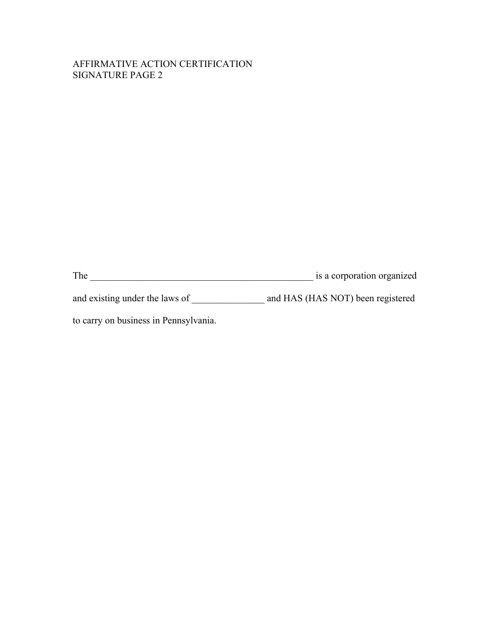#### AFFIRMATIVE ACTION CERTIFICATION SIGNATURE PAGE 2

The \_\_\_\_\_\_\_\_\_\_\_\_\_\_\_\_\_\_\_\_\_\_\_\_\_\_\_\_\_\_\_\_\_\_\_\_\_\_\_\_\_\_\_\_\_\_ is a corporation organized

and existing under the laws of \_\_\_\_\_\_\_\_\_\_\_\_\_\_\_\_\_\_\_ and HAS (HAS NOT) been registered

to carry on business in Pennsylvania.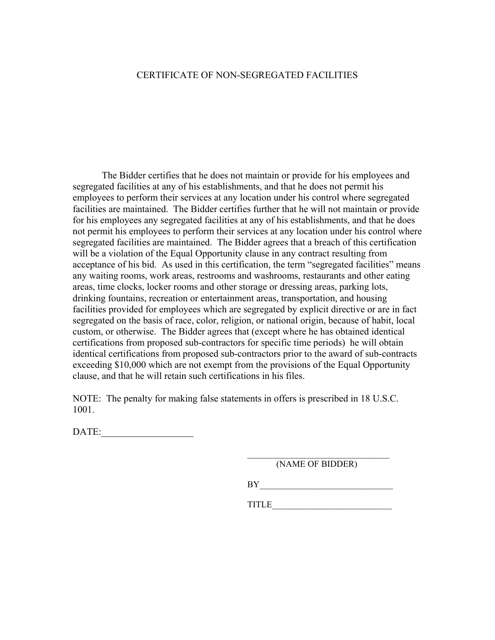#### CERTIFICATE OF NON-SEGREGATED FACILITIES

 The Bidder certifies that he does not maintain or provide for his employees and segregated facilities at any of his establishments, and that he does not permit his employees to perform their services at any location under his control where segregated facilities are maintained. The Bidder certifies further that he will not maintain or provide for his employees any segregated facilities at any of his establishments, and that he does not permit his employees to perform their services at any location under his control where segregated facilities are maintained. The Bidder agrees that a breach of this certification will be a violation of the Equal Opportunity clause in any contract resulting from acceptance of his bid. As used in this certification, the term "segregated facilities" means any waiting rooms, work areas, restrooms and washrooms, restaurants and other eating areas, time clocks, locker rooms and other storage or dressing areas, parking lots, drinking fountains, recreation or entertainment areas, transportation, and housing facilities provided for employees which are segregated by explicit directive or are in fact segregated on the basis of race, color, religion, or national origin, because of habit, local custom, or otherwise. The Bidder agrees that (except where he has obtained identical certifications from proposed sub-contractors for specific time periods) he will obtain identical certifications from proposed sub-contractors prior to the award of sub-contracts exceeding \$10,000 which are not exempt from the provisions of the Equal Opportunity clause, and that he will retain such certifications in his files.

NOTE: The penalty for making false statements in offers is prescribed in 18 U.S.C. 1001.

 $\mathcal{L}_\text{max}$  and  $\mathcal{L}_\text{max}$  and  $\mathcal{L}_\text{max}$  and  $\mathcal{L}_\text{max}$  and  $\mathcal{L}_\text{max}$ 

DATE:\_\_\_\_\_\_\_\_\_\_\_\_\_\_\_\_\_\_\_

(NAME OF BIDDER)

 $BY \tightharpoonup$ 

 $\color{red} \texttt{TIME\_} \color{red} \textcolor{red} \textcolor{black}$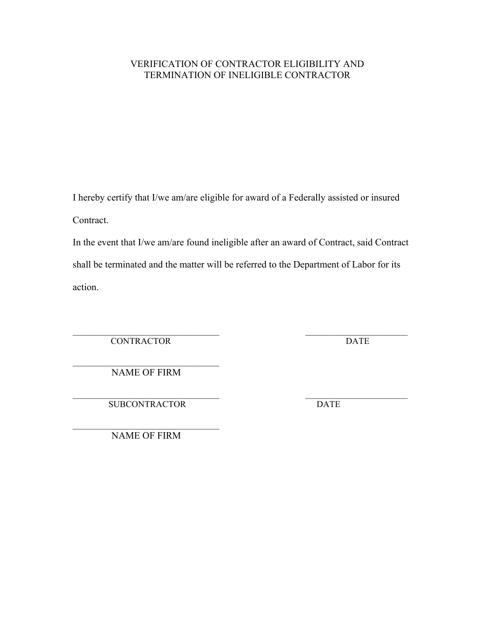#### VERIFICATION OF CONTRACTOR ELIGIBILITY AND TERMINATION OF INELIGIBLE CONTRACTOR

I hereby certify that I/we am/are eligible for award of a Federally assisted or insured Contract.

In the event that I/we am/are found ineligible after an award of Contract, said Contract shall be terminated and the matter will be referred to the Department of Labor for its action.

 $\mathcal{L}_\text{max}$  and the contract of the contract of the contract of the contract of the contract of the contract of CONTRACTOR DATE

 $\mathcal{L}_\text{max}$  , where  $\mathcal{L}_\text{max}$  is the set of  $\mathcal{L}_\text{max}$ NAME OF FIRM

 $\mathcal{L}_\text{max}$  and the contract of the contract of the contract of the contract of the contract of the contract of SUBCONTRACTOR DATE

 $\mathcal{L}_\text{max}$ NAME OF FIRM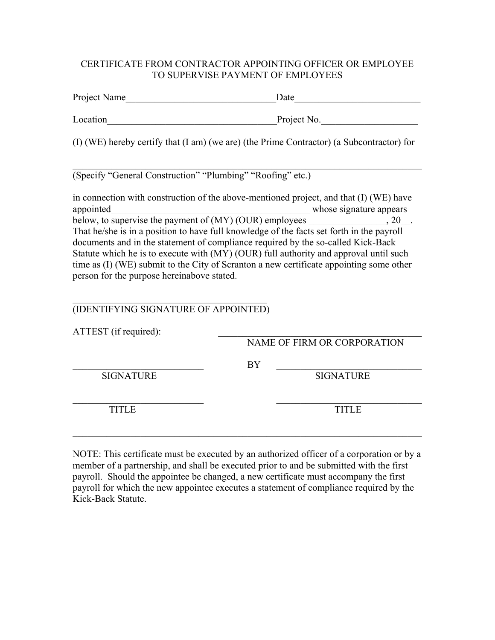#### CERTIFICATE FROM CONTRACTOR APPOINTING OFFICER OR EMPLOYEE TO SUPERVISE PAYMENT OF EMPLOYEES

| Project Name                                                                                                                                                                                                                                                                                                                                                                                                                                                                                              | Date                        |  |  |
|-----------------------------------------------------------------------------------------------------------------------------------------------------------------------------------------------------------------------------------------------------------------------------------------------------------------------------------------------------------------------------------------------------------------------------------------------------------------------------------------------------------|-----------------------------|--|--|
| Location                                                                                                                                                                                                                                                                                                                                                                                                                                                                                                  | Project No.                 |  |  |
| (I) (WE) hereby certify that (I am) (we are) (the Prime Contractor) (a Subcontractor) for                                                                                                                                                                                                                                                                                                                                                                                                                 |                             |  |  |
| (Specify "General Construction" "Plumbing" "Roofing" etc.)                                                                                                                                                                                                                                                                                                                                                                                                                                                |                             |  |  |
| in connection with construction of the above-mentioned project, and that (I) (WE) have<br>That he/she is in a position to have full knowledge of the facts set forth in the payroll<br>documents and in the statement of compliance required by the so-called Kick-Back<br>Statute which he is to execute with (MY) (OUR) full authority and approval until such<br>time as (I) (WE) submit to the City of Scranton a new certificate appointing some other<br>person for the purpose hereinabove stated. |                             |  |  |
| (IDENTIFYING SIGNATURE OF APPOINTED)                                                                                                                                                                                                                                                                                                                                                                                                                                                                      |                             |  |  |
| ATTEST (if required):                                                                                                                                                                                                                                                                                                                                                                                                                                                                                     | NAME OF FIRM OR CORPORATION |  |  |
| BY<br><b>SIGNATURE</b>                                                                                                                                                                                                                                                                                                                                                                                                                                                                                    | <b>SIGNATURE</b>            |  |  |

 $\_$  , and the contribution of  $\overline{\phantom{a}}$  , and  $\overline{\phantom{a}}$  , and  $\overline{\phantom{a}}$  , and  $\overline{\phantom{a}}$  , and  $\overline{\phantom{a}}$ TITLE TITLE TITLE

NOTE: This certificate must be executed by an authorized officer of a corporation or by a member of a partnership, and shall be executed prior to and be submitted with the first payroll. Should the appointee be changed, a new certificate must accompany the first payroll for which the new appointee executes a statement of compliance required by the Kick-Back Statute.

 $\mathcal{L}_\text{max} = \mathcal{L}_\text{max} = \mathcal{L}_\text{max} = \mathcal{L}_\text{max} = \mathcal{L}_\text{max} = \mathcal{L}_\text{max} = \mathcal{L}_\text{max} = \mathcal{L}_\text{max} = \mathcal{L}_\text{max} = \mathcal{L}_\text{max} = \mathcal{L}_\text{max} = \mathcal{L}_\text{max} = \mathcal{L}_\text{max} = \mathcal{L}_\text{max} = \mathcal{L}_\text{max} = \mathcal{L}_\text{max} = \mathcal{L}_\text{max} = \mathcal{L}_\text{max} = \mathcal{$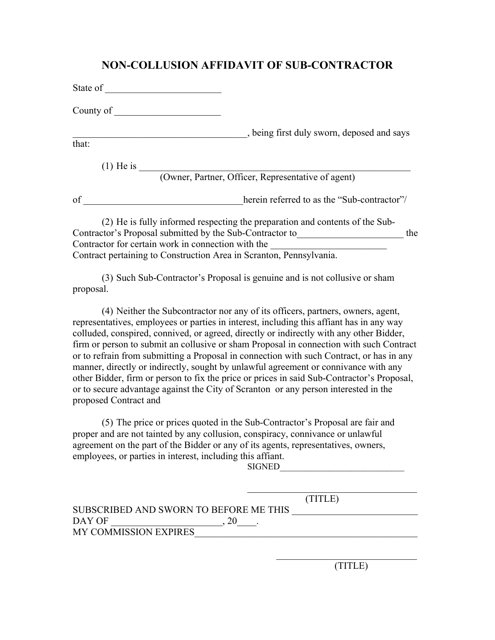#### **NON-COLLUSION AFFIDAVIT OF SUB-CONTRACTOR**

| State of    |                                                                              |  |
|-------------|------------------------------------------------------------------------------|--|
| County of   |                                                                              |  |
|             | , being first duly sworn, deposed and says                                   |  |
| that:       |                                                                              |  |
| $(1)$ He is |                                                                              |  |
|             | (Owner, Partner, Officer, Representative of agent)                           |  |
| of          | herein referred to as the "Sub-contractor"/                                  |  |
|             | (2) He is fully informed respecting the preparation and contents of the Sub- |  |
|             | Contractor's Proposal submitted by the Sub-Contractor to<br>the              |  |
|             | Contractor for certain work in connection with the                           |  |
|             | Contract pertaining to Construction Area in Scranton, Pennsylvania.          |  |

(3) Such Sub-Contractor's Proposal is genuine and is not collusive or sham proposal.

(4) Neither the Subcontractor nor any of its officers, partners, owners, agent, representatives, employees or parties in interest, including this affiant has in any way colluded, conspired, connived, or agreed, directly or indirectly with any other Bidder, firm or person to submit an collusive or sham Proposal in connection with such Contract or to refrain from submitting a Proposal in connection with such Contract, or has in any manner, directly or indirectly, sought by unlawful agreement or connivance with any other Bidder, firm or person to fix the price or prices in said Sub-Contractor's Proposal, or to secure advantage against the City of Scranton or any person interested in the proposed Contract and

(5) The price or prices quoted in the Sub-Contractor's Proposal are fair and proper and are not tainted by any collusion, conspiracy, connivance or unlawful agreement on the part of the Bidder or any of its agents, representatives, owners, employees, or parties in interest, including this affiant.

SIGNED

|                                        | (TITLE) |
|----------------------------------------|---------|
| SUBSCRIBED AND SWORN TO BEFORE ME THIS |         |
| DAY OF                                 |         |
| <b>MY COMMISSION EXPIRES</b>           |         |

 $\mathcal{L}_\text{max}$  , and the set of the set of the set of the set of the set of the set of the set of the set of the set of the set of the set of the set of the set of the set of the set of the set of the set of the set of the (TITLE)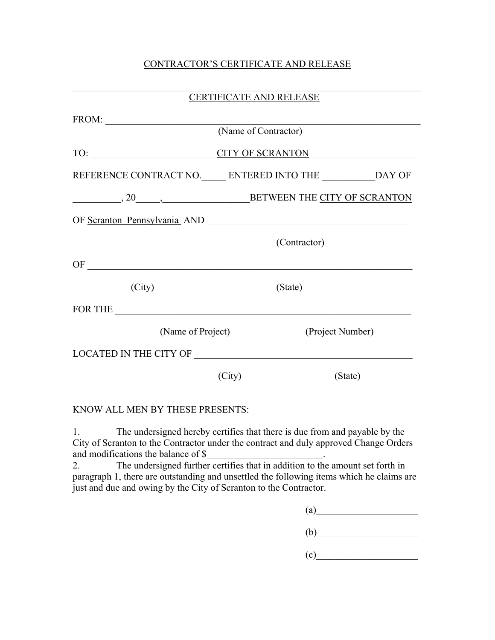#### CONTRACTOR'S CERTIFICATE AND RELEASE

|                                                                                                                                                                                                                                                                                                                                                                                                                                                        | CERTIFICATE AND RELEASE      |  |  |
|--------------------------------------------------------------------------------------------------------------------------------------------------------------------------------------------------------------------------------------------------------------------------------------------------------------------------------------------------------------------------------------------------------------------------------------------------------|------------------------------|--|--|
| $FROM: \begin{tabular}{ c c c } \hline \multicolumn{3}{ c }{\textbf{FROM}}: & \multicolumn{3}{ c }{\textbf{FROM}}: \\ \hline \multicolumn{3}{ c }{\textbf{FROM}}: & \multicolumn{3}{ c }{\textbf{FROM}}: \\ \hline \multicolumn{3}{ c }{\textbf{FROM}}: & \multicolumn{3}{ c }{\textbf{FOM}}: \\ \hline \multicolumn{3}{ c }{\textbf{FROM}}: & \multicolumn{3}{ c }{\textbf{FOM}}: \\ \hline \multicolumn{3}{ c }{\textbf{FROM}}: & \multicolumn{3}{ $ |                              |  |  |
|                                                                                                                                                                                                                                                                                                                                                                                                                                                        | (Name of Contractor)         |  |  |
|                                                                                                                                                                                                                                                                                                                                                                                                                                                        | TO: CITY OF SCRANTON         |  |  |
| REFERENCE CONTRACT NO. ENTERED INTO THE ______________DAY OF                                                                                                                                                                                                                                                                                                                                                                                           |                              |  |  |
|                                                                                                                                                                                                                                                                                                                                                                                                                                                        | BETWEEN THE CITY OF SCRANTON |  |  |
|                                                                                                                                                                                                                                                                                                                                                                                                                                                        |                              |  |  |
|                                                                                                                                                                                                                                                                                                                                                                                                                                                        | (Contractor)                 |  |  |
|                                                                                                                                                                                                                                                                                                                                                                                                                                                        |                              |  |  |
| (City)                                                                                                                                                                                                                                                                                                                                                                                                                                                 | (State)                      |  |  |
| FOR THE                                                                                                                                                                                                                                                                                                                                                                                                                                                |                              |  |  |
| (Name of Project)                                                                                                                                                                                                                                                                                                                                                                                                                                      | (Project Number)             |  |  |
|                                                                                                                                                                                                                                                                                                                                                                                                                                                        |                              |  |  |
|                                                                                                                                                                                                                                                                                                                                                                                                                                                        | (City)<br>(State)            |  |  |

#### KNOW ALL MEN BY THESE PRESENTS:

1. The undersigned hereby certifies that there is due from and payable by the City of Scranton to the Contractor under the contract and duly approved Change Orders and modifications the balance of \$

2. The undersigned further certifies that in addition to the amount set forth in paragraph 1, there are outstanding and unsettled the following items which he claims are just and due and owing by the City of Scranton to the Contractor.

| (a) |  |  |  |
|-----|--|--|--|
| (b) |  |  |  |
| (c) |  |  |  |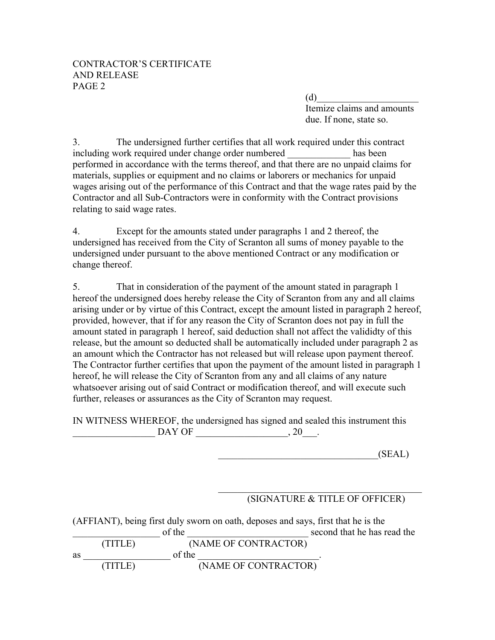#### CONTRACTOR'S CERTIFICATE AND RELEASE PAGE 2

 $(d)$  Itemize claims and amounts due. If none, state so.

3. The undersigned further certifies that all work required under this contract including work required under change order numbered has been performed in accordance with the terms thereof, and that there are no unpaid claims for materials, supplies or equipment and no claims or laborers or mechanics for unpaid wages arising out of the performance of this Contract and that the wage rates paid by the Contractor and all Sub-Contractors were in conformity with the Contract provisions relating to said wage rates.

4. Except for the amounts stated under paragraphs 1 and 2 thereof, the undersigned has received from the City of Scranton all sums of money payable to the undersigned under pursuant to the above mentioned Contract or any modification or change thereof.

5. That in consideration of the payment of the amount stated in paragraph 1 hereof the undersigned does hereby release the City of Scranton from any and all claims arising under or by virtue of this Contract, except the amount listed in paragraph 2 hereof, provided, however, that if for any reason the City of Scranton does not pay in full the amount stated in paragraph 1 hereof, said deduction shall not affect the valididty of this release, but the amount so deducted shall be automatically included under paragraph 2 as an amount which the Contractor has not released but will release upon payment thereof. The Contractor further certifies that upon the payment of the amount listed in paragraph 1 hereof, he will release the City of Scranton from any and all claims of any nature whatsoever arising out of said Contract or modification thereof, and will execute such further, releases or assurances as the City of Scranton may request.

IN WITNESS WHEREOF, the undersigned has signed and sealed this instrument this  $DAY$  OF  $\qquad \qquad \ldots$   $20$ 

 $(SEAL)$ 

#### $\mathcal{L}_\text{max}$ (SIGNATURE & TITLE OF OFFICER)

| (AFFIANT), being first duly sworn on oath, deposes and says, first that he is the |         |        |                      |                             |
|-----------------------------------------------------------------------------------|---------|--------|----------------------|-----------------------------|
|                                                                                   |         | of the |                      | second that he has read the |
|                                                                                   | (TITLE) |        | (NAME OF CONTRACTOR) |                             |
| as                                                                                |         | of the |                      |                             |
|                                                                                   | (TITLE) |        | (NAME OF CONTRACTOR) |                             |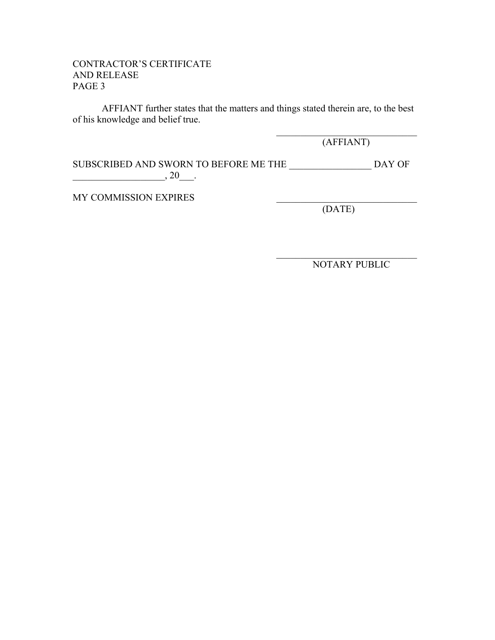#### CONTRACTOR'S CERTIFICATE AND RELEASE PAGE 3

 AFFIANT further states that the matters and things stated therein are, to the best of his knowledge and belief true.

> $\mathcal{L}_\text{max}$  , and the set of the set of the set of the set of the set of the set of the set of the set of the set of the set of the set of the set of the set of the set of the set of the set of the set of the set of the (AFFIANT)

SUBSCRIBED AND SWORN TO BEFORE ME THE  $\hfill$  DAY OF  $\frac{1}{20}$ , 20\_\_\_.

 $\mathcal{L}_\mathcal{L} = \{ \mathcal{L}_\mathcal{L} \mid \mathcal{L}_\mathcal{L} \in \mathcal{L}_\mathcal{L} \}$ 

MY COMMISSION EXPIRES

(DATE)

NOTARY PUBLIC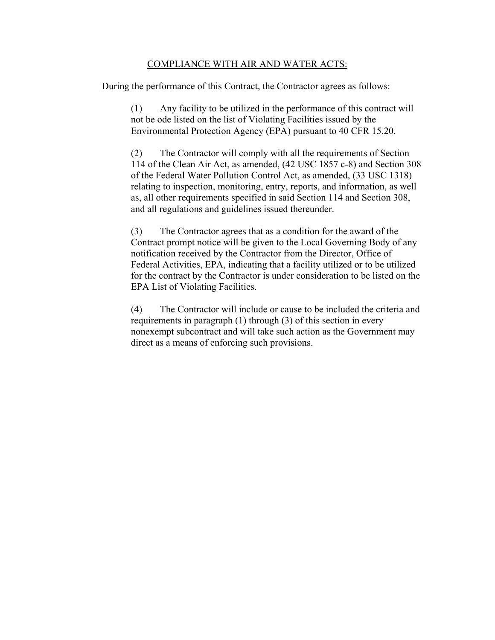#### COMPLIANCE WITH AIR AND WATER ACTS:

During the performance of this Contract, the Contractor agrees as follows:

(1) Any facility to be utilized in the performance of this contract will not be ode listed on the list of Violating Facilities issued by the Environmental Protection Agency (EPA) pursuant to 40 CFR 15.20.

(2) The Contractor will comply with all the requirements of Section 114 of the Clean Air Act, as amended, (42 USC 1857 c-8) and Section 308 of the Federal Water Pollution Control Act, as amended, (33 USC 1318) relating to inspection, monitoring, entry, reports, and information, as well as, all other requirements specified in said Section 114 and Section 308, and all regulations and guidelines issued thereunder.

(3) The Contractor agrees that as a condition for the award of the Contract prompt notice will be given to the Local Governing Body of any notification received by the Contractor from the Director, Office of Federal Activities, EPA, indicating that a facility utilized or to be utilized for the contract by the Contractor is under consideration to be listed on the EPA List of Violating Facilities.

(4) The Contractor will include or cause to be included the criteria and requirements in paragraph (1) through (3) of this section in every nonexempt subcontract and will take such action as the Government may direct as a means of enforcing such provisions.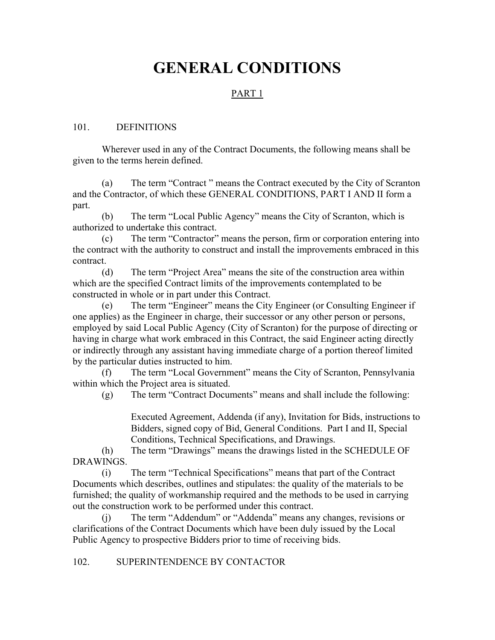## **GENERAL CONDITIONS**

#### PART 1

#### 101. DEFINITIONS

Wherever used in any of the Contract Documents, the following means shall be given to the terms herein defined.

(a) The term "Contract " means the Contract executed by the City of Scranton and the Contractor, of which these GENERAL CONDITIONS, PART I AND II form a part.

(b) The term "Local Public Agency" means the City of Scranton, which is authorized to undertake this contract.

(c) The term "Contractor" means the person, firm or corporation entering into the contract with the authority to construct and install the improvements embraced in this contract.

(d) The term "Project Area" means the site of the construction area within which are the specified Contract limits of the improvements contemplated to be constructed in whole or in part under this Contract.

(e) The term "Engineer" means the City Engineer (or Consulting Engineer if one applies) as the Engineer in charge, their successor or any other person or persons, employed by said Local Public Agency (City of Scranton) for the purpose of directing or having in charge what work embraced in this Contract, the said Engineer acting directly or indirectly through any assistant having immediate charge of a portion thereof limited by the particular duties instructed to him.

(f) The term "Local Government" means the City of Scranton, Pennsylvania within which the Project area is situated.

(g) The term "Contract Documents" means and shall include the following:

Executed Agreement, Addenda (if any), Invitation for Bids, instructions to Bidders, signed copy of Bid, General Conditions. Part I and II, Special Conditions, Technical Specifications, and Drawings.

(h) The term "Drawings" means the drawings listed in the SCHEDULE OF DRAWINGS.

(i) The term "Technical Specifications" means that part of the Contract Documents which describes, outlines and stipulates: the quality of the materials to be furnished; the quality of workmanship required and the methods to be used in carrying out the construction work to be performed under this contract.

(j) The term "Addendum" or "Addenda" means any changes, revisions or clarifications of the Contract Documents which have been duly issued by the Local Public Agency to prospective Bidders prior to time of receiving bids.

#### 102. SUPERINTENDENCE BY CONTACTOR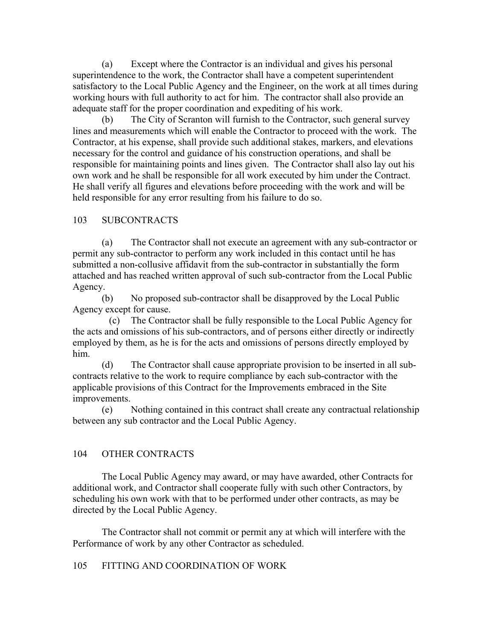(a) Except where the Contractor is an individual and gives his personal superintendence to the work, the Contractor shall have a competent superintendent satisfactory to the Local Public Agency and the Engineer, on the work at all times during working hours with full authority to act for him. The contractor shall also provide an adequate staff for the proper coordination and expediting of his work.

(b) The City of Scranton will furnish to the Contractor, such general survey lines and measurements which will enable the Contractor to proceed with the work. The Contractor, at his expense, shall provide such additional stakes, markers, and elevations necessary for the control and guidance of his construction operations, and shall be responsible for maintaining points and lines given. The Contractor shall also lay out his own work and he shall be responsible for all work executed by him under the Contract. He shall verify all figures and elevations before proceeding with the work and will be held responsible for any error resulting from his failure to do so.

#### 103 SUBCONTRACTS

(a) The Contractor shall not execute an agreement with any sub-contractor or permit any sub-contractor to perform any work included in this contact until he has submitted a non-collusive affidavit from the sub-contractor in substantially the form attached and has reached written approval of such sub-contractor from the Local Public Agency.

(b) No proposed sub-contractor shall be disapproved by the Local Public Agency except for cause.

(c) The Contractor shall be fully responsible to the Local Public Agency for the acts and omissions of his sub-contractors, and of persons either directly or indirectly employed by them, as he is for the acts and omissions of persons directly employed by him.

(d) The Contractor shall cause appropriate provision to be inserted in all subcontracts relative to the work to require compliance by each sub-contractor with the applicable provisions of this Contract for the Improvements embraced in the Site improvements.

(e) Nothing contained in this contract shall create any contractual relationship between any sub contractor and the Local Public Agency.

#### 104 OTHER CONTRACTS

The Local Public Agency may award, or may have awarded, other Contracts for additional work, and Contractor shall cooperate fully with such other Contractors, by scheduling his own work with that to be performed under other contracts, as may be directed by the Local Public Agency.

The Contractor shall not commit or permit any at which will interfere with the Performance of work by any other Contractor as scheduled.

#### 105 FITTING AND COORDINATION OF WORK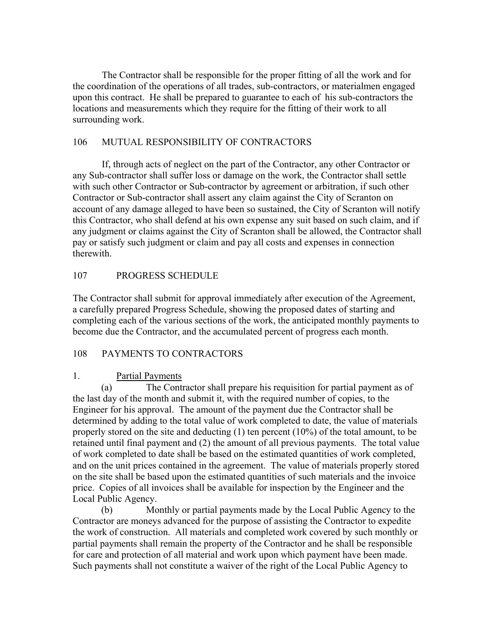The Contractor shall be responsible for the proper fitting of all the work and for the coordination of the operations of all trades, sub-contractors, or materialmen engaged upon this contract. He shall be prepared to guarantee to each of his sub-contractors the locations and measurements which they require for the fitting of their work to all surrounding work.

# 106 MUTUAL RESPONSIBILITY OF CONTRACTORS

If, through acts of neglect on the part of the Contractor, any other Contractor or any Sub-contractor shall suffer loss or damage on the work, the Contractor shall settle with such other Contractor or Sub-contractor by agreement or arbitration, if such other Contractor or Sub-contractor shall assert any claim against the City of Scranton on account of any damage alleged to have been so sustained, the City of Scranton will notify this Contractor, who shall defend at his own expense any suit based on such claim, and if any judgment or claims against the City of Scranton shall be allowed, the Contractor shall pay or satisfy such judgment or claim and pay all costs and expenses in connection therewith.

# 107 PROGRESS SCHEDULE

The Contractor shall submit for approval immediately after execution of the Agreement, a carefully prepared Progress Schedule, showing the proposed dates of starting and completing each of the various sections of the work, the anticipated monthly payments to become due the Contractor, and the accumulated percent of progress each month.

#### 108 PAYMENTS TO CONTRACTORS

#### 1. Partial Payments

(a) The Contractor shall prepare his requisition for partial payment as of the last day of the month and submit it, with the required number of copies, to the Engineer for his approval. The amount of the payment due the Contractor shall be determined by adding to the total value of work completed to date, the value of materials properly stored on the site and deducting (1) ten percent (10%) of the total amount, to be retained until final payment and (2) the amount of all previous payments. The total value of work completed to date shall be based on the estimated quantities of work completed, and on the unit prices contained in the agreement. The value of materials properly stored on the site shall be based upon the estimated quantities of such materials and the invoice price. Copies of all invoices shall be available for inspection by the Engineer and the Local Public Agency.

(b) Monthly or partial payments made by the Local Public Agency to the Contractor are moneys advanced for the purpose of assisting the Contractor to expedite the work of construction. All materials and completed work covered by such monthly or partial payments shall remain the property of the Contractor and he shall be responsible for care and protection of all material and work upon which payment have been made. Such payments shall not constitute a waiver of the right of the Local Public Agency to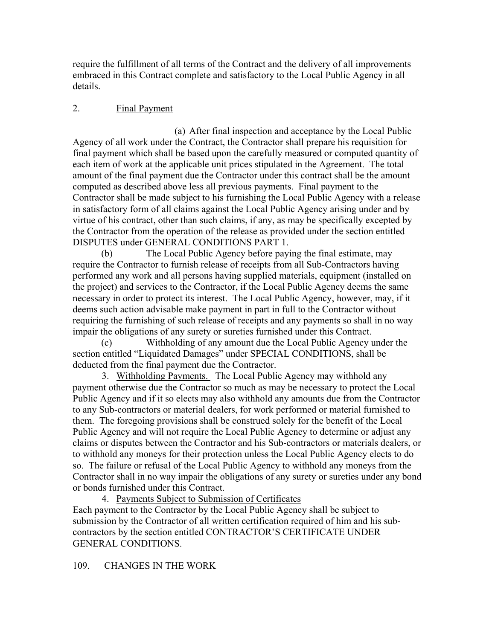require the fulfillment of all terms of the Contract and the delivery of all improvements embraced in this Contract complete and satisfactory to the Local Public Agency in all details.

# 2. Final Payment

(a) After final inspection and acceptance by the Local Public Agency of all work under the Contract, the Contractor shall prepare his requisition for final payment which shall be based upon the carefully measured or computed quantity of each item of work at the applicable unit prices stipulated in the Agreement. The total amount of the final payment due the Contractor under this contract shall be the amount computed as described above less all previous payments. Final payment to the Contractor shall be made subject to his furnishing the Local Public Agency with a release in satisfactory form of all claims against the Local Public Agency arising under and by virtue of his contract, other than such claims, if any, as may be specifically excepted by the Contractor from the operation of the release as provided under the section entitled DISPUTES under GENERAL CONDITIONS PART 1.

(b) The Local Public Agency before paying the final estimate, may require the Contractor to furnish release of receipts from all Sub-Contractors having performed any work and all persons having supplied materials, equipment (installed on the project) and services to the Contractor, if the Local Public Agency deems the same necessary in order to protect its interest. The Local Public Agency, however, may, if it deems such action advisable make payment in part in full to the Contractor without requiring the furnishing of such release of receipts and any payments so shall in no way impair the obligations of any surety or sureties furnished under this Contract.

(c) Withholding of any amount due the Local Public Agency under the section entitled "Liquidated Damages" under SPECIAL CONDITIONS, shall be deducted from the final payment due the Contractor.

3. Withholding Payments. The Local Public Agency may withhold any payment otherwise due the Contractor so much as may be necessary to protect the Local Public Agency and if it so elects may also withhold any amounts due from the Contractor to any Sub-contractors or material dealers, for work performed or material furnished to them. The foregoing provisions shall be construed solely for the benefit of the Local Public Agency and will not require the Local Public Agency to determine or adjust any claims or disputes between the Contractor and his Sub-contractors or materials dealers, or to withhold any moneys for their protection unless the Local Public Agency elects to do so. The failure or refusal of the Local Public Agency to withhold any moneys from the Contractor shall in no way impair the obligations of any surety or sureties under any bond or bonds furnished under this Contract.

4. Payments Subject to Submission of Certificates Each payment to the Contractor by the Local Public Agency shall be subject to submission by the Contractor of all written certification required of him and his subcontractors by the section entitled CONTRACTOR'S CERTIFICATE UNDER GENERAL CONDITIONS.

# 109. CHANGES IN THE WORK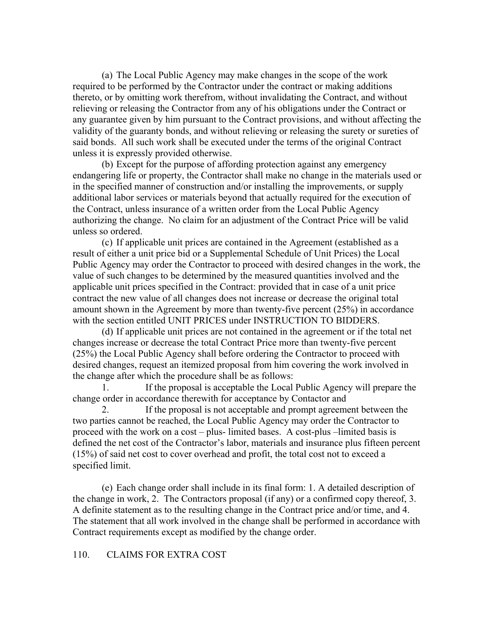(a) The Local Public Agency may make changes in the scope of the work required to be performed by the Contractor under the contract or making additions thereto, or by omitting work therefrom, without invalidating the Contract, and without relieving or releasing the Contractor from any of his obligations under the Contract or any guarantee given by him pursuant to the Contract provisions, and without affecting the validity of the guaranty bonds, and without relieving or releasing the surety or sureties of said bonds. All such work shall be executed under the terms of the original Contract unless it is expressly provided otherwise.

(b) Except for the purpose of affording protection against any emergency endangering life or property, the Contractor shall make no change in the materials used or in the specified manner of construction and/or installing the improvements, or supply additional labor services or materials beyond that actually required for the execution of the Contract, unless insurance of a written order from the Local Public Agency authorizing the change. No claim for an adjustment of the Contract Price will be valid unless so ordered.

(c) If applicable unit prices are contained in the Agreement (established as a result of either a unit price bid or a Supplemental Schedule of Unit Prices) the Local Public Agency may order the Contractor to proceed with desired changes in the work, the value of such changes to be determined by the measured quantities involved and the applicable unit prices specified in the Contract: provided that in case of a unit price contract the new value of all changes does not increase or decrease the original total amount shown in the Agreement by more than twenty-five percent (25%) in accordance with the section entitled UNIT PRICES under INSTRUCTION TO BIDDERS.

(d) If applicable unit prices are not contained in the agreement or if the total net changes increase or decrease the total Contract Price more than twenty-five percent (25%) the Local Public Agency shall before ordering the Contractor to proceed with desired changes, request an itemized proposal from him covering the work involved in the change after which the procedure shall be as follows:

1. If the proposal is acceptable the Local Public Agency will prepare the change order in accordance therewith for acceptance by Contactor and

2. If the proposal is not acceptable and prompt agreement between the two parties cannot be reached, the Local Public Agency may order the Contractor to proceed with the work on a cost – plus- limited bases. A cost-plus –limited basis is defined the net cost of the Contractor's labor, materials and insurance plus fifteen percent (15%) of said net cost to cover overhead and profit, the total cost not to exceed a specified limit.

(e) Each change order shall include in its final form: 1. A detailed description of the change in work, 2. The Contractors proposal (if any) or a confirmed copy thereof, 3. A definite statement as to the resulting change in the Contract price and/or time, and 4. The statement that all work involved in the change shall be performed in accordance with Contract requirements except as modified by the change order.

#### 110. CLAIMS FOR EXTRA COST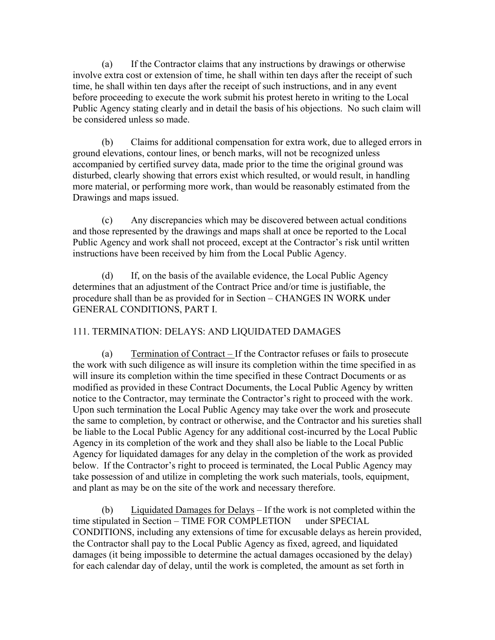(a) If the Contractor claims that any instructions by drawings or otherwise involve extra cost or extension of time, he shall within ten days after the receipt of such time, he shall within ten days after the receipt of such instructions, and in any event before proceeding to execute the work submit his protest hereto in writing to the Local Public Agency stating clearly and in detail the basis of his objections. No such claim will be considered unless so made.

(b) Claims for additional compensation for extra work, due to alleged errors in ground elevations, contour lines, or bench marks, will not be recognized unless accompanied by certified survey data, made prior to the time the original ground was disturbed, clearly showing that errors exist which resulted, or would result, in handling more material, or performing more work, than would be reasonably estimated from the Drawings and maps issued.

(c) Any discrepancies which may be discovered between actual conditions and those represented by the drawings and maps shall at once be reported to the Local Public Agency and work shall not proceed, except at the Contractor's risk until written instructions have been received by him from the Local Public Agency.

(d) If, on the basis of the available evidence, the Local Public Agency determines that an adjustment of the Contract Price and/or time is justifiable, the procedure shall than be as provided for in Section – CHANGES IN WORK under GENERAL CONDITIONS, PART I.

#### 111. TERMINATION: DELAYS: AND LIQUIDATED DAMAGES

(a) Termination of Contract – If the Contractor refuses or fails to prosecute the work with such diligence as will insure its completion within the time specified in as will insure its completion within the time specified in these Contract Documents or as modified as provided in these Contract Documents, the Local Public Agency by written notice to the Contractor, may terminate the Contractor's right to proceed with the work. Upon such termination the Local Public Agency may take over the work and prosecute the same to completion, by contract or otherwise, and the Contractor and his sureties shall be liable to the Local Public Agency for any additional cost-incurred by the Local Public Agency in its completion of the work and they shall also be liable to the Local Public Agency for liquidated damages for any delay in the completion of the work as provided below. If the Contractor's right to proceed is terminated, the Local Public Agency may take possession of and utilize in completing the work such materials, tools, equipment, and plant as may be on the site of the work and necessary therefore.

(b) Liquidated Damages for Delays  $-$  If the work is not completed within the time stipulated in Section – TIME FOR COMPLETION under SPECIAL CONDITIONS, including any extensions of time for excusable delays as herein provided, the Contractor shall pay to the Local Public Agency as fixed, agreed, and liquidated damages (it being impossible to determine the actual damages occasioned by the delay) for each calendar day of delay, until the work is completed, the amount as set forth in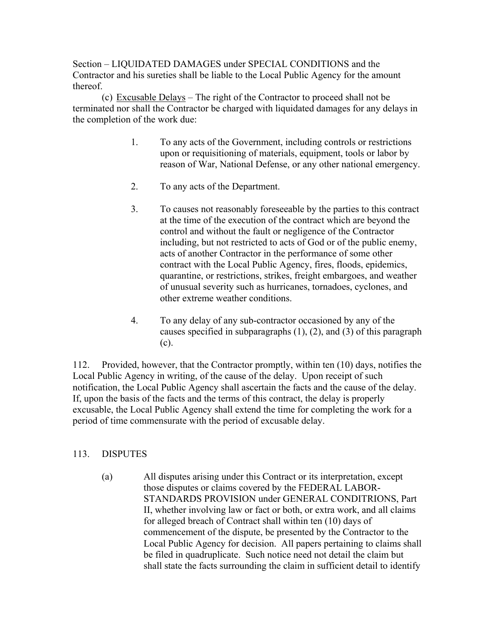Section – LIQUIDATED DAMAGES under SPECIAL CONDITIONS and the Contractor and his sureties shall be liable to the Local Public Agency for the amount thereof.

(c) Excusable Delays – The right of the Contractor to proceed shall not be terminated nor shall the Contractor be charged with liquidated damages for any delays in the completion of the work due:

- 1. To any acts of the Government, including controls or restrictions upon or requisitioning of materials, equipment, tools or labor by reason of War, National Defense, or any other national emergency.
- 2. To any acts of the Department.
- 3. To causes not reasonably foreseeable by the parties to this contract at the time of the execution of the contract which are beyond the control and without the fault or negligence of the Contractor including, but not restricted to acts of God or of the public enemy, acts of another Contractor in the performance of some other contract with the Local Public Agency, fires, floods, epidemics, quarantine, or restrictions, strikes, freight embargoes, and weather of unusual severity such as hurricanes, tornadoes, cyclones, and other extreme weather conditions.
- 4. To any delay of any sub-contractor occasioned by any of the causes specified in subparagraphs (1), (2), and (3) of this paragraph (c).

112. Provided, however, that the Contractor promptly, within ten (10) days, notifies the Local Public Agency in writing, of the cause of the delay. Upon receipt of such notification, the Local Public Agency shall ascertain the facts and the cause of the delay. If, upon the basis of the facts and the terms of this contract, the delay is properly excusable, the Local Public Agency shall extend the time for completing the work for a period of time commensurate with the period of excusable delay.

# 113. DISPUTES

(a) All disputes arising under this Contract or its interpretation, except those disputes or claims covered by the FEDERAL LABOR-STANDARDS PROVISION under GENERAL CONDITRIONS, Part II, whether involving law or fact or both, or extra work, and all claims for alleged breach of Contract shall within ten (10) days of commencement of the dispute, be presented by the Contractor to the Local Public Agency for decision. All papers pertaining to claims shall be filed in quadruplicate. Such notice need not detail the claim but shall state the facts surrounding the claim in sufficient detail to identify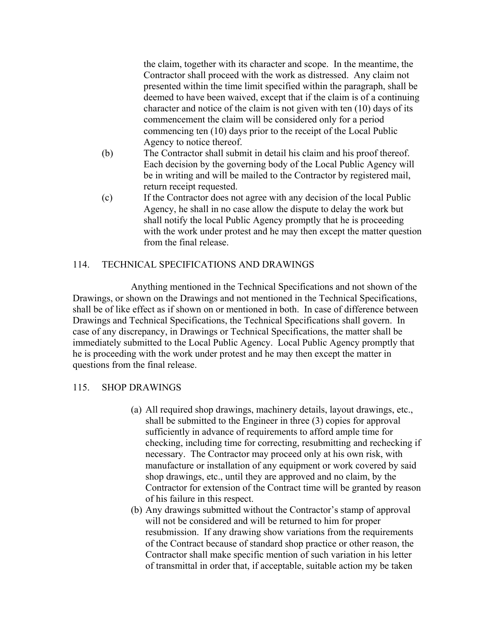the claim, together with its character and scope. In the meantime, the Contractor shall proceed with the work as distressed. Any claim not presented within the time limit specified within the paragraph, shall be deemed to have been waived, except that if the claim is of a continuing character and notice of the claim is not given with ten (10) days of its commencement the claim will be considered only for a period commencing ten (10) days prior to the receipt of the Local Public Agency to notice thereof.

- (b) The Contractor shall submit in detail his claim and his proof thereof. Each decision by the governing body of the Local Public Agency will be in writing and will be mailed to the Contractor by registered mail, return receipt requested.
- (c) If the Contractor does not agree with any decision of the local Public Agency, he shall in no case allow the dispute to delay the work but shall notify the local Public Agency promptly that he is proceeding with the work under protest and he may then except the matter question from the final release.

#### 114. TECHNICAL SPECIFICATIONS AND DRAWINGS

 Anything mentioned in the Technical Specifications and not shown of the Drawings, or shown on the Drawings and not mentioned in the Technical Specifications, shall be of like effect as if shown on or mentioned in both. In case of difference between Drawings and Technical Specifications, the Technical Specifications shall govern. In case of any discrepancy, in Drawings or Technical Specifications, the matter shall be immediately submitted to the Local Public Agency. Local Public Agency promptly that he is proceeding with the work under protest and he may then except the matter in questions from the final release.

#### 115. SHOP DRAWINGS

- (a) All required shop drawings, machinery details, layout drawings, etc., shall be submitted to the Engineer in three (3) copies for approval sufficiently in advance of requirements to afford ample time for checking, including time for correcting, resubmitting and rechecking if necessary. The Contractor may proceed only at his own risk, with manufacture or installation of any equipment or work covered by said shop drawings, etc., until they are approved and no claim, by the Contractor for extension of the Contract time will be granted by reason of his failure in this respect.
- (b) Any drawings submitted without the Contractor's stamp of approval will not be considered and will be returned to him for proper resubmission. If any drawing show variations from the requirements of the Contract because of standard shop practice or other reason, the Contractor shall make specific mention of such variation in his letter of transmittal in order that, if acceptable, suitable action my be taken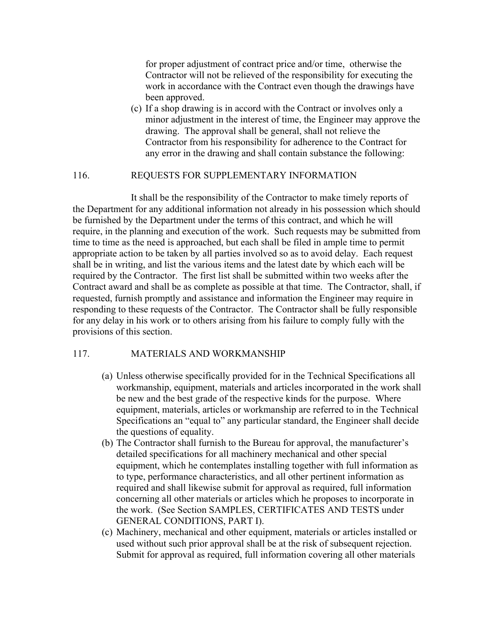for proper adjustment of contract price and/or time, otherwise the Contractor will not be relieved of the responsibility for executing the work in accordance with the Contract even though the drawings have been approved.

(c) If a shop drawing is in accord with the Contract or involves only a minor adjustment in the interest of time, the Engineer may approve the drawing. The approval shall be general, shall not relieve the Contractor from his responsibility for adherence to the Contract for any error in the drawing and shall contain substance the following:

#### 116. REQUESTS FOR SUPPLEMENTARY INFORMATION

 It shall be the responsibility of the Contractor to make timely reports of the Department for any additional information not already in his possession which should be furnished by the Department under the terms of this contract, and which he will require, in the planning and execution of the work. Such requests may be submitted from time to time as the need is approached, but each shall be filed in ample time to permit appropriate action to be taken by all parties involved so as to avoid delay. Each request shall be in writing, and list the various items and the latest date by which each will be required by the Contractor. The first list shall be submitted within two weeks after the Contract award and shall be as complete as possible at that time. The Contractor, shall, if requested, furnish promptly and assistance and information the Engineer may require in responding to these requests of the Contractor. The Contractor shall be fully responsible for any delay in his work or to others arising from his failure to comply fully with the provisions of this section.

#### 117. MATERIALS AND WORKMANSHIP

- (a) Unless otherwise specifically provided for in the Technical Specifications all workmanship, equipment, materials and articles incorporated in the work shall be new and the best grade of the respective kinds for the purpose. Where equipment, materials, articles or workmanship are referred to in the Technical Specifications an "equal to" any particular standard, the Engineer shall decide the questions of equality.
- (b) The Contractor shall furnish to the Bureau for approval, the manufacturer's detailed specifications for all machinery mechanical and other special equipment, which he contemplates installing together with full information as to type, performance characteristics, and all other pertinent information as required and shall likewise submit for approval as required, full information concerning all other materials or articles which he proposes to incorporate in the work. (See Section SAMPLES, CERTIFICATES AND TESTS under GENERAL CONDITIONS, PART I).
- (c) Machinery, mechanical and other equipment, materials or articles installed or used without such prior approval shall be at the risk of subsequent rejection. Submit for approval as required, full information covering all other materials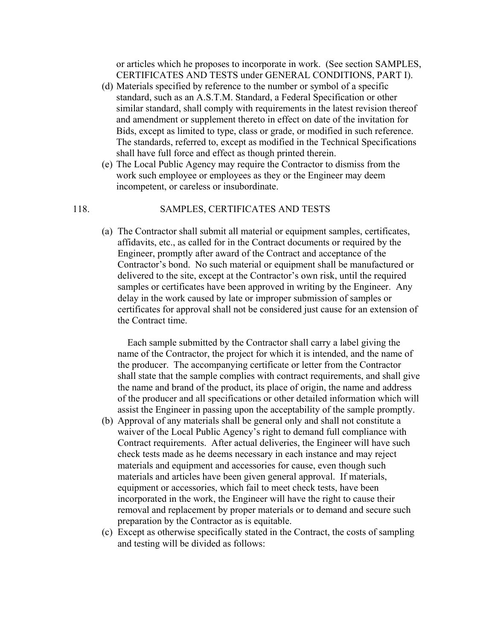or articles which he proposes to incorporate in work. (See section SAMPLES, CERTIFICATES AND TESTS under GENERAL CONDITIONS, PART I).

- (d) Materials specified by reference to the number or symbol of a specific standard, such as an A.S.T.M. Standard, a Federal Specification or other similar standard, shall comply with requirements in the latest revision thereof and amendment or supplement thereto in effect on date of the invitation for Bids, except as limited to type, class or grade, or modified in such reference. The standards, referred to, except as modified in the Technical Specifications shall have full force and effect as though printed therein.
- (e) The Local Public Agency may require the Contractor to dismiss from the work such employee or employees as they or the Engineer may deem incompetent, or careless or insubordinate.

# 118. SAMPLES, CERTIFICATES AND TESTS

(a) The Contractor shall submit all material or equipment samples, certificates, affidavits, etc., as called for in the Contract documents or required by the Engineer, promptly after award of the Contract and acceptance of the Contractor's bond. No such material or equipment shall be manufactured or delivered to the site, except at the Contractor's own risk, until the required samples or certificates have been approved in writing by the Engineer. Any delay in the work caused by late or improper submission of samples or certificates for approval shall not be considered just cause for an extension of the Contract time.

 Each sample submitted by the Contractor shall carry a label giving the name of the Contractor, the project for which it is intended, and the name of the producer. The accompanying certificate or letter from the Contractor shall state that the sample complies with contract requirements, and shall give the name and brand of the product, its place of origin, the name and address of the producer and all specifications or other detailed information which will assist the Engineer in passing upon the acceptability of the sample promptly.

- (b) Approval of any materials shall be general only and shall not constitute a waiver of the Local Public Agency's right to demand full compliance with Contract requirements. After actual deliveries, the Engineer will have such check tests made as he deems necessary in each instance and may reject materials and equipment and accessories for cause, even though such materials and articles have been given general approval. If materials, equipment or accessories, which fail to meet check tests, have been incorporated in the work, the Engineer will have the right to cause their removal and replacement by proper materials or to demand and secure such preparation by the Contractor as is equitable.
- (c) Except as otherwise specifically stated in the Contract, the costs of sampling and testing will be divided as follows: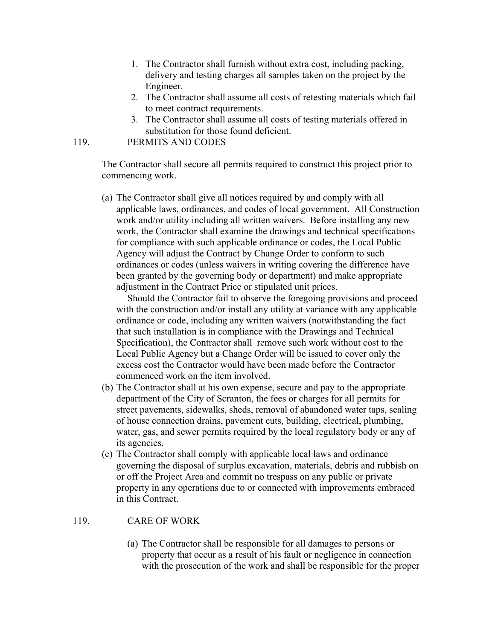- 1. The Contractor shall furnish without extra cost, including packing, delivery and testing charges all samples taken on the project by the Engineer.
- 2. The Contractor shall assume all costs of retesting materials which fail to meet contract requirements.
- 3. The Contractor shall assume all costs of testing materials offered in substitution for those found deficient.

#### 119. PERMITS AND CODES

The Contractor shall secure all permits required to construct this project prior to commencing work.

(a) The Contractor shall give all notices required by and comply with all applicable laws, ordinances, and codes of local government. All Construction work and/or utility including all written waivers. Before installing any new work, the Contractor shall examine the drawings and technical specifications for compliance with such applicable ordinance or codes, the Local Public Agency will adjust the Contract by Change Order to conform to such ordinances or codes (unless waivers in writing covering the difference have been granted by the governing body or department) and make appropriate adjustment in the Contract Price or stipulated unit prices.

 Should the Contractor fail to observe the foregoing provisions and proceed with the construction and/or install any utility at variance with any applicable ordinance or code, including any written waivers (notwithstanding the fact that such installation is in compliance with the Drawings and Technical Specification), the Contractor shall remove such work without cost to the Local Public Agency but a Change Order will be issued to cover only the excess cost the Contractor would have been made before the Contractor commenced work on the item involved.

- (b) The Contractor shall at his own expense, secure and pay to the appropriate department of the City of Scranton, the fees or charges for all permits for street pavements, sidewalks, sheds, removal of abandoned water taps, sealing of house connection drains, pavement cuts, building, electrical, plumbing, water, gas, and sewer permits required by the local regulatory body or any of its agencies.
- (c) The Contractor shall comply with applicable local laws and ordinance governing the disposal of surplus excavation, materials, debris and rubbish on or off the Project Area and commit no trespass on any public or private property in any operations due to or connected with improvements embraced in this Contract.

#### 119. CARE OF WORK

(a) The Contractor shall be responsible for all damages to persons or property that occur as a result of his fault or negligence in connection with the prosecution of the work and shall be responsible for the proper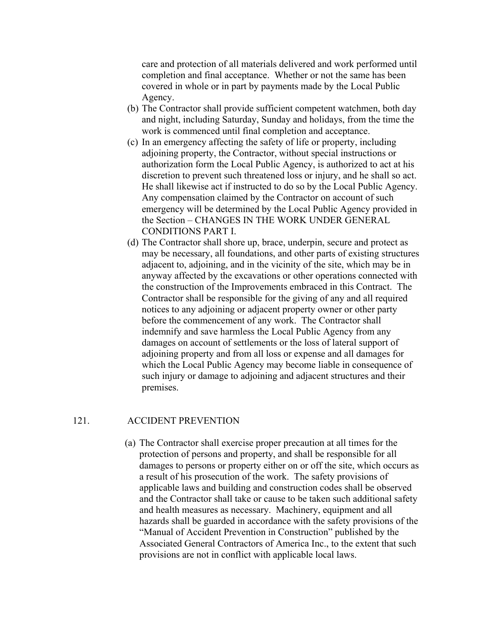care and protection of all materials delivered and work performed until completion and final acceptance. Whether or not the same has been covered in whole or in part by payments made by the Local Public Agency.

- (b) The Contractor shall provide sufficient competent watchmen, both day and night, including Saturday, Sunday and holidays, from the time the work is commenced until final completion and acceptance.
- (c) In an emergency affecting the safety of life or property, including adjoining property, the Contractor, without special instructions or authorization form the Local Public Agency, is authorized to act at his discretion to prevent such threatened loss or injury, and he shall so act. He shall likewise act if instructed to do so by the Local Public Agency. Any compensation claimed by the Contractor on account of such emergency will be determined by the Local Public Agency provided in the Section – CHANGES IN THE WORK UNDER GENERAL CONDITIONS PART I.
- (d) The Contractor shall shore up, brace, underpin, secure and protect as may be necessary, all foundations, and other parts of existing structures adjacent to, adjoining, and in the vicinity of the site, which may be in anyway affected by the excavations or other operations connected with the construction of the Improvements embraced in this Contract. The Contractor shall be responsible for the giving of any and all required notices to any adjoining or adjacent property owner or other party before the commencement of any work. The Contractor shall indemnify and save harmless the Local Public Agency from any damages on account of settlements or the loss of lateral support of adjoining property and from all loss or expense and all damages for which the Local Public Agency may become liable in consequence of such injury or damage to adjoining and adjacent structures and their premises.

#### 121. ACCIDENT PREVENTION

(a) The Contractor shall exercise proper precaution at all times for the protection of persons and property, and shall be responsible for all damages to persons or property either on or off the site, which occurs as a result of his prosecution of the work. The safety provisions of applicable laws and building and construction codes shall be observed and the Contractor shall take or cause to be taken such additional safety and health measures as necessary. Machinery, equipment and all hazards shall be guarded in accordance with the safety provisions of the "Manual of Accident Prevention in Construction" published by the Associated General Contractors of America Inc., to the extent that such provisions are not in conflict with applicable local laws.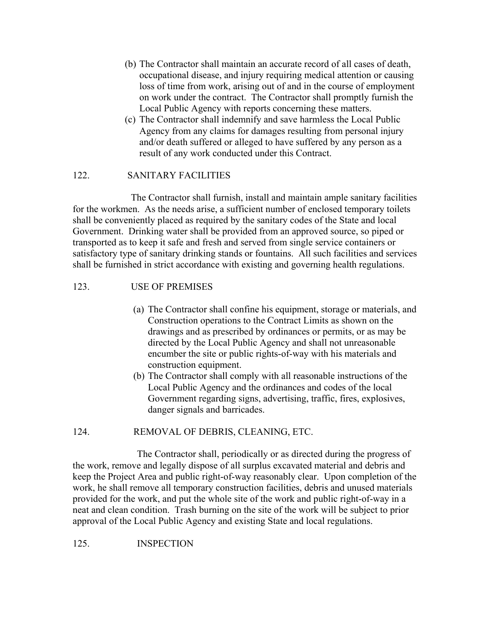- (b) The Contractor shall maintain an accurate record of all cases of death, occupational disease, and injury requiring medical attention or causing loss of time from work, arising out of and in the course of employment on work under the contract. The Contractor shall promptly furnish the Local Public Agency with reports concerning these matters.
- (c) The Contractor shall indemnify and save harmless the Local Public Agency from any claims for damages resulting from personal injury and/or death suffered or alleged to have suffered by any person as a result of any work conducted under this Contract.

# 122. SANITARY FACILITIES

 The Contractor shall furnish, install and maintain ample sanitary facilities for the workmen. As the needs arise, a sufficient number of enclosed temporary toilets shall be conveniently placed as required by the sanitary codes of the State and local Government. Drinking water shall be provided from an approved source, so piped or transported as to keep it safe and fresh and served from single service containers or satisfactory type of sanitary drinking stands or fountains. All such facilities and services shall be furnished in strict accordance with existing and governing health regulations.

# 123. USE OF PREMISES

- (a) The Contractor shall confine his equipment, storage or materials, and Construction operations to the Contract Limits as shown on the drawings and as prescribed by ordinances or permits, or as may be directed by the Local Public Agency and shall not unreasonable encumber the site or public rights-of-way with his materials and construction equipment.
- (b) The Contractor shall comply with all reasonable instructions of the Local Public Agency and the ordinances and codes of the local Government regarding signs, advertising, traffic, fires, explosives, danger signals and barricades.

#### 124. REMOVAL OF DEBRIS, CLEANING, ETC.

 The Contractor shall, periodically or as directed during the progress of the work, remove and legally dispose of all surplus excavated material and debris and keep the Project Area and public right-of-way reasonably clear. Upon completion of the work, he shall remove all temporary construction facilities, debris and unused materials provided for the work, and put the whole site of the work and public right-of-way in a neat and clean condition. Trash burning on the site of the work will be subject to prior approval of the Local Public Agency and existing State and local regulations.

#### 125. INSPECTION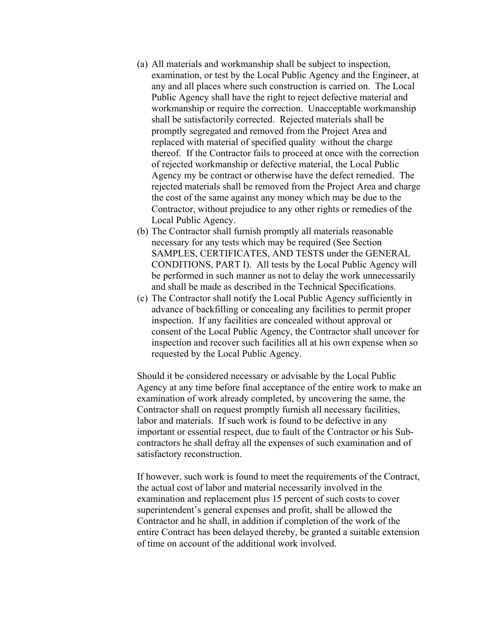- (a) All materials and workmanship shall be subject to inspection, examination, or test by the Local Public Agency and the Engineer, at any and all places where such construction is carried on. The Local Public Agency shall have the right to reject defective material and workmanship or require the correction. Unacceptable workmanship shall be satisfactorily corrected. Rejected materials shall be promptly segregated and removed from the Project Area and replaced with material of specified quality without the charge thereof. If the Contractor fails to proceed at once with the correction of rejected workmanship or defective material, the Local Public Agency my be contract or otherwise have the defect remedied. The rejected materials shall be removed from the Project Area and charge the cost of the same against any money which may be due to the Contractor, without prejudice to any other rights or remedies of the Local Public Agency.
- (b) The Contractor shall furnish promptly all materials reasonable necessary for any tests which may be required (See Section SAMPLES, CERTIFICATES, AND TESTS under the GENERAL CONDITIONS, PART I). All tests by the Local Public Agency will be performed in such manner as not to delay the work unnecessarily and shall be made as described in the Technical Specifications.
- (c) The Contractor shall notify the Local Public Agency sufficiently in advance of backfilling or concealing any facilities to permit proper inspection. If any facilities are concealed without approval or consent of the Local Public Agency, the Contractor shall uncover for inspection and recover such facilities all at his own expense when so requested by the Local Public Agency.

Should it be considered necessary or advisable by the Local Public Agency at any time before final acceptance of the entire work to make an examination of work already completed, by uncovering the same, the Contractor shall on request promptly furnish all necessary facilities, labor and materials. If such work is found to be defective in any important or essential respect, due to fault of the Contractor or his Subcontractors he shall defray all the expenses of such examination and of satisfactory reconstruction.

If however, such work is found to meet the requirements of the Contract, the actual cost of labor and material necessarily involved in the examination and replacement plus 15 percent of such costs to cover superintendent's general expenses and profit, shall be allowed the Contractor and he shall, in addition if completion of the work of the entire Contract has been delayed thereby, be granted a suitable extension of time on account of the additional work involved.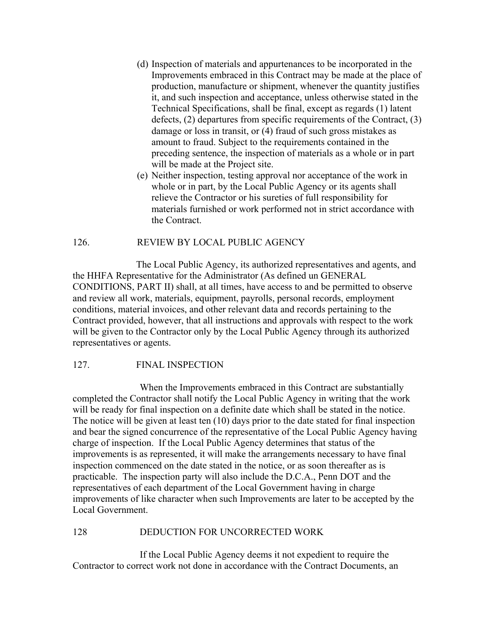- (d) Inspection of materials and appurtenances to be incorporated in the Improvements embraced in this Contract may be made at the place of production, manufacture or shipment, whenever the quantity justifies it, and such inspection and acceptance, unless otherwise stated in the Technical Specifications, shall be final, except as regards (1) latent defects, (2) departures from specific requirements of the Contract, (3) damage or loss in transit, or (4) fraud of such gross mistakes as amount to fraud. Subject to the requirements contained in the preceding sentence, the inspection of materials as a whole or in part will be made at the Project site.
- (e) Neither inspection, testing approval nor acceptance of the work in whole or in part, by the Local Public Agency or its agents shall relieve the Contractor or his sureties of full responsibility for materials furnished or work performed not in strict accordance with the Contract.

#### 126. REVIEW BY LOCAL PUBLIC AGENCY

 The Local Public Agency, its authorized representatives and agents, and the HHFA Representative for the Administrator (As defined un GENERAL CONDITIONS, PART II) shall, at all times, have access to and be permitted to observe and review all work, materials, equipment, payrolls, personal records, employment conditions, material invoices, and other relevant data and records pertaining to the Contract provided, however, that all instructions and approvals with respect to the work will be given to the Contractor only by the Local Public Agency through its authorized representatives or agents.

#### 127. FINAL INSPECTION

 When the Improvements embraced in this Contract are substantially completed the Contractor shall notify the Local Public Agency in writing that the work will be ready for final inspection on a definite date which shall be stated in the notice. The notice will be given at least ten (10) days prior to the date stated for final inspection and bear the signed concurrence of the representative of the Local Public Agency having charge of inspection. If the Local Public Agency determines that status of the improvements is as represented, it will make the arrangements necessary to have final inspection commenced on the date stated in the notice, or as soon thereafter as is practicable. The inspection party will also include the D.C.A., Penn DOT and the representatives of each department of the Local Government having in charge improvements of like character when such Improvements are later to be accepted by the Local Government.

#### 128 DEDUCTION FOR UNCORRECTED WORK

 If the Local Public Agency deems it not expedient to require the Contractor to correct work not done in accordance with the Contract Documents, an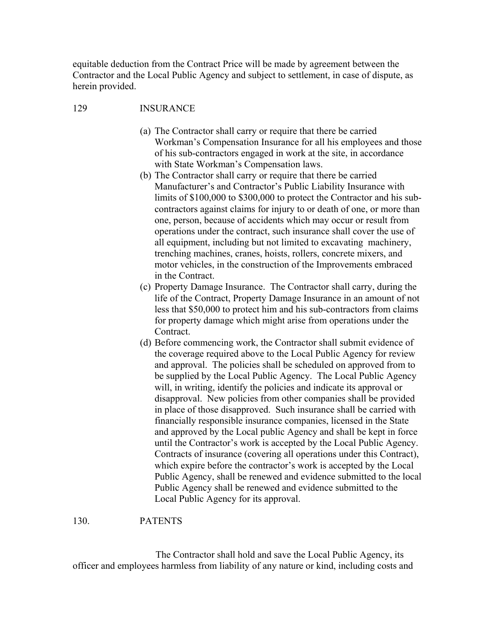equitable deduction from the Contract Price will be made by agreement between the Contractor and the Local Public Agency and subject to settlement, in case of dispute, as herein provided.

# 129 INSURANCE

- (a) The Contractor shall carry or require that there be carried Workman's Compensation Insurance for all his employees and those of his sub-contractors engaged in work at the site, in accordance with State Workman's Compensation laws.
- (b) The Contractor shall carry or require that there be carried Manufacturer's and Contractor's Public Liability Insurance with limits of \$100,000 to \$300,000 to protect the Contractor and his subcontractors against claims for injury to or death of one, or more than one, person, because of accidents which may occur or result from operations under the contract, such insurance shall cover the use of all equipment, including but not limited to excavating machinery, trenching machines, cranes, hoists, rollers, concrete mixers, and motor vehicles, in the construction of the Improvements embraced in the Contract.
- (c) Property Damage Insurance. The Contractor shall carry, during the life of the Contract, Property Damage Insurance in an amount of not less that \$50,000 to protect him and his sub-contractors from claims for property damage which might arise from operations under the Contract.
- (d) Before commencing work, the Contractor shall submit evidence of the coverage required above to the Local Public Agency for review and approval. The policies shall be scheduled on approved from to be supplied by the Local Public Agency. The Local Public Agency will, in writing, identify the policies and indicate its approval or disapproval. New policies from other companies shall be provided in place of those disapproved. Such insurance shall be carried with financially responsible insurance companies, licensed in the State and approved by the Local public Agency and shall be kept in force until the Contractor's work is accepted by the Local Public Agency. Contracts of insurance (covering all operations under this Contract), which expire before the contractor's work is accepted by the Local Public Agency, shall be renewed and evidence submitted to the local Public Agency shall be renewed and evidence submitted to the Local Public Agency for its approval.

#### 130. PATENTS

 The Contractor shall hold and save the Local Public Agency, its officer and employees harmless from liability of any nature or kind, including costs and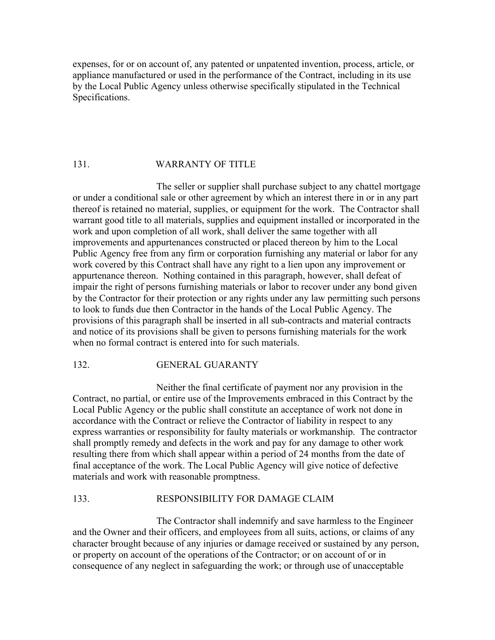expenses, for or on account of, any patented or unpatented invention, process, article, or appliance manufactured or used in the performance of the Contract, including in its use by the Local Public Agency unless otherwise specifically stipulated in the Technical Specifications.

#### 131. WARRANTY OF TITLE

 The seller or supplier shall purchase subject to any chattel mortgage or under a conditional sale or other agreement by which an interest there in or in any part thereof is retained no material, supplies, or equipment for the work. The Contractor shall warrant good title to all materials, supplies and equipment installed or incorporated in the work and upon completion of all work, shall deliver the same together with all improvements and appurtenances constructed or placed thereon by him to the Local Public Agency free from any firm or corporation furnishing any material or labor for any work covered by this Contract shall have any right to a lien upon any improvement or appurtenance thereon. Nothing contained in this paragraph, however, shall defeat of impair the right of persons furnishing materials or labor to recover under any bond given by the Contractor for their protection or any rights under any law permitting such persons to look to funds due then Contractor in the hands of the Local Public Agency. The provisions of this paragraph shall be inserted in all sub-contracts and material contracts and notice of its provisions shall be given to persons furnishing materials for the work when no formal contract is entered into for such materials.

#### 132. GENERAL GUARANTY

 Neither the final certificate of payment nor any provision in the Contract, no partial, or entire use of the Improvements embraced in this Contract by the Local Public Agency or the public shall constitute an acceptance of work not done in accordance with the Contract or relieve the Contractor of liability in respect to any express warranties or responsibility for faulty materials or workmanship. The contractor shall promptly remedy and defects in the work and pay for any damage to other work resulting there from which shall appear within a period of 24 months from the date of final acceptance of the work. The Local Public Agency will give notice of defective materials and work with reasonable promptness.

#### 133. RESPONSIBILITY FOR DAMAGE CLAIM

 The Contractor shall indemnify and save harmless to the Engineer and the Owner and their officers, and employees from all suits, actions, or claims of any character brought because of any injuries or damage received or sustained by any person, or property on account of the operations of the Contractor; or on account of or in consequence of any neglect in safeguarding the work; or through use of unacceptable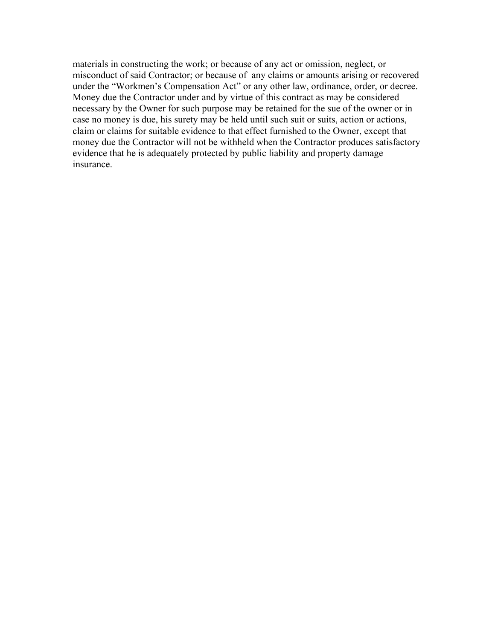materials in constructing the work; or because of any act or omission, neglect, or misconduct of said Contractor; or because of any claims or amounts arising or recovered under the "Workmen's Compensation Act" or any other law, ordinance, order, or decree. Money due the Contractor under and by virtue of this contract as may be considered necessary by the Owner for such purpose may be retained for the sue of the owner or in case no money is due, his surety may be held until such suit or suits, action or actions, claim or claims for suitable evidence to that effect furnished to the Owner, except that money due the Contractor will not be withheld when the Contractor produces satisfactory evidence that he is adequately protected by public liability and property damage insurance.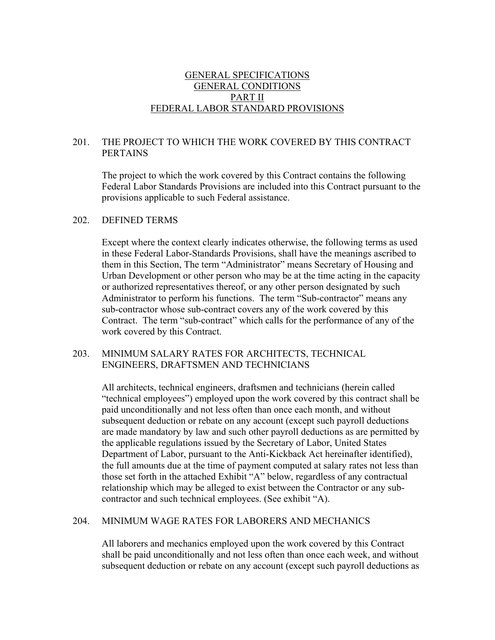# GENERAL SPECIFICATIONS GENERAL CONDITIONS PART II FEDERAL LABOR STANDARD PROVISIONS

# 201. THE PROJECT TO WHICH THE WORK COVERED BY THIS CONTRACT PERTAINS

 The project to which the work covered by this Contract contains the following Federal Labor Standards Provisions are included into this Contract pursuant to the provisions applicable to such Federal assistance.

#### 202. DEFINED TERMS

 Except where the context clearly indicates otherwise, the following terms as used in these Federal Labor-Standards Provisions, shall have the meanings ascribed to them in this Section, The term "Administrator" means Secretary of Housing and Urban Development or other person who may be at the time acting in the capacity or authorized representatives thereof, or any other person designated by such Administrator to perform his functions. The term "Sub-contractor" means any sub-contractor whose sub-contract covers any of the work covered by this Contract. The term "sub-contract" which calls for the performance of any of the work covered by this Contract.

#### 203. MINIMUM SALARY RATES FOR ARCHITECTS, TECHNICAL ENGINEERS, DRAFTSMEN AND TECHNICIANS

 All architects, technical engineers, draftsmen and technicians (herein called "technical employees") employed upon the work covered by this contract shall be paid unconditionally and not less often than once each month, and without subsequent deduction or rebate on any account (except such payroll deductions are made mandatory by law and such other payroll deductions as are permitted by the applicable regulations issued by the Secretary of Labor, United States Department of Labor, pursuant to the Anti-Kickback Act hereinafter identified), the full amounts due at the time of payment computed at salary rates not less than those set forth in the attached Exhibit "A" below, regardless of any contractual relationship which may be alleged to exist between the Contractor or any subcontractor and such technical employees. (See exhibit "A).

#### 204. MINIMUM WAGE RATES FOR LABORERS AND MECHANICS

 All laborers and mechanics employed upon the work covered by this Contract shall be paid unconditionally and not less often than once each week, and without subsequent deduction or rebate on any account (except such payroll deductions as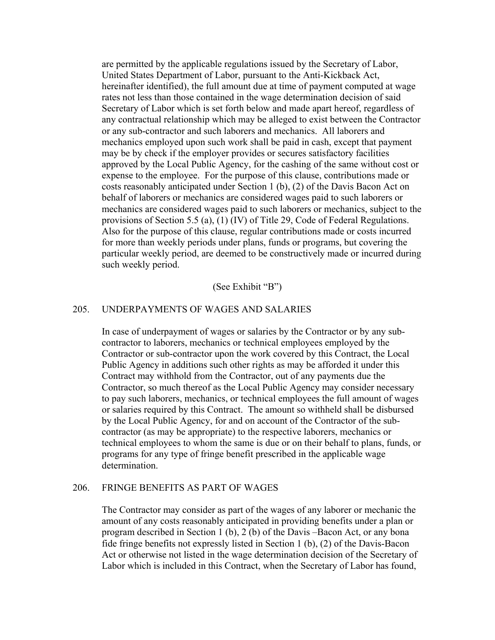are permitted by the applicable regulations issued by the Secretary of Labor, United States Department of Labor, pursuant to the Anti-Kickback Act, hereinafter identified), the full amount due at time of payment computed at wage rates not less than those contained in the wage determination decision of said Secretary of Labor which is set forth below and made apart hereof, regardless of any contractual relationship which may be alleged to exist between the Contractor or any sub-contractor and such laborers and mechanics. All laborers and mechanics employed upon such work shall be paid in cash, except that payment may be by check if the employer provides or secures satisfactory facilities approved by the Local Public Agency, for the cashing of the same without cost or expense to the employee. For the purpose of this clause, contributions made or costs reasonably anticipated under Section 1 (b), (2) of the Davis Bacon Act on behalf of laborers or mechanics are considered wages paid to such laborers or mechanics are considered wages paid to such laborers or mechanics, subject to the provisions of Section 5.5 (a), (1) (IV) of Title 29, Code of Federal Regulations. Also for the purpose of this clause, regular contributions made or costs incurred for more than weekly periods under plans, funds or programs, but covering the particular weekly period, are deemed to be constructively made or incurred during such weekly period.

#### (See Exhibit "B")

#### 205. UNDERPAYMENTS OF WAGES AND SALARIES

 In case of underpayment of wages or salaries by the Contractor or by any subcontractor to laborers, mechanics or technical employees employed by the Contractor or sub-contractor upon the work covered by this Contract, the Local Public Agency in additions such other rights as may be afforded it under this Contract may withhold from the Contractor, out of any payments due the Contractor, so much thereof as the Local Public Agency may consider necessary to pay such laborers, mechanics, or technical employees the full amount of wages or salaries required by this Contract. The amount so withheld shall be disbursed by the Local Public Agency, for and on account of the Contractor of the subcontractor (as may be appropriate) to the respective laborers, mechanics or technical employees to whom the same is due or on their behalf to plans, funds, or programs for any type of fringe benefit prescribed in the applicable wage determination.

#### 206. FRINGE BENEFITS AS PART OF WAGES

 The Contractor may consider as part of the wages of any laborer or mechanic the amount of any costs reasonably anticipated in providing benefits under a plan or program described in Section 1 (b), 2 (b) of the Davis –Bacon Act, or any bona fide fringe benefits not expressly listed in Section 1 (b), (2) of the Davis-Bacon Act or otherwise not listed in the wage determination decision of the Secretary of Labor which is included in this Contract, when the Secretary of Labor has found,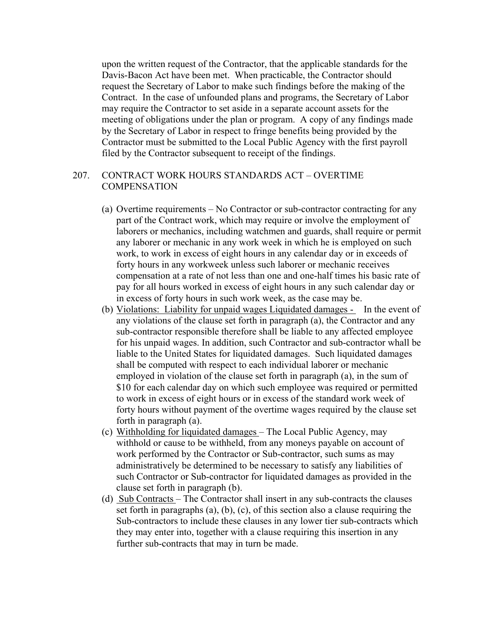upon the written request of the Contractor, that the applicable standards for the Davis-Bacon Act have been met. When practicable, the Contractor should request the Secretary of Labor to make such findings before the making of the Contract. In the case of unfounded plans and programs, the Secretary of Labor may require the Contractor to set aside in a separate account assets for the meeting of obligations under the plan or program. A copy of any findings made by the Secretary of Labor in respect to fringe benefits being provided by the Contractor must be submitted to the Local Public Agency with the first payroll filed by the Contractor subsequent to receipt of the findings.

#### 207. CONTRACT WORK HOURS STANDARDS ACT – OVERTIME **COMPENSATION**

- (a) Overtime requirements No Contractor or sub-contractor contracting for any part of the Contract work, which may require or involve the employment of laborers or mechanics, including watchmen and guards, shall require or permit any laborer or mechanic in any work week in which he is employed on such work, to work in excess of eight hours in any calendar day or in exceeds of forty hours in any workweek unless such laborer or mechanic receives compensation at a rate of not less than one and one-half times his basic rate of pay for all hours worked in excess of eight hours in any such calendar day or in excess of forty hours in such work week, as the case may be.
- (b) Violations: Liability for unpaid wages Liquidated damages In the event of any violations of the clause set forth in paragraph (a), the Contractor and any sub-contractor responsible therefore shall be liable to any affected employee for his unpaid wages. In addition, such Contractor and sub-contractor whall be liable to the United States for liquidated damages. Such liquidated damages shall be computed with respect to each individual laborer or mechanic employed in violation of the clause set forth in paragraph (a), in the sum of \$10 for each calendar day on which such employee was required or permitted to work in excess of eight hours or in excess of the standard work week of forty hours without payment of the overtime wages required by the clause set forth in paragraph (a).
- (c) Withholding for liquidated damages The Local Public Agency, may withhold or cause to be withheld, from any moneys payable on account of work performed by the Contractor or Sub-contractor, such sums as may administratively be determined to be necessary to satisfy any liabilities of such Contractor or Sub-contractor for liquidated damages as provided in the clause set forth in paragraph (b).
- (d) Sub Contracts The Contractor shall insert in any sub-contracts the clauses set forth in paragraphs (a), (b), (c), of this section also a clause requiring the Sub-contractors to include these clauses in any lower tier sub-contracts which they may enter into, together with a clause requiring this insertion in any further sub-contracts that may in turn be made.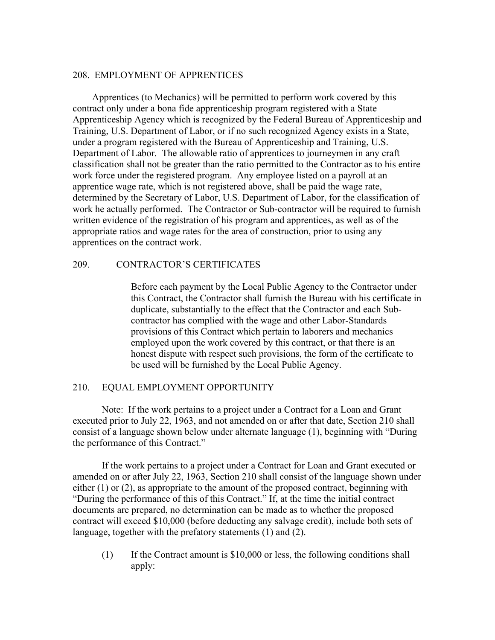#### 208. EMPLOYMENT OF APPRENTICES

 Apprentices (to Mechanics) will be permitted to perform work covered by this contract only under a bona fide apprenticeship program registered with a State Apprenticeship Agency which is recognized by the Federal Bureau of Apprenticeship and Training, U.S. Department of Labor, or if no such recognized Agency exists in a State, under a program registered with the Bureau of Apprenticeship and Training, U.S. Department of Labor. The allowable ratio of apprentices to journeymen in any craft classification shall not be greater than the ratio permitted to the Contractor as to his entire work force under the registered program. Any employee listed on a payroll at an apprentice wage rate, which is not registered above, shall be paid the wage rate, determined by the Secretary of Labor, U.S. Department of Labor, for the classification of work he actually performed. The Contractor or Sub-contractor will be required to furnish written evidence of the registration of his program and apprentices, as well as of the appropriate ratios and wage rates for the area of construction, prior to using any apprentices on the contract work.

#### 209. CONTRACTOR'S CERTIFICATES

Before each payment by the Local Public Agency to the Contractor under this Contract, the Contractor shall furnish the Bureau with his certificate in duplicate, substantially to the effect that the Contractor and each Subcontractor has complied with the wage and other Labor-Standards provisions of this Contract which pertain to laborers and mechanics employed upon the work covered by this contract, or that there is an honest dispute with respect such provisions, the form of the certificate to be used will be furnished by the Local Public Agency.

#### 210. EQUAL EMPLOYMENT OPPORTUNITY

 Note: If the work pertains to a project under a Contract for a Loan and Grant executed prior to July 22, 1963, and not amended on or after that date, Section 210 shall consist of a language shown below under alternate language (1), beginning with "During the performance of this Contract."

 If the work pertains to a project under a Contract for Loan and Grant executed or amended on or after July 22, 1963, Section 210 shall consist of the language shown under either (1) or (2), as appropriate to the amount of the proposed contract, beginning with "During the performance of this of this Contract." If, at the time the initial contract documents are prepared, no determination can be made as to whether the proposed contract will exceed \$10,000 (before deducting any salvage credit), include both sets of language, together with the prefatory statements (1) and (2).

(1) If the Contract amount is \$10,000 or less, the following conditions shall apply: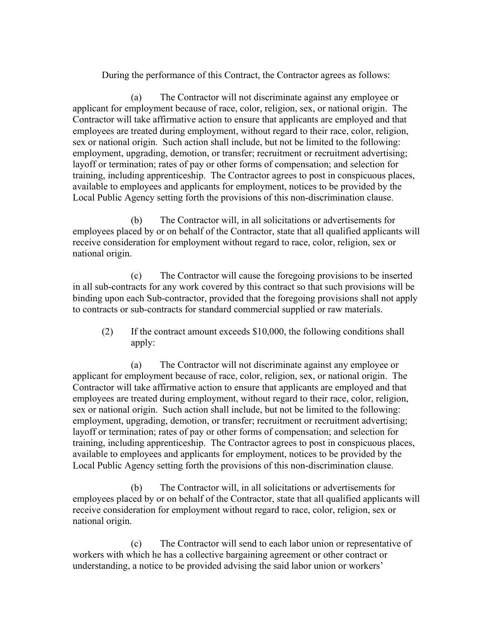During the performance of this Contract, the Contractor agrees as follows:

(a) The Contractor will not discriminate against any employee or applicant for employment because of race, color, religion, sex, or national origin. The Contractor will take affirmative action to ensure that applicants are employed and that employees are treated during employment, without regard to their race, color, religion, sex or national origin. Such action shall include, but not be limited to the following: employment, upgrading, demotion, or transfer; recruitment or recruitment advertising; layoff or termination; rates of pay or other forms of compensation; and selection for training, including apprenticeship. The Contractor agrees to post in conspicuous places, available to employees and applicants for employment, notices to be provided by the Local Public Agency setting forth the provisions of this non-discrimination clause.

(b) The Contractor will, in all solicitations or advertisements for employees placed by or on behalf of the Contractor, state that all qualified applicants will receive consideration for employment without regard to race, color, religion, sex or national origin.

(c) The Contractor will cause the foregoing provisions to be inserted in all sub-contracts for any work covered by this contract so that such provisions will be binding upon each Sub-contractor, provided that the foregoing provisions shall not apply to contracts or sub-contracts for standard commercial supplied or raw materials.

(2) If the contract amount exceeds \$10,000, the following conditions shall apply:

(a) The Contractor will not discriminate against any employee or applicant for employment because of race, color, religion, sex, or national origin. The Contractor will take affirmative action to ensure that applicants are employed and that employees are treated during employment, without regard to their race, color, religion, sex or national origin. Such action shall include, but not be limited to the following: employment, upgrading, demotion, or transfer; recruitment or recruitment advertising; layoff or termination; rates of pay or other forms of compensation; and selection for training, including apprenticeship. The Contractor agrees to post in conspicuous places, available to employees and applicants for employment, notices to be provided by the Local Public Agency setting forth the provisions of this non-discrimination clause.

(b) The Contractor will, in all solicitations or advertisements for employees placed by or on behalf of the Contractor, state that all qualified applicants will receive consideration for employment without regard to race, color, religion, sex or national origin.

(c) The Contractor will send to each labor union or representative of workers with which he has a collective bargaining agreement or other contract or understanding, a notice to be provided advising the said labor union or workers'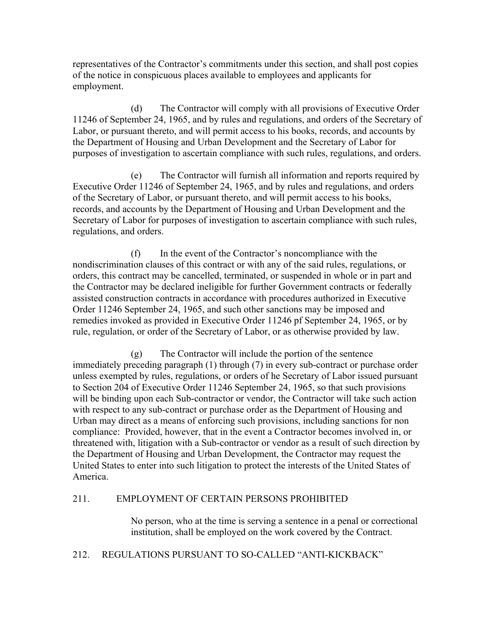representatives of the Contractor's commitments under this section, and shall post copies of the notice in conspicuous places available to employees and applicants for employment.

(d) The Contractor will comply with all provisions of Executive Order 11246 of September 24, 1965, and by rules and regulations, and orders of the Secretary of Labor, or pursuant thereto, and will permit access to his books, records, and accounts by the Department of Housing and Urban Development and the Secretary of Labor for purposes of investigation to ascertain compliance with such rules, regulations, and orders.

(e) The Contractor will furnish all information and reports required by Executive Order 11246 of September 24, 1965, and by rules and regulations, and orders of the Secretary of Labor, or pursuant thereto, and will permit access to his books, records, and accounts by the Department of Housing and Urban Development and the Secretary of Labor for purposes of investigation to ascertain compliance with such rules, regulations, and orders.

(f) In the event of the Contractor's noncompliance with the nondiscrimination clauses of this contract or with any of the said rules, regulations, or orders, this contract may be cancelled, terminated, or suspended in whole or in part and the Contractor may be declared ineligible for further Government contracts or federally assisted construction contracts in accordance with procedures authorized in Executive Order 11246 September 24, 1965, and such other sanctions may be imposed and remedies invoked as provided in Executive Order 11246 pf September 24, 1965, or by rule, regulation, or order of the Secretary of Labor, or as otherwise provided by law.

(g) The Contractor will include the portion of the sentence immediately preceding paragraph (1) through (7) in every sub-contract or purchase order unless exempted by rules, regulations, or orders of he Secretary of Labor issued pursuant to Section 204 of Executive Order 11246 September 24, 1965, so that such provisions will be binding upon each Sub-contractor or vendor, the Contractor will take such action with respect to any sub-contract or purchase order as the Department of Housing and Urban may direct as a means of enforcing such provisions, including sanctions for non compliance: Provided, however, that in the event a Contractor becomes involved in, or threatened with, litigation with a Sub-contractor or vendor as a result of such direction by the Department of Housing and Urban Development, the Contractor may request the United States to enter into such litigation to protect the interests of the United States of America.

# 211. EMPLOYMENT OF CERTAIN PERSONS PROHIBITED

No person, who at the time is serving a sentence in a penal or correctional institution, shall be employed on the work covered by the Contract.

# 212. REGULATIONS PURSUANT TO SO-CALLED "ANTI-KICKBACK"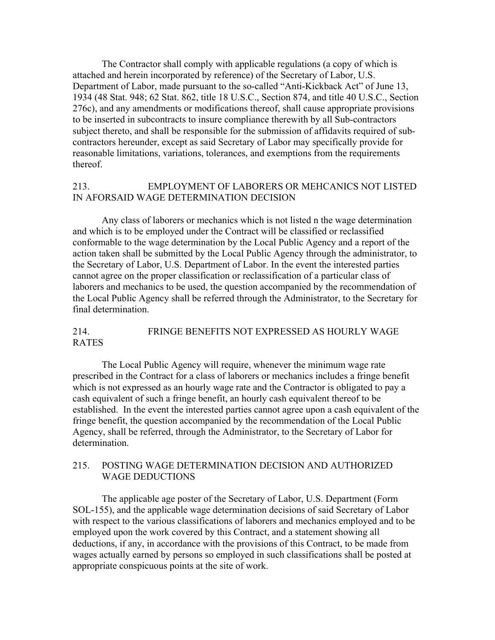The Contractor shall comply with applicable regulations (a copy of which is attached and herein incorporated by reference) of the Secretary of Labor, U.S. Department of Labor, made pursuant to the so-called "Anti-Kickback Act" of June 13, 1934 (48 Stat. 948; 62 Stat. 862, title 18 U.S.C., Section 874, and title 40 U.S.C., Section 276c), and any amendments or modifications thereof, shall cause appropriate provisions to be inserted in subcontracts to insure compliance therewith by all Sub-contractors subject thereto, and shall be responsible for the submission of affidavits required of subcontractors hereunder, except as said Secretary of Labor may specifically provide for reasonable limitations, variations, tolerances, and exemptions from the requirements thereof.

# 213. EMPLOYMENT OF LABORERS OR MEHCANICS NOT LISTED IN AFORSAID WAGE DETERMINATION DECISION

 Any class of laborers or mechanics which is not listed n the wage determination and which is to be employed under the Contract will be classified or reclassified conformable to the wage determination by the Local Public Agency and a report of the action taken shall be submitted by the Local Public Agency through the administrator, to the Secretary of Labor, U.S. Department of Labor. In the event the interested parties cannot agree on the proper classification or reclassification of a particular class of laborers and mechanics to be used, the question accompanied by the recommendation of the Local Public Agency shall be referred through the Administrator, to the Secretary for final determination.

#### 214. FRINGE BENEFITS NOT EXPRESSED AS HOURLY WAGE RATES

 The Local Public Agency will require, whenever the minimum wage rate prescribed in the Contract for a class of laborers or mechanics includes a fringe benefit which is not expressed as an hourly wage rate and the Contractor is obligated to pay a cash equivalent of such a fringe benefit, an hourly cash equivalent thereof to be established. In the event the interested parties cannot agree upon a cash equivalent of the fringe benefit, the question accompanied by the recommendation of the Local Public Agency, shall be referred, through the Administrator, to the Secretary of Labor for determination.

#### 215. POSTING WAGE DETERMINATION DECISION AND AUTHORIZED WAGE DEDUCTIONS

 The applicable age poster of the Secretary of Labor, U.S. Department (Form SOL-155), and the applicable wage determination decisions of said Secretary of Labor with respect to the various classifications of laborers and mechanics employed and to be employed upon the work covered by this Contract, and a statement showing all deductions, if any, in accordance with the provisions of this Contract, to be made from wages actually earned by persons so employed in such classifications shall be posted at appropriate conspicuous points at the site of work.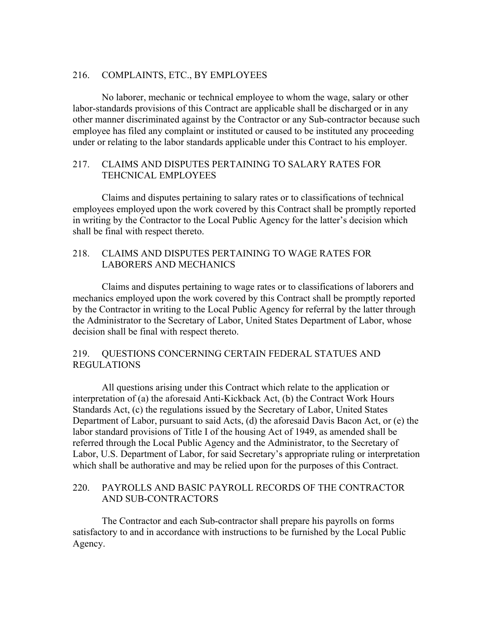#### 216. COMPLAINTS, ETC., BY EMPLOYEES

 No laborer, mechanic or technical employee to whom the wage, salary or other labor-standards provisions of this Contract are applicable shall be discharged or in any other manner discriminated against by the Contractor or any Sub-contractor because such employee has filed any complaint or instituted or caused to be instituted any proceeding under or relating to the labor standards applicable under this Contract to his employer.

# 217. CLAIMS AND DISPUTES PERTAINING TO SALARY RATES FOR TEHCNICAL EMPLOYEES

 Claims and disputes pertaining to salary rates or to classifications of technical employees employed upon the work covered by this Contract shall be promptly reported in writing by the Contractor to the Local Public Agency for the latter's decision which shall be final with respect thereto.

#### 218. CLAIMS AND DISPUTES PERTAINING TO WAGE RATES FOR LABORERS AND MECHANICS

 Claims and disputes pertaining to wage rates or to classifications of laborers and mechanics employed upon the work covered by this Contract shall be promptly reported by the Contractor in writing to the Local Public Agency for referral by the latter through the Administrator to the Secretary of Labor, United States Department of Labor, whose decision shall be final with respect thereto.

# 219. QUESTIONS CONCERNING CERTAIN FEDERAL STATUES AND REGULATIONS

 All questions arising under this Contract which relate to the application or interpretation of (a) the aforesaid Anti-Kickback Act, (b) the Contract Work Hours Standards Act, (c) the regulations issued by the Secretary of Labor, United States Department of Labor, pursuant to said Acts, (d) the aforesaid Davis Bacon Act, or (e) the labor standard provisions of Title I of the housing Act of 1949, as amended shall be referred through the Local Public Agency and the Administrator, to the Secretary of Labor, U.S. Department of Labor, for said Secretary's appropriate ruling or interpretation which shall be authorative and may be relied upon for the purposes of this Contract.

#### 220. PAYROLLS AND BASIC PAYROLL RECORDS OF THE CONTRACTOR AND SUB-CONTRACTORS

 The Contractor and each Sub-contractor shall prepare his payrolls on forms satisfactory to and in accordance with instructions to be furnished by the Local Public Agency.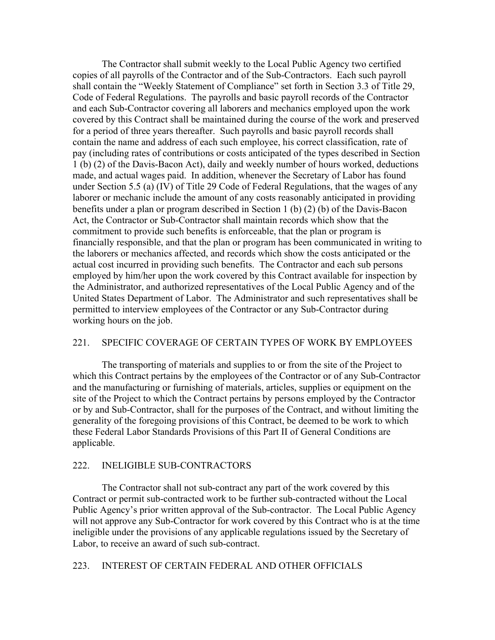The Contractor shall submit weekly to the Local Public Agency two certified copies of all payrolls of the Contractor and of the Sub-Contractors. Each such payroll shall contain the "Weekly Statement of Compliance" set forth in Section 3.3 of Title 29, Code of Federal Regulations. The payrolls and basic payroll records of the Contractor and each Sub-Contractor covering all laborers and mechanics employed upon the work covered by this Contract shall be maintained during the course of the work and preserved for a period of three years thereafter. Such payrolls and basic payroll records shall contain the name and address of each such employee, his correct classification, rate of pay (including rates of contributions or costs anticipated of the types described in Section 1 (b) (2) of the Davis-Bacon Act), daily and weekly number of hours worked, deductions made, and actual wages paid. In addition, whenever the Secretary of Labor has found under Section 5.5 (a) (IV) of Title 29 Code of Federal Regulations, that the wages of any laborer or mechanic include the amount of any costs reasonably anticipated in providing benefits under a plan or program described in Section 1 (b) (2) (b) of the Davis-Bacon Act, the Contractor or Sub-Contractor shall maintain records which show that the commitment to provide such benefits is enforceable, that the plan or program is financially responsible, and that the plan or program has been communicated in writing to the laborers or mechanics affected, and records which show the costs anticipated or the actual cost incurred in providing such benefits. The Contractor and each sub persons employed by him/her upon the work covered by this Contract available for inspection by the Administrator, and authorized representatives of the Local Public Agency and of the United States Department of Labor. The Administrator and such representatives shall be permitted to interview employees of the Contractor or any Sub-Contractor during working hours on the job.

#### 221. SPECIFIC COVERAGE OF CERTAIN TYPES OF WORK BY EMPLOYEES

 The transporting of materials and supplies to or from the site of the Project to which this Contract pertains by the employees of the Contractor or of any Sub-Contractor and the manufacturing or furnishing of materials, articles, supplies or equipment on the site of the Project to which the Contract pertains by persons employed by the Contractor or by and Sub-Contractor, shall for the purposes of the Contract, and without limiting the generality of the foregoing provisions of this Contract, be deemed to be work to which these Federal Labor Standards Provisions of this Part II of General Conditions are applicable.

#### 222. INELIGIBLE SUB-CONTRACTORS

 The Contractor shall not sub-contract any part of the work covered by this Contract or permit sub-contracted work to be further sub-contracted without the Local Public Agency's prior written approval of the Sub-contractor. The Local Public Agency will not approve any Sub-Contractor for work covered by this Contract who is at the time ineligible under the provisions of any applicable regulations issued by the Secretary of Labor, to receive an award of such sub-contract.

#### 223. INTEREST OF CERTAIN FEDERAL AND OTHER OFFICIALS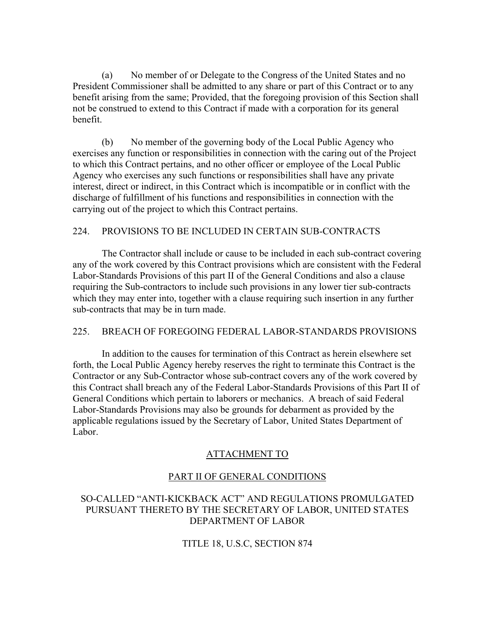(a) No member of or Delegate to the Congress of the United States and no President Commissioner shall be admitted to any share or part of this Contract or to any benefit arising from the same; Provided, that the foregoing provision of this Section shall not be construed to extend to this Contract if made with a corporation for its general benefit.

 (b) No member of the governing body of the Local Public Agency who exercises any function or responsibilities in connection with the caring out of the Project to which this Contract pertains, and no other officer or employee of the Local Public Agency who exercises any such functions or responsibilities shall have any private interest, direct or indirect, in this Contract which is incompatible or in conflict with the discharge of fulfillment of his functions and responsibilities in connection with the carrying out of the project to which this Contract pertains.

#### 224. PROVISIONS TO BE INCLUDED IN CERTAIN SUB-CONTRACTS

 The Contractor shall include or cause to be included in each sub-contract covering any of the work covered by this Contract provisions which are consistent with the Federal Labor-Standards Provisions of this part II of the General Conditions and also a clause requiring the Sub-contractors to include such provisions in any lower tier sub-contracts which they may enter into, together with a clause requiring such insertion in any further sub-contracts that may be in turn made.

#### 225. BREACH OF FOREGOING FEDERAL LABOR-STANDARDS PROVISIONS

 In addition to the causes for termination of this Contract as herein elsewhere set forth, the Local Public Agency hereby reserves the right to terminate this Contract is the Contractor or any Sub-Contractor whose sub-contract covers any of the work covered by this Contract shall breach any of the Federal Labor-Standards Provisions of this Part II of General Conditions which pertain to laborers or mechanics. A breach of said Federal Labor-Standards Provisions may also be grounds for debarment as provided by the applicable regulations issued by the Secretary of Labor, United States Department of Labor.

#### ATTACHMENT TO

#### PART II OF GENERAL CONDITIONS

# SO-CALLED "ANTI-KICKBACK ACT" AND REGULATIONS PROMULGATED PURSUANT THERETO BY THE SECRETARY OF LABOR, UNITED STATES DEPARTMENT OF LABOR

TITLE 18, U.S.C, SECTION 874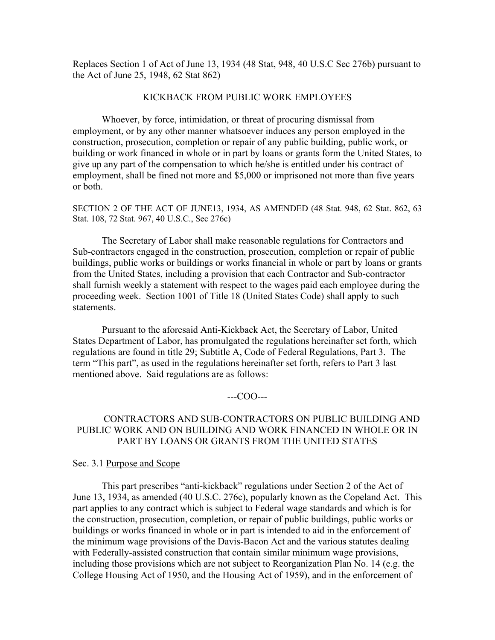Replaces Section 1 of Act of June 13, 1934 (48 Stat, 948, 40 U.S.C Sec 276b) pursuant to the Act of June 25, 1948, 62 Stat 862)

#### KICKBACK FROM PUBLIC WORK EMPLOYEES

 Whoever, by force, intimidation, or threat of procuring dismissal from employment, or by any other manner whatsoever induces any person employed in the construction, prosecution, completion or repair of any public building, public work, or building or work financed in whole or in part by loans or grants form the United States, to give up any part of the compensation to which he/she is entitled under his contract of employment, shall be fined not more and \$5,000 or imprisoned not more than five years or both.

SECTION 2 OF THE ACT OF JUNE13, 1934, AS AMENDED (48 Stat. 948, 62 Stat. 862, 63 Stat. 108, 72 Stat. 967, 40 U.S.C., Sec 276c)

 The Secretary of Labor shall make reasonable regulations for Contractors and Sub-contractors engaged in the construction, prosecution, completion or repair of public buildings, public works or buildings or works financial in whole or part by loans or grants from the United States, including a provision that each Contractor and Sub-contractor shall furnish weekly a statement with respect to the wages paid each employee during the proceeding week. Section 1001 of Title 18 (United States Code) shall apply to such statements.

 Pursuant to the aforesaid Anti-Kickback Act, the Secretary of Labor, United States Department of Labor, has promulgated the regulations hereinafter set forth, which regulations are found in title 29; Subtitle A, Code of Federal Regulations, Part 3. The term "This part", as used in the regulations hereinafter set forth, refers to Part 3 last mentioned above. Said regulations are as follows:

#### ---COO---

#### CONTRACTORS AND SUB-CONTRACTORS ON PUBLIC BUILDING AND PUBLIC WORK AND ON BUILDING AND WORK FINANCED IN WHOLE OR IN PART BY LOANS OR GRANTS FROM THE UNITED STATES

#### Sec. 3.1 Purpose and Scope

 This part prescribes "anti-kickback" regulations under Section 2 of the Act of June 13, 1934, as amended (40 U.S.C. 276c), popularly known as the Copeland Act. This part applies to any contract which is subject to Federal wage standards and which is for the construction, prosecution, completion, or repair of public buildings, public works or buildings or works financed in whole or in part is intended to aid in the enforcement of the minimum wage provisions of the Davis-Bacon Act and the various statutes dealing with Federally-assisted construction that contain similar minimum wage provisions, including those provisions which are not subject to Reorganization Plan No. 14 (e.g. the College Housing Act of 1950, and the Housing Act of 1959), and in the enforcement of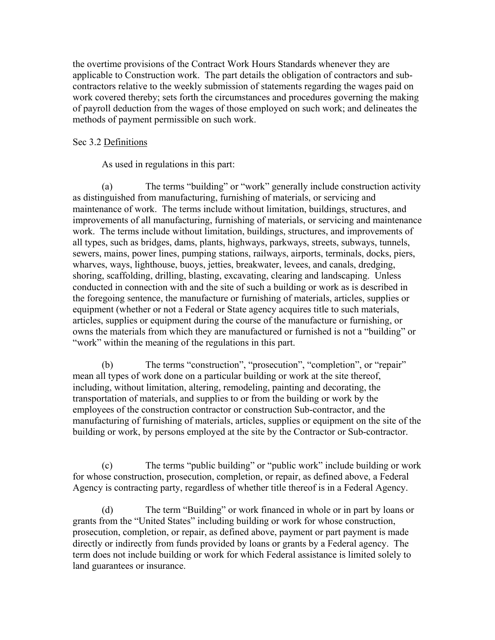the overtime provisions of the Contract Work Hours Standards whenever they are applicable to Construction work. The part details the obligation of contractors and subcontractors relative to the weekly submission of statements regarding the wages paid on work covered thereby; sets forth the circumstances and procedures governing the making of payroll deduction from the wages of those employed on such work; and delineates the methods of payment permissible on such work.

#### Sec 3.2 Definitions

As used in regulations in this part:

(a) The terms "building" or "work" generally include construction activity as distinguished from manufacturing, furnishing of materials, or servicing and maintenance of work. The terms include without limitation, buildings, structures, and improvements of all manufacturing, furnishing of materials, or servicing and maintenance work. The terms include without limitation, buildings, structures, and improvements of all types, such as bridges, dams, plants, highways, parkways, streets, subways, tunnels, sewers, mains, power lines, pumping stations, railways, airports, terminals, docks, piers, wharves, ways, lighthouse, buoys, jetties, breakwater, levees, and canals, dredging, shoring, scaffolding, drilling, blasting, excavating, clearing and landscaping. Unless conducted in connection with and the site of such a building or work as is described in the foregoing sentence, the manufacture or furnishing of materials, articles, supplies or equipment (whether or not a Federal or State agency acquires title to such materials, articles, supplies or equipment during the course of the manufacture or furnishing, or owns the materials from which they are manufactured or furnished is not a "building" or "work" within the meaning of the regulations in this part.

(b) The terms "construction", "prosecution", "completion", or "repair" mean all types of work done on a particular building or work at the site thereof, including, without limitation, altering, remodeling, painting and decorating, the transportation of materials, and supplies to or from the building or work by the employees of the construction contractor or construction Sub-contractor, and the manufacturing of furnishing of materials, articles, supplies or equipment on the site of the building or work, by persons employed at the site by the Contractor or Sub-contractor.

(c) The terms "public building" or "public work" include building or work for whose construction, prosecution, completion, or repair, as defined above, a Federal Agency is contracting party, regardless of whether title thereof is in a Federal Agency.

(d) The term "Building" or work financed in whole or in part by loans or grants from the "United States" including building or work for whose construction, prosecution, completion, or repair, as defined above, payment or part payment is made directly or indirectly from funds provided by loans or grants by a Federal agency. The term does not include building or work for which Federal assistance is limited solely to land guarantees or insurance.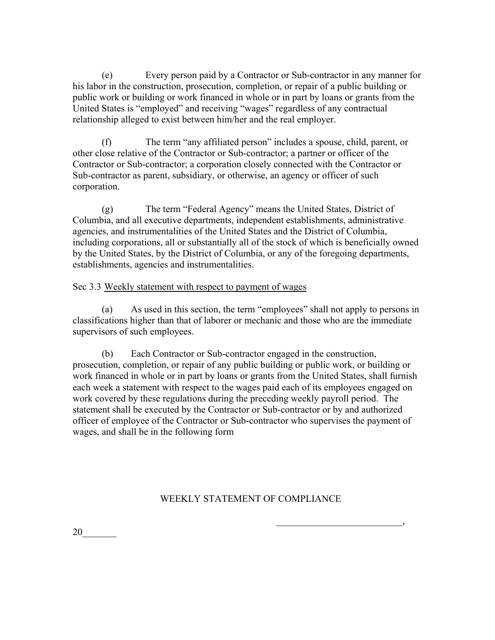(e) Every person paid by a Contractor or Sub-contractor in any manner for his labor in the construction, prosecution, completion, or repair of a public building or public work or building or work financed in whole or in part by loans or grants from the United States is "employed" and receiving "wages" regardless of any contractual relationship alleged to exist between him/her and the real employer.

(f) The term "any affiliated person" includes a spouse, child, parent, or other close relative of the Contractor or Sub-contractor; a partner or officer of the Contractor or Sub-contractor; a corporation closely connected with the Contractor or Sub-contractor as parent, subsidiary, or otherwise, an agency or officer of such corporation.

(g) The term "Federal Agency" means the United States, District of Columbia, and all executive departments, independent establishments, administrative agencies, and instrumentalities of the United States and the District of Columbia, including corporations, all or substantially all of the stock of which is beneficially owned by the United States, by the District of Columbia, or any of the foregoing departments, establishments, agencies and instrumentalities.

# Sec 3.3 Weekly statement with respect to payment of wages

 (a) As used in this section, the term "employees" shall not apply to persons in classifications higher than that of laborer or mechanic and those who are the immediate supervisors of such employees.

(b) Each Contractor or Sub-contractor engaged in the construction, prosecution, completion, or repair of any public building or public work, or building or work financed in whole or in part by loans or grants from the United States, shall furnish each week a statement with respect to the wages paid each of its employees engaged on work covered by these regulations during the preceding weekly payroll period. The statement shall be executed by the Contractor or Sub-contractor or by and authorized officer of employee of the Contractor or Sub-contractor who supervises the payment of wages, and shall be in the following form

# WEEKLY STATEMENT OF COMPLIANCE

 $\overline{\phantom{a}}$ 20\_\_\_\_\_\_\_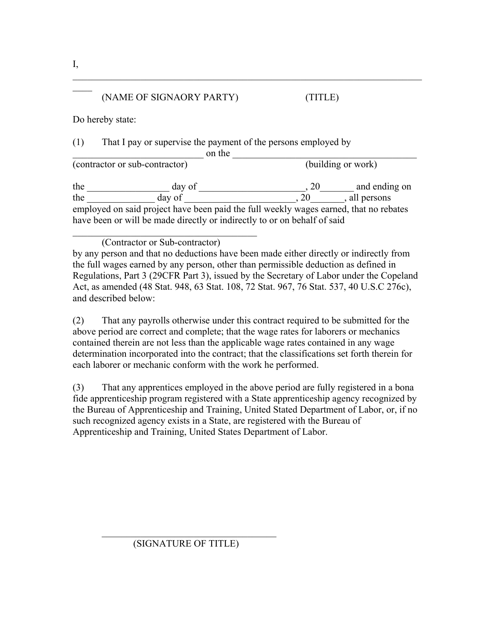# (NAME OF SIGNAORY PARTY) (TITLE)

Do hereby state:

(1) That I pay or supervise the payment of the persons employed by

 $\Box$  on the  $\Box$  (building or work)  $\overline{\text{(contractor or sub-contractor)}}$ the day of day of day  $\frac{1}{20}$  and ending on the  $\frac{1}{2}$  day of  $\frac{1}{2}$ , 20, all persons employed on said project have been paid the full weekly wages earned, that no rebates have been or will be made directly or indirectly to or on behalf of said

 $\mathcal{L}_\text{max}$  , and the contribution of the contribution of the contribution of the contribution of the contribution of the contribution of the contribution of the contribution of the contribution of the contribution of t

(Contractor or Sub-contractor)

 $\mathcal{L}_\text{max}$  and  $\mathcal{L}_\text{max}$  and  $\mathcal{L}_\text{max}$  and  $\mathcal{L}_\text{max}$ 

by any person and that no deductions have been made either directly or indirectly from the full wages earned by any person, other than permissible deduction as defined in Regulations, Part 3 (29CFR Part 3), issued by the Secretary of Labor under the Copeland Act, as amended (48 Stat. 948, 63 Stat. 108, 72 Stat. 967, 76 Stat. 537, 40 U.S.C 276c), and described below:

(2) That any payrolls otherwise under this contract required to be submitted for the above period are correct and complete; that the wage rates for laborers or mechanics contained therein are not less than the applicable wage rates contained in any wage determination incorporated into the contract; that the classifications set forth therein for each laborer or mechanic conform with the work he performed.

(3) That any apprentices employed in the above period are fully registered in a bona fide apprenticeship program registered with a State apprenticeship agency recognized by the Bureau of Apprenticeship and Training, United Stated Department of Labor, or, if no such recognized agency exists in a State, are registered with the Bureau of Apprenticeship and Training, United States Department of Labor.

I,

 $\mathcal{L}$ 

 $\mathcal{L}_\text{max}$  , and the set of the set of the set of the set of the set of the set of the set of the set of the set of the set of the set of the set of the set of the set of the set of the set of the set of the set of the (SIGNATURE OF TITLE)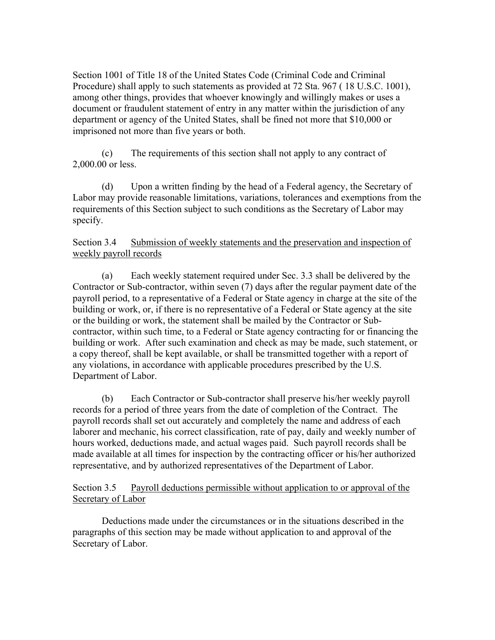Section 1001 of Title 18 of the United States Code (Criminal Code and Criminal Procedure) shall apply to such statements as provided at 72 Sta. 967 ( 18 U.S.C. 1001), among other things, provides that whoever knowingly and willingly makes or uses a document or fraudulent statement of entry in any matter within the jurisdiction of any department or agency of the United States, shall be fined not more that \$10,000 or imprisoned not more than five years or both.

 (c) The requirements of this section shall not apply to any contract of 2,000.00 or less.

 (d) Upon a written finding by the head of a Federal agency, the Secretary of Labor may provide reasonable limitations, variations, tolerances and exemptions from the requirements of this Section subject to such conditions as the Secretary of Labor may specify.

# Section 3.4 Submission of weekly statements and the preservation and inspection of weekly payroll records

 (a) Each weekly statement required under Sec. 3.3 shall be delivered by the Contractor or Sub-contractor, within seven (7) days after the regular payment date of the payroll period, to a representative of a Federal or State agency in charge at the site of the building or work, or, if there is no representative of a Federal or State agency at the site or the building or work, the statement shall be mailed by the Contractor or Subcontractor, within such time, to a Federal or State agency contracting for or financing the building or work. After such examination and check as may be made, such statement, or a copy thereof, shall be kept available, or shall be transmitted together with a report of any violations, in accordance with applicable procedures prescribed by the U.S. Department of Labor.

 (b) Each Contractor or Sub-contractor shall preserve his/her weekly payroll records for a period of three years from the date of completion of the Contract. The payroll records shall set out accurately and completely the name and address of each laborer and mechanic, his correct classification, rate of pay, daily and weekly number of hours worked, deductions made, and actual wages paid. Such payroll records shall be made available at all times for inspection by the contracting officer or his/her authorized representative, and by authorized representatives of the Department of Labor.

Section 3.5 Payroll deductions permissible without application to or approval of the Secretary of Labor

 Deductions made under the circumstances or in the situations described in the paragraphs of this section may be made without application to and approval of the Secretary of Labor.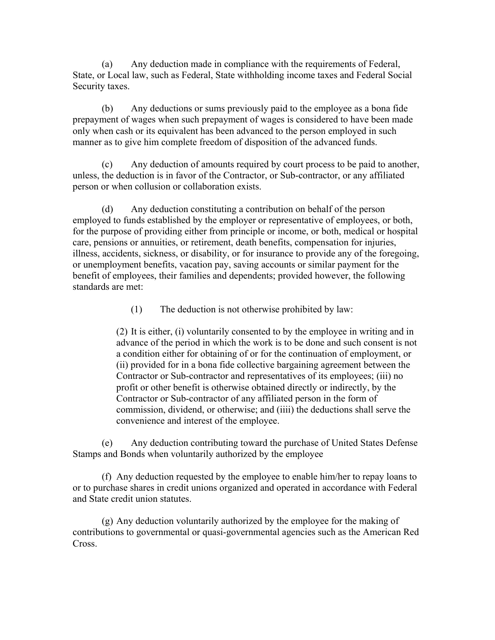(a) Any deduction made in compliance with the requirements of Federal, State, or Local law, such as Federal, State withholding income taxes and Federal Social Security taxes.

 (b) Any deductions or sums previously paid to the employee as a bona fide prepayment of wages when such prepayment of wages is considered to have been made only when cash or its equivalent has been advanced to the person employed in such manner as to give him complete freedom of disposition of the advanced funds.

(c) Any deduction of amounts required by court process to be paid to another, unless, the deduction is in favor of the Contractor, or Sub-contractor, or any affiliated person or when collusion or collaboration exists.

(d) Any deduction constituting a contribution on behalf of the person employed to funds established by the employer or representative of employees, or both, for the purpose of providing either from principle or income, or both, medical or hospital care, pensions or annuities, or retirement, death benefits, compensation for injuries, illness, accidents, sickness, or disability, or for insurance to provide any of the foregoing, or unemployment benefits, vacation pay, saving accounts or similar payment for the benefit of employees, their families and dependents; provided however, the following standards are met:

(1) The deduction is not otherwise prohibited by law:

(2) It is either, (i) voluntarily consented to by the employee in writing and in advance of the period in which the work is to be done and such consent is not a condition either for obtaining of or for the continuation of employment, or (ii) provided for in a bona fide collective bargaining agreement between the Contractor or Sub-contractor and representatives of its employees; (iii) no profit or other benefit is otherwise obtained directly or indirectly, by the Contractor or Sub-contractor of any affiliated person in the form of commission, dividend, or otherwise; and (iiii) the deductions shall serve the convenience and interest of the employee.

 (e) Any deduction contributing toward the purchase of United States Defense Stamps and Bonds when voluntarily authorized by the employee

(f) Any deduction requested by the employee to enable him/her to repay loans to or to purchase shares in credit unions organized and operated in accordance with Federal and State credit union statutes.

(g) Any deduction voluntarily authorized by the employee for the making of contributions to governmental or quasi-governmental agencies such as the American Red Cross.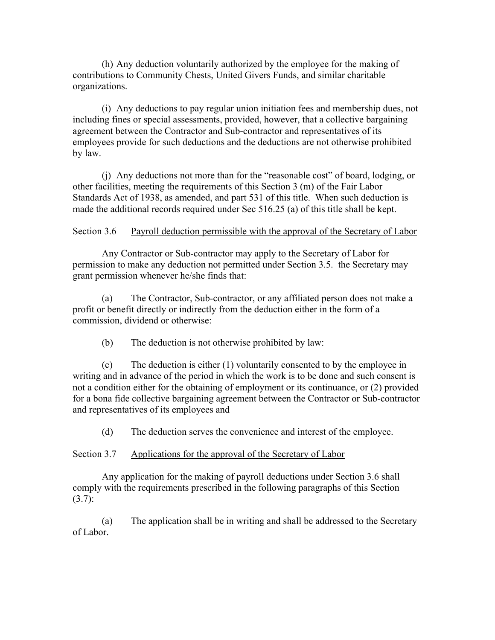(h) Any deduction voluntarily authorized by the employee for the making of contributions to Community Chests, United Givers Funds, and similar charitable organizations.

(i) Any deductions to pay regular union initiation fees and membership dues, not including fines or special assessments, provided, however, that a collective bargaining agreement between the Contractor and Sub-contractor and representatives of its employees provide for such deductions and the deductions are not otherwise prohibited by law.

(j) Any deductions not more than for the "reasonable cost" of board, lodging, or other facilities, meeting the requirements of this Section 3 (m) of the Fair Labor Standards Act of 1938, as amended, and part 531 of this title. When such deduction is made the additional records required under Sec 516.25 (a) of this title shall be kept.

Section 3.6 Payroll deduction permissible with the approval of the Secretary of Labor

 Any Contractor or Sub-contractor may apply to the Secretary of Labor for permission to make any deduction not permitted under Section 3.5. the Secretary may grant permission whenever he/she finds that:

(a) The Contractor, Sub-contractor, or any affiliated person does not make a profit or benefit directly or indirectly from the deduction either in the form of a commission, dividend or otherwise:

(b) The deduction is not otherwise prohibited by law:

(c) The deduction is either (1) voluntarily consented to by the employee in writing and in advance of the period in which the work is to be done and such consent is not a condition either for the obtaining of employment or its continuance, or (2) provided for a bona fide collective bargaining agreement between the Contractor or Sub-contractor and representatives of its employees and

(d) The deduction serves the convenience and interest of the employee.

Section 3.7 Applications for the approval of the Secretary of Labor

 Any application for the making of payroll deductions under Section 3.6 shall comply with the requirements prescribed in the following paragraphs of this Section  $(3.7):$ 

(a) The application shall be in writing and shall be addressed to the Secretary of Labor.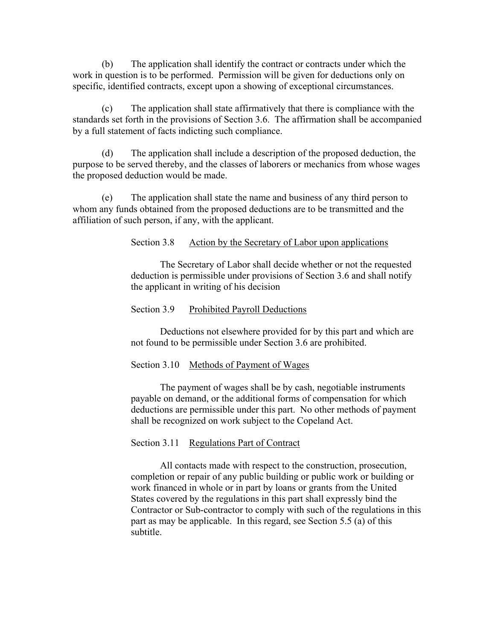(b) The application shall identify the contract or contracts under which the work in question is to be performed. Permission will be given for deductions only on specific, identified contracts, except upon a showing of exceptional circumstances.

(c) The application shall state affirmatively that there is compliance with the standards set forth in the provisions of Section 3.6. The affirmation shall be accompanied by a full statement of facts indicting such compliance.

(d) The application shall include a description of the proposed deduction, the purpose to be served thereby, and the classes of laborers or mechanics from whose wages the proposed deduction would be made.

(e) The application shall state the name and business of any third person to whom any funds obtained from the proposed deductions are to be transmitted and the affiliation of such person, if any, with the applicant.

Section 3.8 Action by the Secretary of Labor upon applications

 The Secretary of Labor shall decide whether or not the requested deduction is permissible under provisions of Section 3.6 and shall notify the applicant in writing of his decision

#### Section 3.9 Prohibited Payroll Deductions

 Deductions not elsewhere provided for by this part and which are not found to be permissible under Section 3.6 are prohibited.

#### Section 3.10 Methods of Payment of Wages

 The payment of wages shall be by cash, negotiable instruments payable on demand, or the additional forms of compensation for which deductions are permissible under this part. No other methods of payment shall be recognized on work subject to the Copeland Act.

#### Section 3.11 Regulations Part of Contract

 All contacts made with respect to the construction, prosecution, completion or repair of any public building or public work or building or work financed in whole or in part by loans or grants from the United States covered by the regulations in this part shall expressly bind the Contractor or Sub-contractor to comply with such of the regulations in this part as may be applicable. In this regard, see Section 5.5 (a) of this subtitle.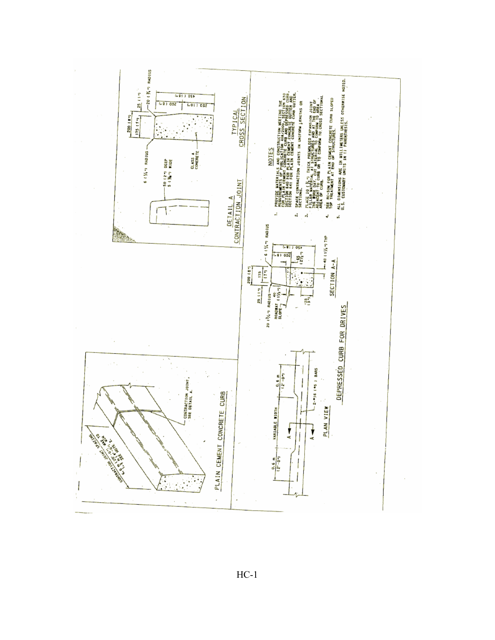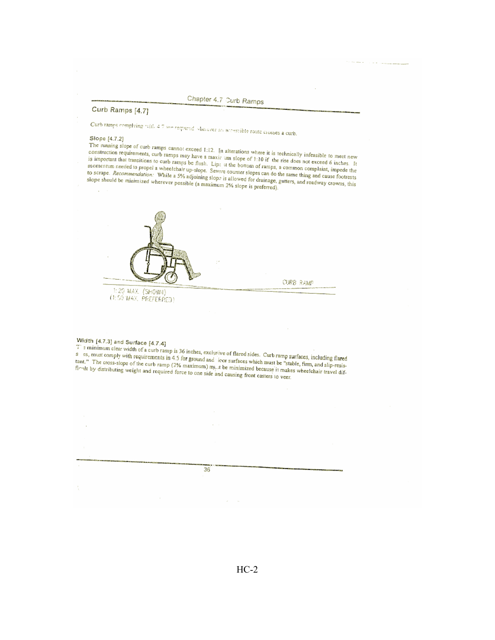# Chapter 4.7 Curb Ramps

#### Curb Ramps [4.7]

Curb ramps complying with 4.7 see requered wherever an accessible route crosses a curb.<br>Slope 14.7 at

#### Slope [4.7.2]

Supple [4,7,2]<br>The running stope of curb ramps cannot exceed 1:12. In alterations where it is technically infeasible to meet new<br>construction requirements, curb ramps may have a maxir um slope of 1:10 if the rise does not The numing stope of curb ramps cannot exceed 1:12. In alterations where it is technically infeasible to meet new<br>construction requirements, curb ramps may have a maxir um slope of 1:10 if the rise does not exceed 6 inches consulted in requirements, curb ramps may have a maximum slope of 1:10 if the rise does not exceed 6 inches. It is important that transitions to curb ramps be flush. Lips at the bottom of ramps of 1:10 if the rise does no is important that transitions to curb ramps be flush. Lips at the bottom of ramps are not exceed 6 inches. It<br>momentum needed to propel a wheelchair up-slope. Severe counter slopes can do the same thing and cause footnes. momentum needed to propel a wheelchair up-slope. Severe counter slopes can do the same thing and cause footnest<br>to scrape. *Recommendation*: While a 5% adjoining slope is allowed for drainage, gutters, and roadway crowns, to scripe. *Recommendation*: While a 5% adjoining slope is allowed for drainage,<br>slope should be minimized wherever possible (a maximum 2% slope is preferred).



Width [4.7.3] and Surface [4.7.4]

The structure of the structure of the structure of the structure of the structure of the structure of the structure of the structure of the structure of the structure of the structure of the structure of the structure of t s and the comply with of a curb ramp is 36 inches, exclusive of flared sides. Curb ramp surfaces, including flared<br>tant." The cross-slope of the curb ramp (2% maximum) must be ratified with must be "stable, fim, and slip-r 5 Us, must comply with requirements in 4.5 for ground and for surfaces which must be "stable, firm, and slip-resistant." The cross-slope of the curb ramp (2% maximum) m<sub>u</sub>nt be minimized because it makes wheelchair travel tant. The cross-stope of the curb ramp (2% maximum) m<sub>y</sub>.t be minimized because it makes<br>firelt by distributing weight and required force to one side and causing front casters to veer.

| $\sim$<br>the control of<br>- 10 |
|----------------------------------|
|                                  |
|                                  |
|                                  |
|                                  |
|                                  |
|                                  |
|                                  |
|                                  |
|                                  |
|                                  |
|                                  |
|                                  |
|                                  |
| $\sim$                           |
|                                  |
|                                  |
|                                  |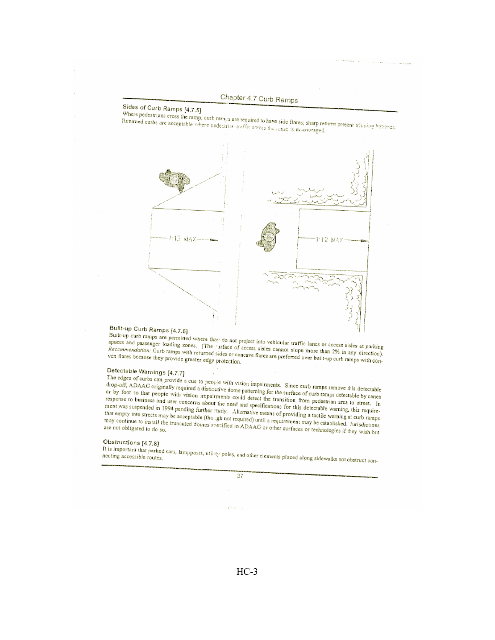## Chapter 4.7 Curb Ramps

## Sides of Curb Ramps [4.7.5]

Where pedestrians cross the ramp, curb rames are required to have side flares; sharp returns present triuping hazarda. Returned ourbs are acceptable where pedecirian traffic across the rame is discovinged.



### Built-up Curb Ramps [4.7.6]

Built-up curb ramps are permitted where they do not project into vehicular traffic lanes or access aisles at parking spaces and passenger loading zones. (The Furface of access aisles cannot slope more than 2% in any direction). Recommendation: Curb ramps with returned sides or concave flares are preferred over built-up curb ramps with convex flares because they provide greater edge protection.

## Detectable Warnings [4.7.7]

The edges of curbs can provide a cue to people with vision impairments. Since curb ramps remove this detectable drop-off, ADAAG originally required a distinctive dome patterning for the surface of curb ramps detectable by canes or by foot so that people with vision impairments could detect the transition from pedestrian area to street. In response to business and user concerns about the need and specifications for this detectable warning, this requirement was suspended in 1994 pending further study. Alternative means of providing a tactile warning at curb ramps that empty into streets may be acceptable (though not required) until a requirement may be established. Jurisdictions may continue to install the truncated domes specified in ADAAG or other surfaces or technologies if they wish but

### Obstructions [4.7.8]

It is important that parked cars, lampposts, utility poles, and other elements placed along sidewalks not obstruct con-



 $HC-3$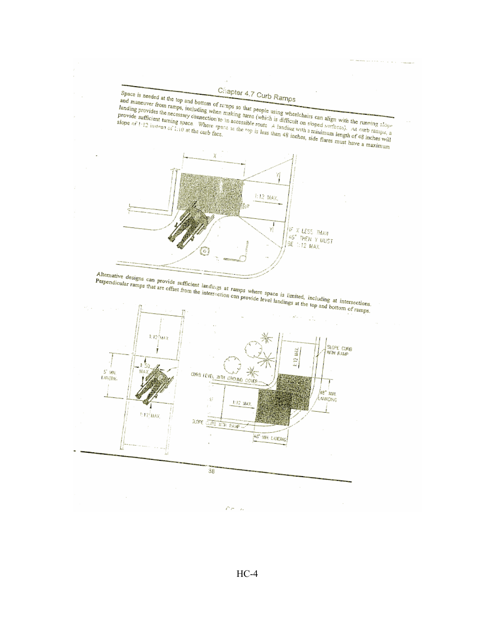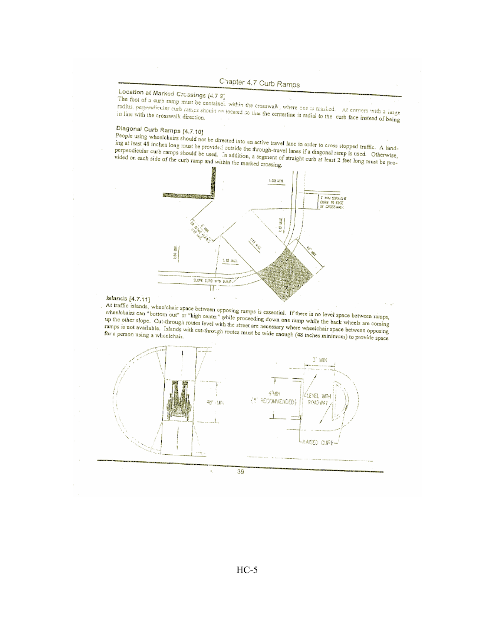

# Location at Marked Crossings (4.7 9)

The foot of a curb ramp must be contained, within the crosswalk, where one is marked. At corners with a large radius, perpendicular curb ramps should be located so that the centerline is radial to the curb face instead of being

# Diagonal Curb Ramps [4.7.10]

People using wheelchairs should not be directed into an active travel lane in order to cross stopped traffic. A landing at least 48 inches long must be provided outside the through-travel lanes if a diagonal ramp is used. Otherwise, perpendicular curb ramps should be used. In addition, a segment of straight curb at least 2 feet long must be provided on each side of the curb ramp and within the marked crossing.



### Islands [4.7.11]

At traffic islands, wheelchair space between opposing ramps is essential. If there is no level space between ramps,<br>wheelchairs can "bottom out" or "high center" while proceeding down one ramp while the back wheels are com up the other slope. Cut-through routes level with the street are necessary where wheelchair space between opposing ramps is not available. Islands with cut-through routes must be wide enough (48 inches minimum) to provide space

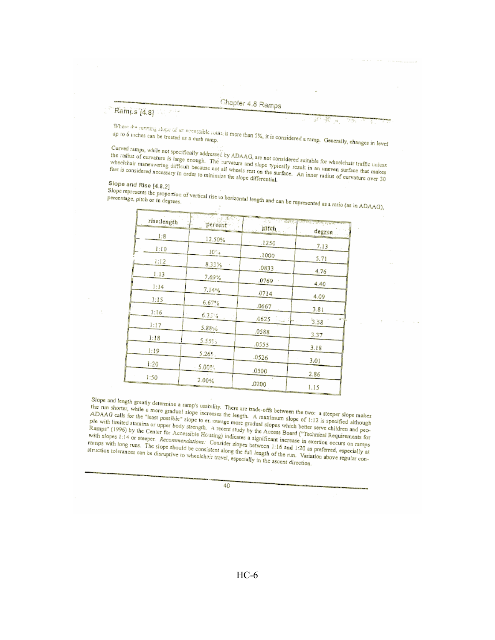### Ramps [4.8]

Where the running slope of an accessible source is more than 5%, it is considered a ramp. Generally, changes in level

Curved ramps, while not specifically addressed by ADAAG, are not considered suitable for wheelchair traffic unless Curved ramps, while not spectrically additioned by Alexand, are not considered suitable for which makes since that makes the radius of curvature is large enough. The burvature and slope typically result in an uneven surfac the radius of curvature is large enough. The curvature and slope typically result in an unevent surface that manus<br>wheelchair maneuvering difficult because not all wheels rest on the surface. An inner radius of curvature o feet is considered necessary in order to minimize the slope differential.

### Slope and Rise [4.8.2]

Stope ario ruse  $[4, 0.4]$ <br>Slope represents the proportion of vertical rise to horizontal length and can be represented as a ratio (as in ADAAG),

|             | $-3.97 - 1.7$ |                 |                                              |  |  |
|-------------|---------------|-----------------|----------------------------------------------|--|--|
| rise:length | percent -     | pjtch           | <b>A TELEVISION NOTICE A CARDS</b><br>degree |  |  |
| 1:8         | 12.50%        | .1250           |                                              |  |  |
| 1:10        | 16%           | .1000           | 7.13                                         |  |  |
| 1.12        | 8.33%         |                 | 5.71                                         |  |  |
| 1:13        | 7.69%         | .0833           | 4.76                                         |  |  |
| 1:14        | 7.14%         | .0769           | 4.40                                         |  |  |
| 1:15        | 6.67%         | .0714           | 4.09                                         |  |  |
| 1:16        | 6.23%         | .0667           | 3.81                                         |  |  |
| 1:17        | 5.88%         | .0625<br>ala Pe | чń<br>3.58                                   |  |  |
| 1:18        |               | .0588           | 3.37                                         |  |  |
| 1:19        | 5.55%;        | .0555           | 3.18                                         |  |  |
| 1:20        | 5.26%         | .0526           | 3.01                                         |  |  |
|             | 5.00%         | .0500           | 2.86                                         |  |  |
| 1:50        | 2.00%         | .0200           | 1.15                                         |  |  |
|             |               |                 |                                              |  |  |

Slope and length greatly determine a ramp's usability. There are trade-offs between the two: a steeper slope makes stope and length greatly determine a range a usefully. There are trade-offs ociween the two: a steeper stope manus<br>the run shorter, while a more gradual slope increases the length. A maximum slope of 1:12 is specified alth ADAAG calls for the "least possible" slope to example more gradual slopes which better serve children and peo-<br>ADAAG calls for the "least possible" slope to example more gradual slopes which better serve children and peo-The with limited staming or upper body strength. A recent study by the Access Board ("Technical Requirements for Pro with the common of opportunity subsigns. The common of the Access Donne (Accounted Requirements in Ramps" (1996) by the Center for Accessible Housing) indicates a significant increase in exertion occurs on ramps Kamps (1990) by the Center for Accommendations: Consider slopes between 1:16 and 1:20 as preferred, especially at with slopes 1:14 or steeper. Recommendations: Consider slopes between 1:16 and 1:20 as preferred, especially Mill stopes (114 of stopper, recommendations. Consistent stopes between 1110 and 1.20 as presented, coperation, at<br>ramps with long runs. The slope should be consistent along the full length of the run. Variation above regu struction tolerances can be disruptive to wheelchair travel, especially in the ascent direction.

40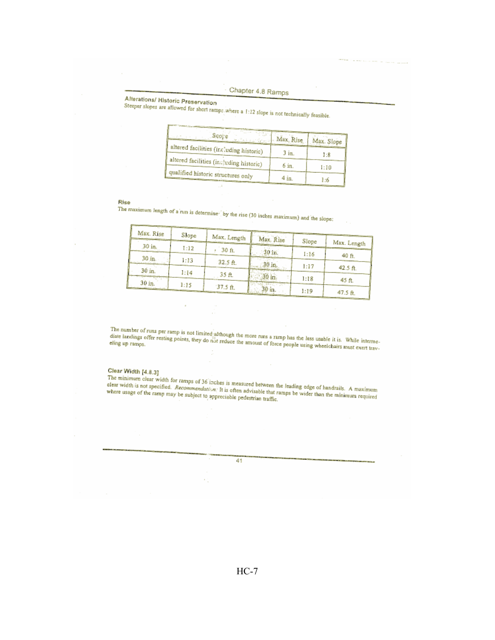# Alterations/ Historic Preservation

Steeper slopes are allowed for short ramps, where a 1:12 slope is not technically feasible.

| Same of Park Green<br>scope<br>SOF 2<br>الهضاماتين | Max, Rise | Max. Slope |
|----------------------------------------------------|-----------|------------|
| altered facilities (including historic)            | 3 in.     | 1:8        |
| altered facilities (including historic)            | 6 in.     | 1:10       |
| qualified historic structures only                 | 4 in.     | 1:6        |

### Rise

The maximum length of a run is determine<sup>2</sup> by the rise (30 inches maximum) and the slope:

| Max. Rise |       |             |           |       |             |  |
|-----------|-------|-------------|-----------|-------|-------------|--|
|           | Slope | Max. Length | Max. Rise | Slope | Max. Length |  |
| 30 in.    | 1:12  | 30 ft.      | 30m       |       |             |  |
| 30 in.    | 1:13  | 32.5 ft.    |           | 1:16  | 40 ft.      |  |
| 30 in.    |       |             | $30$ in.  | 1:17  | 42.5 ft.    |  |
|           | 1:14  | 35 ft.      | 30 in.    | 1:18  | 45 ft.      |  |
| 30 in.    | 1:15  | $37.5$ ft.  | 30 in.    | 1:19  | 47.5 ft.    |  |

The number of runs per ramp is not limited although the more runs a ramp has the less usable it is. While intermediate landings offer resting points, they do not reduce the amount of force people using wheelchairs must exe

### Clear Width [4.8.3]

Clear vulcui 14.6.31<br>The minimum clear width for ramps of 36 inches is measured between the leading edge of handrails. A maximum<br>clear width is not specified. *Recommendation*: It is often advisable that ramps be wider th

41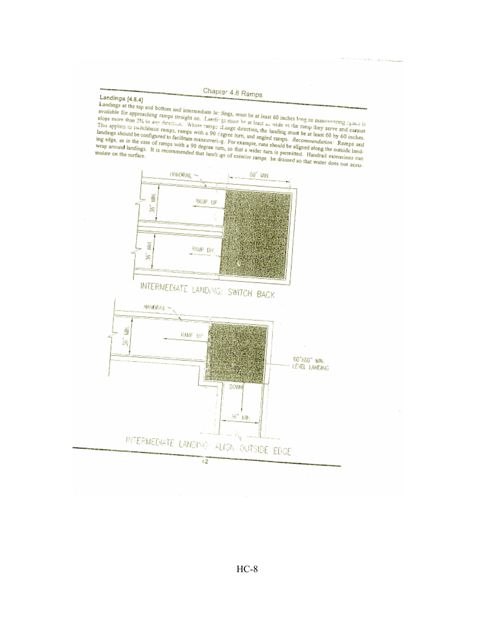## Landings [4.8.4]

Lanurings 10.0.00 and bottom and intermediate latifings, must be at least 60 inches long so maneuvering 1,200 is Laborages at the top and bonding and intermediate tax strigs, must be at reast or meters and so matterwards space is<br>available for approaching ramps straight on. Landings must be at least as wide as the ramp they serve and available for approaching ramps straight on. Landings must be at least as wide as the ramp iney serve and cannot<br>slope more than 2% in any direction. Where ramps change direction, the landing must be at least 60 by 60 inch This applies to switchback ramps, ramps with a 50 stegree turn, and angled ramps. *recommendation*: rounds and landings should be configured to facilitate maneuvering. For example, runs should be aligned along the outside landings should be configured to facilitate maneuvering. For example, runs should be aligned along the outside randing edge, as in the case of ramps with a 90 degree turn, so that a wider turn is permitted. Handrail extens

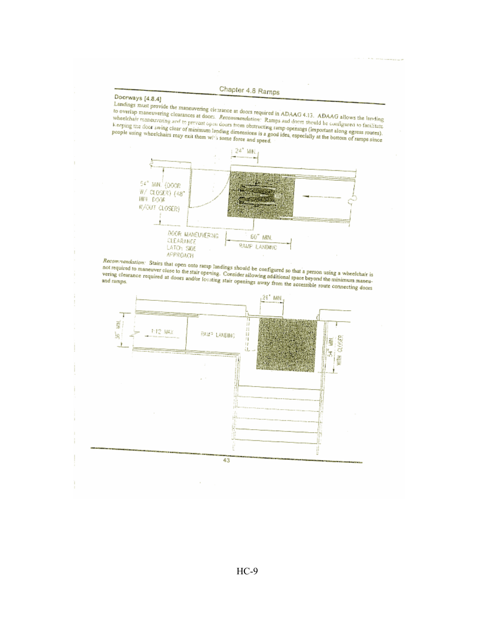## Doorways [4.8.4]

Landings nust provide the maneuvering clearance at doors required in ADAAG 4.13. ADAAG allows the landing<br>to overlap maneuvering clearances at doors. *Recommendation*: Ramps and doors should be configured to facilitate to overtap maneuvering cicarances at doors. *Recommendation*: Ramps and doors should be coinigured to facturate<br>wheelchair maneuvering and to prevent open doors from obstructing ramp openings (important along egress route



Recommendation: Stairs that open onto ramp landings should be configured so that a person using a wheelchair is<br>not required to maneuver close to the stair opening. Consider allowing additional space beyond the minimum man

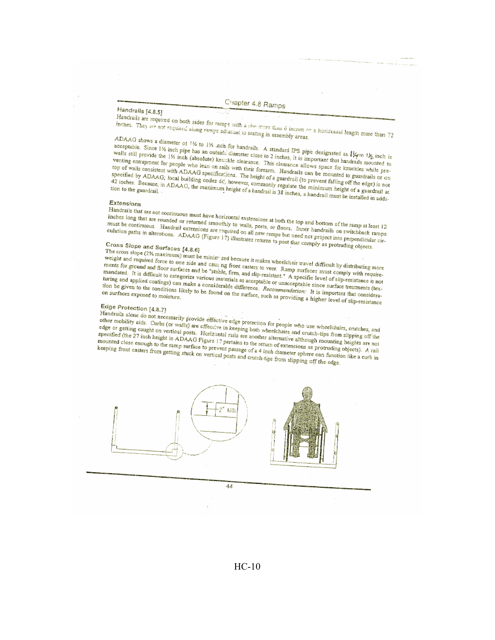### Handrails [4.8.5]

Handrails are required on both sides for ramps with a tise more than 6 inches or a horizontal length more than 72 inches. They are not required along ramps adiacent to seating in assembly areas. ADAAG shows a diameter of 11% to 11% nch for handrails. A standard IPS pipe designated as  $1/\gamma$  to  $1/\gamma$  inch is

acceptable. Since 1% inch pipe has an outside diameter close to 2 inches, it is important that handrails mounted to well's still provide the 1% inch (absolute) knuckle clearance. This clearance allows space for knuckles while pre-This can provide the 124 men (abovedne) remember originate. This cromatics allows space to announce milit part require encouragement for people with read out rains with their forestill. Franciscus can be incomed to guardians of our top of walls consistent with ADAAG specifications. The height of a guardrail (to prevent falling off top or wans consistent with checked spectrucions. The neight of a guarant to prevent ranning on the engly to not<br>specified by ADAAG; local building codes dc, however, commonly regulate the minimum height of a guardrail at 42 inches. Because, in ADAAG, the maximum height of a handrail is 38 inches, a handrail must be installed in addi-

### Extensions

Handrails that are not continuous must have horizontal exstensions at both the top and bottom of the ramp at least 12 Alternation of the active community must have not contain experiences at out the top and contour of the camp at real, included or returned smoothly to walls, posts, or floors. Inner handrails on switchback ramps There are are rounded or research amoving to want, postal or announced marketing or a monumental market in the<br>must be continuous. Handrail extensions are required on all new ramps but need not project into perpendicular c Thus be commerced. Frameran encountered and required on an new ramps out move not propose this perpendicular<br>culation paths in alterations. ADAAG (Figure 17) illustrates returns to post that comply as protruding objects.

# Cross Slope and Surfaces [4.8.6]

Cross shope and surfaces [4.0.0]<br>The cross slope (2% maximum) must be minim zed because it makes wheelchair travel difficult by distributing more The cross stop of the maximum, must be immigrated by teachers in makes which and required force to one side and causing front casters to veer. Ramp surfaces must comply with requireweight and required force to one stud and causing from casters to veen Adulp surfaces must comply want required<br>ments for ground and floor surfaces and be "stable, firm, and slip-resistant." A specific level of slip-resist mandated. It is difficult to categorize various materials as acceptable or unacceptable since surface treatments (texmanuated. It is unique to categorize various materials as acceptable of unacceptable since surface in accuracie two<br>turing and applied coatings) can make a considerable difference. Recommendation: It is important that cons thing and approve contains of the theorem and a construction of the surface, such as providing a higher level of slip-resistance

### Edge Protection [4.8.7]

Handrails alone do not necessarily provide effective edge protection for people who use wheelchairs, crutches, and<br>Handrails alone do not necessarily provide effective edge protection for people who use wheelchairs, crutch other mobility aids. Curbs (or walls) are effective in keeping both wheelchairs and crutch-tips from slipping off the ouse mooney alus. Curvs (or wans) are execute in accounts over wheelending and crucial approximation and prints on the edge or getting caught on vertical posts. Horizontal rails are another alternative although mounting he euge or getuing caugut on verticent posts. Excreming rans are anything anotherize antibody incoming among any<br>specified (the 27 inch height in ADAAG Figure 17 pertains to the return of extensions as protruding objects). A mounted close enough to the ramp surface to prevent passage of a 4 inch diameter sphere can function like a curb in keeping front casters from getting stuck on vertical posts and crutch-tips from slipping off the edge.



### $HC-10$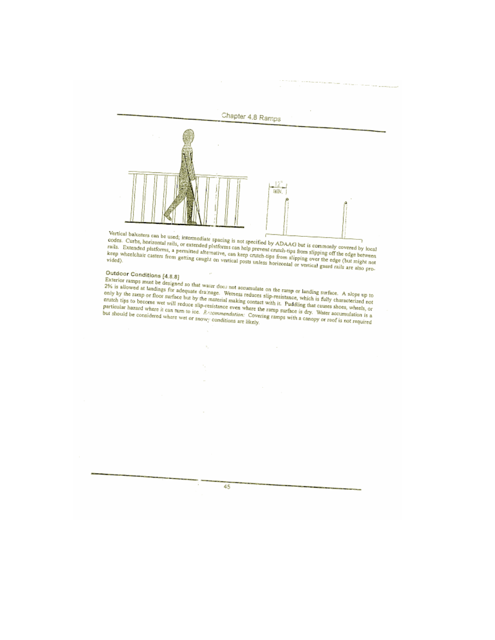

Vertical balusters can be used; intermediate spacing is not specified by ADAAG but is commonly covered by local vertical partises can be used; intermediate spacing is not specified by ADAAC out is commonly covered by local<br>codes. Curbs, horizontal rails, or extended platforms can help prevent crutch-tips from slipping off the edge b raus. Excended prenomis, a permitteu artemative, can xeep cruten-tips from stipping over the edge (out might not<br>keep wheelchair casters from getting caught on vertical posts unless horizontal or vertical guard rails are a

# Outdoor Conditions [4.8.8]

Outdoor Conditions [4.8.8]<br>Exterior ramps must be designed so that water does not accumulate on the ramp or landing surface. A slope up to<br>2% is allowed at landings for adequate drainage. Wetness reduces slip-resistance, w only by the range of noor surface out by the material making comact with it. Pudding that causes shoes, wheels, or<br>particular hazard where it can turn to ice. *Resommendation:* Covering ramps with a canopy or roof is not r

45